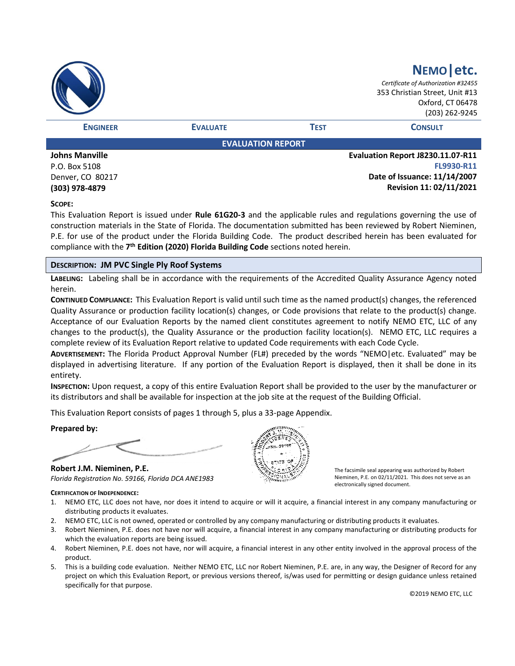|                                   |                          |             | NEMO etc.<br>Certificate of Authorization #32455<br>353 Christian Street, Unit #13<br>Oxford, CT 06478<br>(203) 262-9245 |
|-----------------------------------|--------------------------|-------------|--------------------------------------------------------------------------------------------------------------------------|
| <b>ENGINEER</b>                   | <b>EVALUATE</b>          | <b>TEST</b> | <b>CONSULT</b>                                                                                                           |
|                                   | <b>EVALUATION REPORT</b> |             |                                                                                                                          |
| <b>Johns Manville</b><br>--- ---- |                          |             | Evaluation Report J8230.11.07-R11<br><b>FLOODO DAA</b>                                                                   |

P.O. Box 5108 Denver, CO 80217 **(303) 978-4879**

**FL9930-R11 Date of Issuance: 11/14/2007 Revision 11: 02/11/2021**

### **SCOPE:**

This Evaluation Report is issued under **Rule 61G20-3** and the applicable rules and regulations governing the use of construction materials in the State of Florida. The documentation submitted has been reviewed by Robert Nieminen, P.E. for use of the product under the Florida Building Code. The product described herein has been evaluated for compliance with the **7 th Edition (2020) Florida Building Code** sections noted herein.

### **DESCRIPTION: JM PVC Single Ply Roof Systems**

**LABELING:** Labeling shall be in accordance with the requirements of the Accredited Quality Assurance Agency noted herein.

**CONTINUED COMPLIANCE:** This Evaluation Report is valid until such time as the named product(s) changes, the referenced Quality Assurance or production facility location(s) changes, or Code provisions that relate to the product(s) change. Acceptance of our Evaluation Reports by the named client constitutes agreement to notify NEMO ETC, LLC of any changes to the product(s), the Quality Assurance or the production facility location(s). NEMO ETC, LLC requires a complete review of its Evaluation Report relative to updated Code requirements with each Code Cycle.

**ADVERTISEMENT:** The Florida Product Approval Number (FL#) preceded by the words "NEMO|etc. Evaluated" may be displayed in advertising literature. If any portion of the Evaluation Report is displayed, then it shall be done in its entirety.

**INSPECTION:** Upon request, a copy of this entire Evaluation Report shall be provided to the user by the manufacturer or its distributors and shall be available for inspection at the job site at the request of the Building Official.

This Evaluation Report consists of pages 1 through 5, plus a 33-page Appendix.

### **Prepared by:**

**Robert J.M. Nieminen, P.E.** *Florida Registration No. 59166, Florida DCA ANE1983*

### **CERTIFICATION OF INDEPENDENCE:**

The facsimile seal appearing was authorized by Robert Nieminen, P.E. on 02/11/2021. This does not serve as an electronically signed document.

- 1. NEMO ETC, LLC does not have, nor does it intend to acquire or will it acquire, a financial interest in any company manufacturing or distributing products it evaluates.
- 2. NEMO ETC, LLC is not owned, operated or controlled by any company manufacturing or distributing products it evaluates.
- 3. Robert Nieminen, P.E. does not have nor will acquire, a financial interest in any company manufacturing or distributing products for which the evaluation reports are being issued.
- 4. Robert Nieminen, P.E. does not have, nor will acquire, a financial interest in any other entity involved in the approval process of the product.
- 5. This is a building code evaluation. Neither NEMO ETC, LLC nor Robert Nieminen, P.E. are, in any way, the Designer of Record for any project on which this Evaluation Report, or previous versions thereof, is/was used for permitting or design guidance unless retained specifically for that purpose.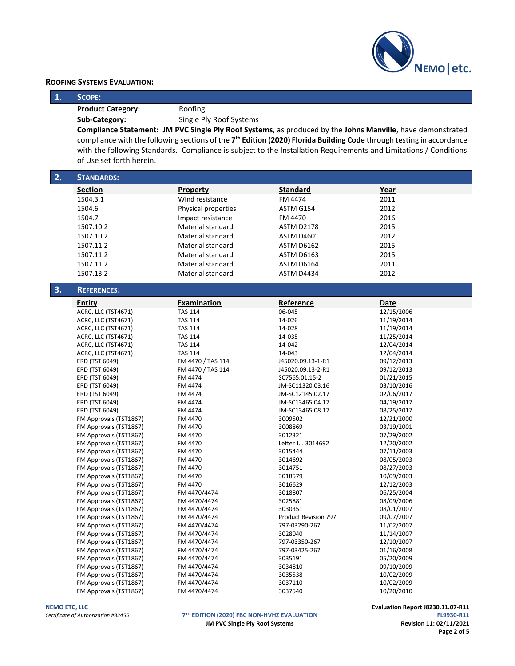

| 1.<br>SCOPE:<br>Roofing<br><b>Product Category:</b><br>Single Ply Roof Systems<br>Sub-Category:<br>Compliance Statement: JM PVC Single Ply Roof Systems, as produced by the Johns Manville, have demonstrated<br>compliance with the following sections of the 7 <sup>th</sup> Edition (2020) Florida Building Code through testing in accordance<br>with the following Standards. Compliance is subject to the Installation Requirements and Limitations / Conditions<br>of Use set forth herein.<br>2.<br><b>STANDARDS:</b><br><b>Section</b><br><b>Standard</b><br>Property<br>Year<br>1504.3.1<br>Wind resistance<br>FM 4474<br>2011<br>2012<br>1504.6<br>Physical properties<br>ASTM G154<br>2016<br>1504.7<br>Impact resistance<br>FM 4470<br>2015<br>1507.10.2<br>Material standard<br><b>ASTM D2178</b><br>1507.10.2<br><b>Material standard</b><br>2012<br><b>ASTM D4601</b><br>2015<br>1507.11.2<br>Material standard<br><b>ASTM D6162</b><br>2015<br>1507.11.2<br><b>Material standard</b><br><b>ASTM D6163</b><br>1507.11.2<br>2011<br>Material standard<br>ASTM D6164<br>2012<br>1507.13.2<br><b>Material standard</b><br>ASTM D4434<br>3.<br><b>REFERENCES:</b><br>Reference<br>Examination<br>Date<br>Entity<br>ACRC, LLC (TST4671)<br>06-045<br>12/15/2006<br><b>TAS 114</b><br>ACRC, LLC (TST4671)<br><b>TAS 114</b><br>14-026<br>11/19/2014<br>ACRC, LLC (TST4671)<br><b>TAS 114</b><br>14-028<br>11/19/2014<br>ACRC, LLC (TST4671)<br><b>TAS 114</b><br>14-035<br>11/25/2014<br>14-042<br>12/04/2014<br>ACRC, LLC (TST4671)<br><b>TAS 114</b><br>ACRC, LLC (TST4671)<br><b>TAS 114</b><br>14-043<br>12/04/2014<br>ERD (TST 6049)<br>FM 4470 / TAS 114<br>J45020.09.13-1-R1<br>09/12/2013<br>ERD (TST 6049)<br>FM 4470 / TAS 114<br>J45020.09.13-2-R1<br>09/12/2013<br>ERD (TST 6049)<br>FM 4474<br>SC7565.01.15-2<br>01/21/2015<br>03/10/2016<br>ERD (TST 6049)<br>FM 4474<br>JM-SC11320.03.16<br>ERD (TST 6049)<br>FM 4474<br>JM-SC12145.02.17<br>02/06/2017<br>ERD (TST 6049)<br>JM-SC13465.04.17<br>04/19/2017<br>FM 4474<br>ERD (TST 6049)<br>FM 4474<br>JM-SC13465.08.17<br>08/25/2017<br>FM Approvals (TST1867)<br>FM 4470<br>3009502<br>12/21/2000<br>03/19/2001<br>FM Approvals (TST1867)<br>FM 4470<br>3008869 | <b>ROOFING SYSTEMS EVALUATION:</b> |         |         | <b>INEIVIO LELC</b> |
|--------------------------------------------------------------------------------------------------------------------------------------------------------------------------------------------------------------------------------------------------------------------------------------------------------------------------------------------------------------------------------------------------------------------------------------------------------------------------------------------------------------------------------------------------------------------------------------------------------------------------------------------------------------------------------------------------------------------------------------------------------------------------------------------------------------------------------------------------------------------------------------------------------------------------------------------------------------------------------------------------------------------------------------------------------------------------------------------------------------------------------------------------------------------------------------------------------------------------------------------------------------------------------------------------------------------------------------------------------------------------------------------------------------------------------------------------------------------------------------------------------------------------------------------------------------------------------------------------------------------------------------------------------------------------------------------------------------------------------------------------------------------------------------------------------------------------------------------------------------------------------------------------------------------------------------------------------------------------------------------------------------------------------------------------------------------------------------------------------------------------------------------------------------------------------------------------------------------------------------------|------------------------------------|---------|---------|---------------------|
|                                                                                                                                                                                                                                                                                                                                                                                                                                                                                                                                                                                                                                                                                                                                                                                                                                                                                                                                                                                                                                                                                                                                                                                                                                                                                                                                                                                                                                                                                                                                                                                                                                                                                                                                                                                                                                                                                                                                                                                                                                                                                                                                                                                                                                            |                                    |         |         |                     |
|                                                                                                                                                                                                                                                                                                                                                                                                                                                                                                                                                                                                                                                                                                                                                                                                                                                                                                                                                                                                                                                                                                                                                                                                                                                                                                                                                                                                                                                                                                                                                                                                                                                                                                                                                                                                                                                                                                                                                                                                                                                                                                                                                                                                                                            |                                    |         |         |                     |
|                                                                                                                                                                                                                                                                                                                                                                                                                                                                                                                                                                                                                                                                                                                                                                                                                                                                                                                                                                                                                                                                                                                                                                                                                                                                                                                                                                                                                                                                                                                                                                                                                                                                                                                                                                                                                                                                                                                                                                                                                                                                                                                                                                                                                                            |                                    |         |         |                     |
|                                                                                                                                                                                                                                                                                                                                                                                                                                                                                                                                                                                                                                                                                                                                                                                                                                                                                                                                                                                                                                                                                                                                                                                                                                                                                                                                                                                                                                                                                                                                                                                                                                                                                                                                                                                                                                                                                                                                                                                                                                                                                                                                                                                                                                            |                                    |         |         |                     |
|                                                                                                                                                                                                                                                                                                                                                                                                                                                                                                                                                                                                                                                                                                                                                                                                                                                                                                                                                                                                                                                                                                                                                                                                                                                                                                                                                                                                                                                                                                                                                                                                                                                                                                                                                                                                                                                                                                                                                                                                                                                                                                                                                                                                                                            |                                    |         |         |                     |
|                                                                                                                                                                                                                                                                                                                                                                                                                                                                                                                                                                                                                                                                                                                                                                                                                                                                                                                                                                                                                                                                                                                                                                                                                                                                                                                                                                                                                                                                                                                                                                                                                                                                                                                                                                                                                                                                                                                                                                                                                                                                                                                                                                                                                                            |                                    |         |         |                     |
|                                                                                                                                                                                                                                                                                                                                                                                                                                                                                                                                                                                                                                                                                                                                                                                                                                                                                                                                                                                                                                                                                                                                                                                                                                                                                                                                                                                                                                                                                                                                                                                                                                                                                                                                                                                                                                                                                                                                                                                                                                                                                                                                                                                                                                            |                                    |         |         |                     |
|                                                                                                                                                                                                                                                                                                                                                                                                                                                                                                                                                                                                                                                                                                                                                                                                                                                                                                                                                                                                                                                                                                                                                                                                                                                                                                                                                                                                                                                                                                                                                                                                                                                                                                                                                                                                                                                                                                                                                                                                                                                                                                                                                                                                                                            |                                    |         |         |                     |
|                                                                                                                                                                                                                                                                                                                                                                                                                                                                                                                                                                                                                                                                                                                                                                                                                                                                                                                                                                                                                                                                                                                                                                                                                                                                                                                                                                                                                                                                                                                                                                                                                                                                                                                                                                                                                                                                                                                                                                                                                                                                                                                                                                                                                                            |                                    |         |         |                     |
|                                                                                                                                                                                                                                                                                                                                                                                                                                                                                                                                                                                                                                                                                                                                                                                                                                                                                                                                                                                                                                                                                                                                                                                                                                                                                                                                                                                                                                                                                                                                                                                                                                                                                                                                                                                                                                                                                                                                                                                                                                                                                                                                                                                                                                            |                                    |         |         |                     |
|                                                                                                                                                                                                                                                                                                                                                                                                                                                                                                                                                                                                                                                                                                                                                                                                                                                                                                                                                                                                                                                                                                                                                                                                                                                                                                                                                                                                                                                                                                                                                                                                                                                                                                                                                                                                                                                                                                                                                                                                                                                                                                                                                                                                                                            |                                    |         |         |                     |
|                                                                                                                                                                                                                                                                                                                                                                                                                                                                                                                                                                                                                                                                                                                                                                                                                                                                                                                                                                                                                                                                                                                                                                                                                                                                                                                                                                                                                                                                                                                                                                                                                                                                                                                                                                                                                                                                                                                                                                                                                                                                                                                                                                                                                                            |                                    |         |         |                     |
|                                                                                                                                                                                                                                                                                                                                                                                                                                                                                                                                                                                                                                                                                                                                                                                                                                                                                                                                                                                                                                                                                                                                                                                                                                                                                                                                                                                                                                                                                                                                                                                                                                                                                                                                                                                                                                                                                                                                                                                                                                                                                                                                                                                                                                            |                                    |         |         |                     |
|                                                                                                                                                                                                                                                                                                                                                                                                                                                                                                                                                                                                                                                                                                                                                                                                                                                                                                                                                                                                                                                                                                                                                                                                                                                                                                                                                                                                                                                                                                                                                                                                                                                                                                                                                                                                                                                                                                                                                                                                                                                                                                                                                                                                                                            |                                    |         |         |                     |
|                                                                                                                                                                                                                                                                                                                                                                                                                                                                                                                                                                                                                                                                                                                                                                                                                                                                                                                                                                                                                                                                                                                                                                                                                                                                                                                                                                                                                                                                                                                                                                                                                                                                                                                                                                                                                                                                                                                                                                                                                                                                                                                                                                                                                                            |                                    |         |         |                     |
|                                                                                                                                                                                                                                                                                                                                                                                                                                                                                                                                                                                                                                                                                                                                                                                                                                                                                                                                                                                                                                                                                                                                                                                                                                                                                                                                                                                                                                                                                                                                                                                                                                                                                                                                                                                                                                                                                                                                                                                                                                                                                                                                                                                                                                            |                                    |         |         |                     |
|                                                                                                                                                                                                                                                                                                                                                                                                                                                                                                                                                                                                                                                                                                                                                                                                                                                                                                                                                                                                                                                                                                                                                                                                                                                                                                                                                                                                                                                                                                                                                                                                                                                                                                                                                                                                                                                                                                                                                                                                                                                                                                                                                                                                                                            |                                    |         |         |                     |
|                                                                                                                                                                                                                                                                                                                                                                                                                                                                                                                                                                                                                                                                                                                                                                                                                                                                                                                                                                                                                                                                                                                                                                                                                                                                                                                                                                                                                                                                                                                                                                                                                                                                                                                                                                                                                                                                                                                                                                                                                                                                                                                                                                                                                                            |                                    |         |         |                     |
|                                                                                                                                                                                                                                                                                                                                                                                                                                                                                                                                                                                                                                                                                                                                                                                                                                                                                                                                                                                                                                                                                                                                                                                                                                                                                                                                                                                                                                                                                                                                                                                                                                                                                                                                                                                                                                                                                                                                                                                                                                                                                                                                                                                                                                            |                                    |         |         |                     |
|                                                                                                                                                                                                                                                                                                                                                                                                                                                                                                                                                                                                                                                                                                                                                                                                                                                                                                                                                                                                                                                                                                                                                                                                                                                                                                                                                                                                                                                                                                                                                                                                                                                                                                                                                                                                                                                                                                                                                                                                                                                                                                                                                                                                                                            |                                    |         |         |                     |
|                                                                                                                                                                                                                                                                                                                                                                                                                                                                                                                                                                                                                                                                                                                                                                                                                                                                                                                                                                                                                                                                                                                                                                                                                                                                                                                                                                                                                                                                                                                                                                                                                                                                                                                                                                                                                                                                                                                                                                                                                                                                                                                                                                                                                                            |                                    |         |         |                     |
|                                                                                                                                                                                                                                                                                                                                                                                                                                                                                                                                                                                                                                                                                                                                                                                                                                                                                                                                                                                                                                                                                                                                                                                                                                                                                                                                                                                                                                                                                                                                                                                                                                                                                                                                                                                                                                                                                                                                                                                                                                                                                                                                                                                                                                            |                                    |         |         |                     |
|                                                                                                                                                                                                                                                                                                                                                                                                                                                                                                                                                                                                                                                                                                                                                                                                                                                                                                                                                                                                                                                                                                                                                                                                                                                                                                                                                                                                                                                                                                                                                                                                                                                                                                                                                                                                                                                                                                                                                                                                                                                                                                                                                                                                                                            |                                    |         |         |                     |
|                                                                                                                                                                                                                                                                                                                                                                                                                                                                                                                                                                                                                                                                                                                                                                                                                                                                                                                                                                                                                                                                                                                                                                                                                                                                                                                                                                                                                                                                                                                                                                                                                                                                                                                                                                                                                                                                                                                                                                                                                                                                                                                                                                                                                                            |                                    |         |         |                     |
|                                                                                                                                                                                                                                                                                                                                                                                                                                                                                                                                                                                                                                                                                                                                                                                                                                                                                                                                                                                                                                                                                                                                                                                                                                                                                                                                                                                                                                                                                                                                                                                                                                                                                                                                                                                                                                                                                                                                                                                                                                                                                                                                                                                                                                            |                                    |         |         |                     |
|                                                                                                                                                                                                                                                                                                                                                                                                                                                                                                                                                                                                                                                                                                                                                                                                                                                                                                                                                                                                                                                                                                                                                                                                                                                                                                                                                                                                                                                                                                                                                                                                                                                                                                                                                                                                                                                                                                                                                                                                                                                                                                                                                                                                                                            |                                    |         |         |                     |
|                                                                                                                                                                                                                                                                                                                                                                                                                                                                                                                                                                                                                                                                                                                                                                                                                                                                                                                                                                                                                                                                                                                                                                                                                                                                                                                                                                                                                                                                                                                                                                                                                                                                                                                                                                                                                                                                                                                                                                                                                                                                                                                                                                                                                                            |                                    |         |         |                     |
|                                                                                                                                                                                                                                                                                                                                                                                                                                                                                                                                                                                                                                                                                                                                                                                                                                                                                                                                                                                                                                                                                                                                                                                                                                                                                                                                                                                                                                                                                                                                                                                                                                                                                                                                                                                                                                                                                                                                                                                                                                                                                                                                                                                                                                            |                                    |         |         |                     |
|                                                                                                                                                                                                                                                                                                                                                                                                                                                                                                                                                                                                                                                                                                                                                                                                                                                                                                                                                                                                                                                                                                                                                                                                                                                                                                                                                                                                                                                                                                                                                                                                                                                                                                                                                                                                                                                                                                                                                                                                                                                                                                                                                                                                                                            |                                    |         |         |                     |
|                                                                                                                                                                                                                                                                                                                                                                                                                                                                                                                                                                                                                                                                                                                                                                                                                                                                                                                                                                                                                                                                                                                                                                                                                                                                                                                                                                                                                                                                                                                                                                                                                                                                                                                                                                                                                                                                                                                                                                                                                                                                                                                                                                                                                                            |                                    |         |         |                     |
|                                                                                                                                                                                                                                                                                                                                                                                                                                                                                                                                                                                                                                                                                                                                                                                                                                                                                                                                                                                                                                                                                                                                                                                                                                                                                                                                                                                                                                                                                                                                                                                                                                                                                                                                                                                                                                                                                                                                                                                                                                                                                                                                                                                                                                            | FM Approvals (TST1867)             | FM 4470 | 3012321 | 07/29/2002          |

| ACRC, LLC (1514671)                                                               | IAS 114           | 14-U42               | 12/04/2014                        |
|-----------------------------------------------------------------------------------|-------------------|----------------------|-----------------------------------|
| ACRC, LLC (TST4671)                                                               | <b>TAS 114</b>    | 14-043               | 12/04/2014                        |
| ERD (TST 6049)                                                                    | FM 4470 / TAS 114 | J45020.09.13-1-R1    | 09/12/2013                        |
| ERD (TST 6049)                                                                    | FM 4470 / TAS 114 | J45020.09.13-2-R1    | 09/12/2013                        |
| ERD (TST 6049)                                                                    | FM 4474           | SC7565.01.15-2       | 01/21/2015                        |
| ERD (TST 6049)                                                                    | FM 4474           | JM-SC11320.03.16     | 03/10/2016                        |
| ERD (TST 6049)                                                                    | FM 4474           | JM-SC12145.02.17     | 02/06/2017                        |
| ERD (TST 6049)                                                                    | FM 4474           | JM-SC13465.04.17     | 04/19/2017                        |
| ERD (TST 6049)                                                                    | FM 4474           | JM-SC13465.08.17     | 08/25/2017                        |
| FM Approvals (TST1867)                                                            | FM 4470           | 3009502              | 12/21/2000                        |
| FM Approvals (TST1867)                                                            | FM 4470           | 3008869              | 03/19/2001                        |
| FM Approvals (TST1867)                                                            | FM 4470           | 3012321              | 07/29/2002                        |
| FM Approvals (TST1867)                                                            | FM 4470           | Letter J.I. 3014692  | 12/20/2002                        |
| FM Approvals (TST1867)                                                            | FM 4470           | 3015444              | 07/11/2003                        |
| FM Approvals (TST1867)                                                            | FM 4470           | 3014692              | 08/05/2003                        |
| FM Approvals (TST1867)                                                            | FM 4470           | 3014751              | 08/27/2003                        |
| FM Approvals (TST1867)                                                            | FM 4470           | 3018579              | 10/09/2003                        |
| FM Approvals (TST1867)                                                            | FM 4470           | 3016629              | 12/12/2003                        |
| FM Approvals (TST1867)                                                            | FM 4470/4474      | 3018807              | 06/25/2004                        |
| FM Approvals (TST1867)                                                            | FM 4470/4474      | 3025881              | 08/09/2006                        |
| FM Approvals (TST1867)                                                            | FM 4470/4474      | 3030351              | 08/01/2007                        |
| FM Approvals (TST1867)                                                            | FM 4470/4474      | Product Revision 797 | 09/07/2007                        |
| FM Approvals (TST1867)                                                            | FM 4470/4474      | 797-03290-267        | 11/02/2007                        |
| FM Approvals (TST1867)                                                            | FM 4470/4474      | 3028040              | 11/14/2007                        |
| FM Approvals (TST1867)                                                            | FM 4470/4474      | 797-03350-267        | 12/10/2007                        |
| FM Approvals (TST1867)                                                            | FM 4470/4474      | 797-03425-267        | 01/16/2008                        |
| FM Approvals (TST1867)                                                            | FM 4470/4474      | 3035191              | 05/20/2009                        |
| FM Approvals (TST1867)                                                            | FM 4470/4474      | 3034810              | 09/10/2009                        |
| FM Approvals (TST1867)                                                            | FM 4470/4474      | 3035538              | 10/02/2009                        |
| FM Approvals (TST1867)                                                            | FM 4470/4474      | 3037110              | 10/02/2009                        |
| FM Approvals (TST1867)                                                            | FM 4470/4474      | 3037540              | 10/20/2010                        |
| <b>NEMO ETC, LLC</b>                                                              |                   |                      | Evaluation Report J8230.11.07-R11 |
| 7TH EDITION (2020) FBC NON-HVHZ EVALUATION<br>Certificate of Authorization #32455 |                   | FL9930-R11           |                                   |

T<sup>H</sup> **EDITION (2020) FBC NON-HVHZ EVALUATION FL9930-R11 IM PVC Single Ply Roof Systems FL9930-R2021 FL9930-R11 JM PVC Single Ply Roof Systems** 

**Page 2 of 5**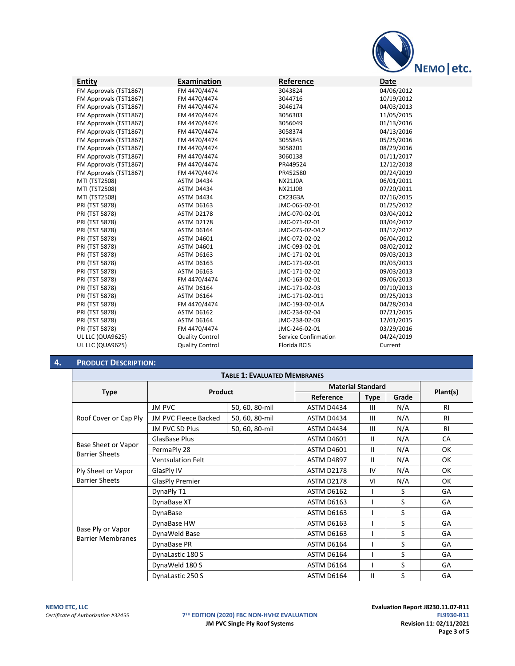

| <b>Entity</b>          | Examination            | Reference                   | Date       |
|------------------------|------------------------|-----------------------------|------------|
| FM Approvals (TST1867) | FM 4470/4474           | 3043824                     | 04/06/2012 |
| FM Approvals (TST1867) | FM 4470/4474           | 3044716                     | 10/19/2012 |
| FM Approvals (TST1867) | FM 4470/4474           | 3046174                     | 04/03/2013 |
| FM Approvals (TST1867) | FM 4470/4474           | 3056303                     | 11/05/2015 |
| FM Approvals (TST1867) | FM 4470/4474           | 3056049                     | 01/13/2016 |
| FM Approvals (TST1867) | FM 4470/4474           | 3058374                     | 04/13/2016 |
| FM Approvals (TST1867) | FM 4470/4474           | 3055845                     | 05/25/2016 |
| FM Approvals (TST1867) | FM 4470/4474           | 3058201                     | 08/29/2016 |
| FM Approvals (TST1867) | FM 4470/4474           | 3060138                     | 01/11/2017 |
| FM Approvals (TST1867) | FM 4470/4474           | PR449524                    | 12/12/2018 |
| FM Approvals (TST1867) | FM 4470/4474           | PR452580                    | 09/24/2019 |
| <b>MTI (TST2508)</b>   | ASTM D4434             | <b>NX21J0A</b>              | 06/01/2011 |
| <b>MTI (TST2508)</b>   | ASTM D4434             | <b>NX21J0B</b>              | 07/20/2011 |
| MTI (TST2508)          | ASTM D4434             | CX23G3A                     | 07/16/2015 |
| PRI (TST 5878)         | <b>ASTM D6163</b>      | JMC-065-02-01               | 01/25/2012 |
| PRI (TST 5878)         | ASTM D2178             | JMC-070-02-01               | 03/04/2012 |
| PRI (TST 5878)         | ASTM D2178             | JMC-071-02-01               | 03/04/2012 |
| PRI (TST 5878)         | <b>ASTM D6164</b>      | JMC-075-02-04.2             | 03/12/2012 |
| PRI (TST 5878)         | <b>ASTM D4601</b>      | JMC-072-02-02               | 06/04/2012 |
| PRI (TST 5878)         | <b>ASTM D4601</b>      | JMC-093-02-01               | 08/02/2012 |
| PRI (TST 5878)         | <b>ASTM D6163</b>      | JMC-171-02-01               | 09/03/2013 |
| PRI (TST 5878)         | <b>ASTM D6163</b>      | JMC-171-02-01               | 09/03/2013 |
| PRI (TST 5878)         | <b>ASTM D6163</b>      | JMC-171-02-02               | 09/03/2013 |
| PRI (TST 5878)         | FM 4470/4474           | JMC-163-02-01               | 09/06/2013 |
| PRI (TST 5878)         | <b>ASTM D6164</b>      | JMC-171-02-03               | 09/10/2013 |
| PRI (TST 5878)         | <b>ASTM D6164</b>      | JMC-171-02-011              | 09/25/2013 |
| PRI (TST 5878)         | FM 4470/4474           | JMC-193-02-01A              | 04/28/2014 |
| PRI (TST 5878)         | <b>ASTM D6162</b>      | JMC-234-02-04               | 07/21/2015 |
| PRI (TST 5878)         | <b>ASTM D6164</b>      | JMC-238-02-03               | 12/01/2015 |
| PRI (TST 5878)         | FM 4470/4474           | JMC-246-02-01               | 03/29/2016 |
| UL LLC (QUA9625)       | <b>Quality Control</b> | <b>Service Confirmation</b> | 04/24/2019 |
| UL LLC (QUA9625)       | <b>Quality Control</b> | Florida BCIS                | Current    |
|                        |                        |                             |            |

# **4. PRODUCT DESCRIPTION:**

| <b>TABLE 1: EVALUATED MEMBRANES</b>                                                                                                                                                  |                                                                                                                                                                                                                                                                                                                                                                                                                                                                                                                                                                                                                                                                                                                             |                |            |             |       |           |
|--------------------------------------------------------------------------------------------------------------------------------------------------------------------------------------|-----------------------------------------------------------------------------------------------------------------------------------------------------------------------------------------------------------------------------------------------------------------------------------------------------------------------------------------------------------------------------------------------------------------------------------------------------------------------------------------------------------------------------------------------------------------------------------------------------------------------------------------------------------------------------------------------------------------------------|----------------|------------|-------------|-------|-----------|
|                                                                                                                                                                                      |                                                                                                                                                                                                                                                                                                                                                                                                                                                                                                                                                                                                                                                                                                                             |                |            |             |       |           |
|                                                                                                                                                                                      |                                                                                                                                                                                                                                                                                                                                                                                                                                                                                                                                                                                                                                                                                                                             |                | Reference  | <b>Type</b> | Grade | Plant(s)  |
|                                                                                                                                                                                      | <b>JM PVC</b>                                                                                                                                                                                                                                                                                                                                                                                                                                                                                                                                                                                                                                                                                                               | 50, 60, 80-mil | ASTM D4434 | Ш           | N/A   | RI        |
| <b>Type</b><br>Roof Cover or Cap Ply<br>Base Sheet or Vapor<br><b>Barrier Sheets</b><br>Ply Sheet or Vapor<br><b>Barrier Sheets</b><br>Base Ply or Vapor<br><b>Barrier Membranes</b> | JM PVC Fleece Backed                                                                                                                                                                                                                                                                                                                                                                                                                                                                                                                                                                                                                                                                                                        | 50, 60, 80-mil | ASTM D4434 | Ш           | N/A   | RI        |
|                                                                                                                                                                                      | JM PVC SD Plus                                                                                                                                                                                                                                                                                                                                                                                                                                                                                                                                                                                                                                                                                                              | 50, 60, 80-mil | ASTM D4434 | Ш           | N/A   | <b>RI</b> |
|                                                                                                                                                                                      | <b>Material Standard</b><br>Product<br>$\mathbf{H}$<br>N/A<br>GlasBase Plus<br><b>ASTM D4601</b><br>N/A<br>PermaPly 28<br><b>ASTM D4601</b><br>$\mathbf{H}$<br>N/A<br><b>Ventsulation Felt</b><br><b>ASTM D4897</b><br>$\mathbf{H}$<br><b>ASTM D2178</b><br>IV<br>N/A<br>GlasPly IV<br>N/A<br><b>GlasPly Premier</b><br><b>ASTM D2178</b><br>VI<br>S<br>DynaPly T1<br><b>ASTM D6162</b><br>S<br><b>ASTM D6163</b><br>DynaBase XT<br>S<br>DynaBase<br><b>ASTM D6163</b><br>S<br><b>ASTM D6163</b><br>DynaBase HW<br>S<br>DynaWeld Base<br><b>ASTM D6163</b><br>S<br>ASTM D6164<br>DynaBase PR<br>S<br>DynaLastic 180 S<br>ASTM D6164<br>S<br>DynaWeld 180 S<br>ASTM D6164<br>S<br><b>ASTM D6164</b><br>Ш<br>DynaLastic 250 S | CA             |            |             |       |           |
|                                                                                                                                                                                      |                                                                                                                                                                                                                                                                                                                                                                                                                                                                                                                                                                                                                                                                                                                             |                |            |             |       | OK.       |
|                                                                                                                                                                                      |                                                                                                                                                                                                                                                                                                                                                                                                                                                                                                                                                                                                                                                                                                                             |                |            |             |       | OK        |
|                                                                                                                                                                                      |                                                                                                                                                                                                                                                                                                                                                                                                                                                                                                                                                                                                                                                                                                                             |                |            |             |       | OK        |
|                                                                                                                                                                                      |                                                                                                                                                                                                                                                                                                                                                                                                                                                                                                                                                                                                                                                                                                                             |                |            |             |       | OK        |
|                                                                                                                                                                                      |                                                                                                                                                                                                                                                                                                                                                                                                                                                                                                                                                                                                                                                                                                                             |                |            |             |       | GA        |
|                                                                                                                                                                                      |                                                                                                                                                                                                                                                                                                                                                                                                                                                                                                                                                                                                                                                                                                                             |                |            |             |       | GA        |
|                                                                                                                                                                                      |                                                                                                                                                                                                                                                                                                                                                                                                                                                                                                                                                                                                                                                                                                                             |                |            |             |       | GA        |
|                                                                                                                                                                                      |                                                                                                                                                                                                                                                                                                                                                                                                                                                                                                                                                                                                                                                                                                                             |                |            |             |       | GA        |
|                                                                                                                                                                                      |                                                                                                                                                                                                                                                                                                                                                                                                                                                                                                                                                                                                                                                                                                                             |                |            |             |       | GA        |
|                                                                                                                                                                                      |                                                                                                                                                                                                                                                                                                                                                                                                                                                                                                                                                                                                                                                                                                                             |                |            |             |       | GA        |
|                                                                                                                                                                                      |                                                                                                                                                                                                                                                                                                                                                                                                                                                                                                                                                                                                                                                                                                                             |                |            |             |       | GA        |
|                                                                                                                                                                                      |                                                                                                                                                                                                                                                                                                                                                                                                                                                                                                                                                                                                                                                                                                                             |                |            |             |       | GA        |
|                                                                                                                                                                                      |                                                                                                                                                                                                                                                                                                                                                                                                                                                                                                                                                                                                                                                                                                                             |                |            |             |       | GA        |

T<sup>H</sup> **EDITION (2020) FBC NON-HVHZ EVALUATION**<br>**IM PVC Single Ply Roof Systems FL9930-R11 Revision 11: 02/11/2021 JM PVC Single Ply Roof Systems** 

**NEMO ETC, LLC**<br>**Certificate of Authorization #32455 NEW TO THE EVALUATION (2020) FBC NON-HVHZ EVALUATION Page 3 of 5**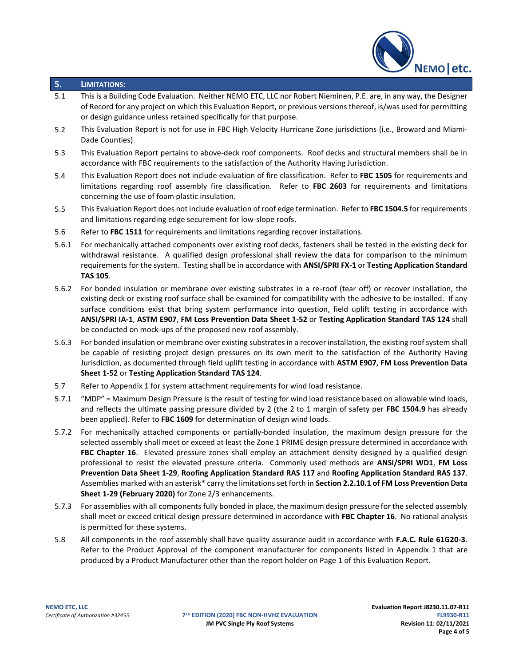

## **5. LIMITATIONS:**

- 5.1 This is a Building Code Evaluation. Neither NEMO ETC, LLC nor Robert Nieminen, P.E. are, in any way, the Designer of Record for any project on which this Evaluation Report, or previous versions thereof, is/was used for permitting or design guidance unless retained specifically for that purpose.
- 5.2 This Evaluation Report is not for use in FBC High Velocity Hurricane Zone jurisdictions (i.e., Broward and Miami-Dade Counties).
- 5.3 This Evaluation Report pertains to above-deck roof components. Roof decks and structural members shall be in accordance with FBC requirements to the satisfaction of the Authority Having Jurisdiction.
- 5.4 This Evaluation Report does not include evaluation of fire classification. Refer to **FBC 1505** for requirements and limitations regarding roof assembly fire classification. Refer to **FBC 2603** for requirements and limitations concerning the use of foam plastic insulation.
- 5.5 This Evaluation Report does not include evaluation of roof edge termination. Refer to **FBC 1504.5** for requirements and limitations regarding edge securement for low-slope roofs.
- 5.6 Refer to **FBC 1511** for requirements and limitations regarding recover installations.
- 5.6.1 For mechanically attached components over existing roof decks, fasteners shall be tested in the existing deck for withdrawal resistance. A qualified design professional shall review the data for comparison to the minimum requirements for the system. Testing shall be in accordance with **ANSI/SPRI FX-1** or **Testing Application Standard TAS 105**.
- 5.6.2 For bonded insulation or membrane over existing substrates in a re-roof (tear off) or recover installation, the existing deck or existing roof surface shall be examined for compatibility with the adhesive to be installed. If any surface conditions exist that bring system performance into question, field uplift testing in accordance with **ANSI/SPRI IA-1**, **ASTM E907**, **FM Loss Prevention Data Sheet 1-52** or **Testing Application Standard TAS 124** shall be conducted on mock-ups of the proposed new roof assembly.
- 5.6.3 For bonded insulation or membrane over existing substrates in a recover installation, the existing roof system shall be capable of resisting project design pressures on its own merit to the satisfaction of the Authority Having Jurisdiction, as documented through field uplift testing in accordance with **ASTM E907**, **FM Loss Prevention Data Sheet 1-52** or **Testing Application Standard TAS 124**.
- 5.7 Refer to Appendix 1 for system attachment requirements for wind load resistance.
- 5.7.1 "MDP" = Maximum Design Pressure is the result of testing for wind load resistance based on allowable wind loads, and reflects the ultimate passing pressure divided by 2 (the 2 to 1 margin of safety per **FBC 1504.9** has already been applied). Refer to **FBC 1609** for determination of design wind loads.
- 5.7.2 For mechanically attached components or partially-bonded insulation, the maximum design pressure for the selected assembly shall meet or exceed at least the Zone 1 PRIME design pressure determined in accordance with FBC Chapter 16. Elevated pressure zones shall employ an attachment density designed by a qualified design professional to resist the elevated pressure criteria. Commonly used methods are **ANSI/SPRI WD1**, **FM Loss Prevention Data Sheet 1-29**, **Roofing Application Standard RAS 117** and **Roofing Application Standard RAS 137**. Assemblies marked with an asterisk\* carry the limitations set forth in **Section 2.2.10.1 of FM Loss Prevention Data Sheet 1-29 (February 2020)** for Zone 2/3 enhancements.
- 5.7.3 For assemblies with all components fully bonded in place, the maximum design pressure for the selected assembly shall meet or exceed critical design pressure determined in accordance with **FBC Chapter 16**. No rational analysis is permitted for these systems.
- 5.8 All components in the roof assembly shall have quality assurance audit in accordance with **F.A.C. Rule 61G20-3**. Refer to the Product Approval of the component manufacturer for components listed in Appendix 1 that are produced by a Product Manufacturer other than the report holder on Page 1 of this Evaluation Report.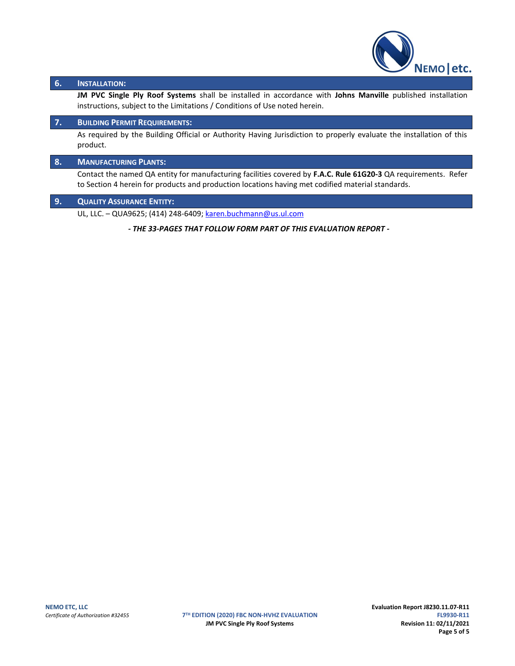

## **6. INSTALLATION:**

**JM PVC Single Ply Roof Systems** shall be installed in accordance with **Johns Manville** published installation instructions, subject to the Limitations / Conditions of Use noted herein.

### **7. BUILDING PERMIT REQUIREMENTS:**

As required by the Building Official or Authority Having Jurisdiction to properly evaluate the installation of this product.

## **8. MANUFACTURING PLANTS:**

Contact the named QA entity for manufacturing facilities covered by **F.A.C. Rule 61G20-3** QA requirements. Refer to Section 4 herein for products and production locations having met codified material standards.

## **9. QUALITY ASSURANCE ENTITY:**

UL, LLC. – QUA9625; (414) 248-6409; [karen.buchmann@us.ul.com](mailto:karen.buchmann@us.ul.com)

*- THE 33-PAGES THAT FOLLOW FORM PART OF THIS EVALUATION REPORT -*

**7TH EDITION (2020) FBC NON-HVHZ EVALUATION JM PVC Single Ply Roof Systems Revision 11: 02/11/2021**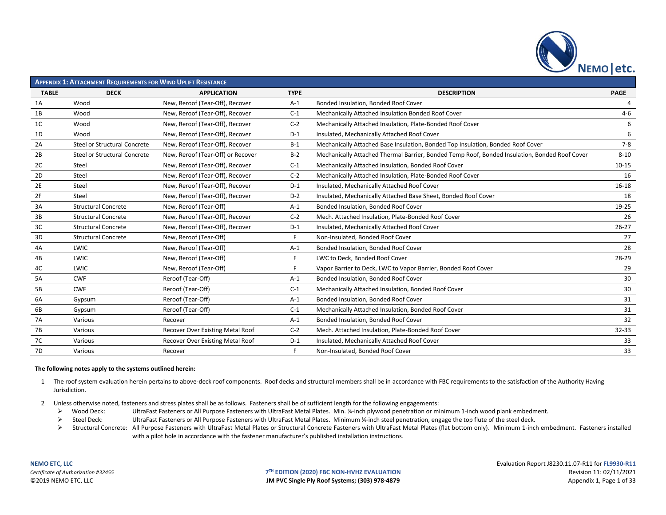

|                | <b>APPENDIX 1: ATTACHMENT REQUIREMENTS FOR WIND UPLIFT RESISTANCE</b> |                                   |             |                                                                                               |                |  |  |  |
|----------------|-----------------------------------------------------------------------|-----------------------------------|-------------|-----------------------------------------------------------------------------------------------|----------------|--|--|--|
| <b>TABLE</b>   | <b>DECK</b>                                                           | <b>APPLICATION</b>                | <b>TYPE</b> | <b>DESCRIPTION</b>                                                                            | <b>PAGE</b>    |  |  |  |
| 1A             | Wood                                                                  | New, Reroof (Tear-Off), Recover   | $A-1$       | Bonded Insulation, Bonded Roof Cover                                                          | $\overline{4}$ |  |  |  |
| 1B             | Wood                                                                  | New, Reroof (Tear-Off), Recover   | $C-1$       | Mechanically Attached Insulation Bonded Roof Cover                                            | $4 - 6$        |  |  |  |
| 1C             | Wood                                                                  | New, Reroof (Tear-Off), Recover   | $C-2$       | Mechanically Attached Insulation, Plate-Bonded Roof Cover                                     | 6              |  |  |  |
| 1D             | Wood                                                                  | New, Reroof (Tear-Off), Recover   | $D-1$       | Insulated, Mechanically Attached Roof Cover                                                   | 6              |  |  |  |
| 2A             | Steel or Structural Concrete                                          | New, Reroof (Tear-Off), Recover   | $B-1$       | Mechanically Attached Base Insulation, Bonded Top Insulation, Bonded Roof Cover               | $7 - 8$        |  |  |  |
| 2B             | Steel or Structural Concrete                                          | New, Reroof (Tear-Off) or Recover | $B-2$       | Mechanically Attached Thermal Barrier, Bonded Temp Roof, Bonded Insulation, Bonded Roof Cover | $8 - 10$       |  |  |  |
| 2C             | Steel                                                                 | New, Reroof (Tear-Off), Recover   | $C-1$       | Mechanically Attached Insulation, Bonded Roof Cover                                           | $10 - 15$      |  |  |  |
| 2 <sub>D</sub> | Steel                                                                 | New, Reroof (Tear-Off), Recover   | $C-2$       | Mechanically Attached Insulation, Plate-Bonded Roof Cover                                     | 16             |  |  |  |
| 2E             | Steel                                                                 | New, Reroof (Tear-Off), Recover   | $D-1$       | Insulated, Mechanically Attached Roof Cover                                                   | $16 - 18$      |  |  |  |
| 2F             | Steel                                                                 | New, Reroof (Tear-Off), Recover   | $D-2$       | Insulated, Mechanically Attached Base Sheet, Bonded Roof Cover                                | 18             |  |  |  |
| 3A             | <b>Structural Concrete</b>                                            | New, Reroof (Tear-Off)            | $A-1$       | Bonded Insulation, Bonded Roof Cover                                                          | 19-25          |  |  |  |
| 3B             | <b>Structural Concrete</b>                                            | New, Reroof (Tear-Off), Recover   | $C-2$       | Mech. Attached Insulation, Plate-Bonded Roof Cover                                            | 26             |  |  |  |
| 3C             | <b>Structural Concrete</b>                                            | New, Reroof (Tear-Off), Recover   | $D-1$       | Insulated, Mechanically Attached Roof Cover                                                   | $26 - 27$      |  |  |  |
| 3D             | <b>Structural Concrete</b>                                            | New, Reroof (Tear-Off)            | F.          | Non-Insulated, Bonded Roof Cover                                                              | 27             |  |  |  |
| 4A             | LWIC                                                                  | New, Reroof (Tear-Off)            | $A-1$       | Bonded Insulation, Bonded Roof Cover                                                          | 28             |  |  |  |
| 4B             | LWIC                                                                  | New, Reroof (Tear-Off)            | F           | LWC to Deck, Bonded Roof Cover                                                                | 28-29          |  |  |  |
| 4C             | LWIC                                                                  | New, Reroof (Tear-Off)            | F           | Vapor Barrier to Deck, LWC to Vapor Barrier, Bonded Roof Cover                                | 29             |  |  |  |
| 5A             | <b>CWF</b>                                                            | Reroof (Tear-Off)                 | $A-1$       | Bonded Insulation, Bonded Roof Cover                                                          | 30             |  |  |  |
| 5B             | <b>CWF</b>                                                            | Reroof (Tear-Off)                 | $C-1$       | Mechanically Attached Insulation, Bonded Roof Cover                                           | 30             |  |  |  |
| 6A             | Gypsum                                                                | Reroof (Tear-Off)                 | $A-1$       | Bonded Insulation, Bonded Roof Cover                                                          | 31             |  |  |  |
| 6B             | Gypsum                                                                | Reroof (Tear-Off)                 | $C-1$       | Mechanically Attached Insulation, Bonded Roof Cover                                           | 31             |  |  |  |
| 7A             | Various                                                               | Recover                           | $A-1$       | Bonded Insulation, Bonded Roof Cover                                                          | 32             |  |  |  |
| 7B             | Various                                                               | Recover Over Existing Metal Roof  | $C-2$       | Mech. Attached Insulation, Plate-Bonded Roof Cover                                            | 32-33          |  |  |  |
| 7C             | Various                                                               | Recover Over Existing Metal Roof  | $D-1$       | Insulated, Mechanically Attached Roof Cover                                                   | 33             |  |  |  |
| 7D             | Various                                                               | Recover                           |             | Non-Insulated, Bonded Roof Cover                                                              | 33             |  |  |  |

### **The following notes apply to the systems outlined herein:**

- 1 The roof system evaluation herein pertains to above-deck roof components. Roof decks and structural members shall be in accordance with FBC requirements to the satisfaction of the Authority Having Jurisdiction.
- 2 Unless otherwise noted, fasteners and stress plates shall be as follows. Fasteners shall be of sufficient length for the following engagements:
	- ➢ Wood Deck: UltraFast Fasteners or All Purpose Fasteners with UltraFast Metal Plates. Min. ¾-inch plywood penetration or minimum 1-inch wood plank embedment.
	- ➢ Steel Deck: UltraFast Fasteners or All Purpose Fasteners with UltraFast Metal Plates. Minimum ¾-inch steel penetration, engage the top flute of the steel deck.
	- ▶ Structural Concrete: All Purpose Fasteners with UltraFast Metal Plates or Structural Concrete Fasteners with UltraFast Metal Plates (flat bottom only). Minimum 1-inch embedment. Fasteners installed with a pilot hole in accordance with the fastener manufacturer's published installation instructions.

**TH EDITION (2020) FBC NON-HVHZ EVALUATION** Revision 11: 02/11/2021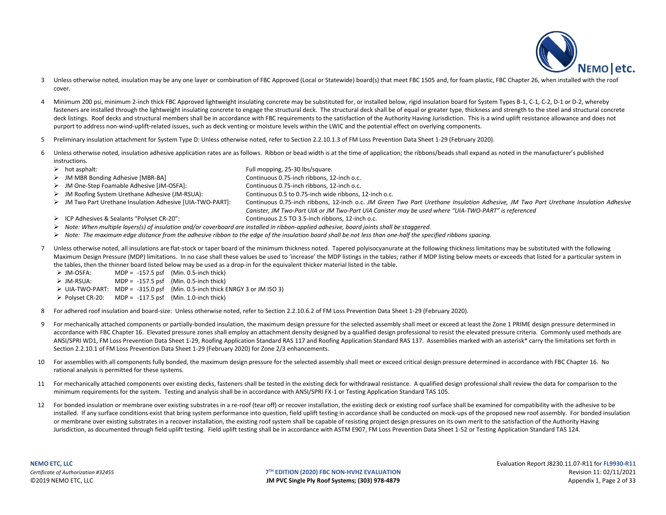

- 3 Unless otherwise noted, insulation may be any one layer or combination of FBC Approved (Local or Statewide) board(s) that meet FBC 1505 and, for foam plastic, FBC Chapter 26, when installed with the roof cover.
- 4 Minimum 200 psi, minimum 2-inch thick FBC Approved lightweight insulating concrete may be substituted for, or installed below, rigid insulation board for System Types B-1, C-1, C-2, D-1 or D-2, whereby fasteners are installed through the lightweight insulating concrete to engage the structural deck. The structural deck shall be of equal or greater type, thickness and strength to the steel and structural concrete deck listings. Roof decks and structural members shall be in accordance with FBC requirements to the satisfaction of the Authority Having Jurisdiction. This is a wind uplift resistance allowance and does not purport to address non-wind-uplift-related issues, such as deck venting or moisture levels within the LWIC and the potential effect on overlying components.
- 5 Preliminary insulation attachment for System Type D: Unless otherwise noted, refer to Section 2.2.10.1.3 of FM Loss Prevention Data Sheet 1-29 (February 2020).
- 6 Unless otherwise noted, insulation adhesive application rates are as follows. Ribbon or bead width is at the time of application; the ribbons/beads shall expand as noted in the manufacturer's published instructions.
	- ➢ hot asphalt: Full mopping, 25-30 lbs/square.
	- ➢ JM MBR Bonding Adhesive [MBR-BA] Continuous 0.75-inch ribbons, 12-inch o.c.
	- ➢ JM One-Step Foamable Adhesive [JM-OSFA]: Continuous 0.75-inch ribbons, 12-inch o.c.
	- ➢ JM Roofing System Urethane Adhesive (JM-RSUA): Continuous 0.5 to 0.75-inch wide ribbons, 12-inch o.c.
	- ➢ JM Two Part Urethane Insulation Adhesive [UIA-TWO-PART]: Continuous 0.75-inch ribbons, 12-inch o.c. *JM Green Two Part Urethane Insulation Adhesive, JM Two Part Urethane Insulation Adhesive* 
		- *Canister, JM Two-Part UIA or JM Two-Part UIA Canister may be used where "UIA-TWO-PART" is referenced*
	- ➢ ICP Adhesives & Sealants "Polyset CR-20": Continuous 2.5 TO 3.5-inch ribbons, 12-inch o.c.
	- ➢ *Note: When multiple layers(s) of insulation and/or coverboard are installed in ribbon-applied adhesive, board joints shall be staggered.*
	- ➢ *Note: The maximum edge distance from the adhesive ribbon to the edge of the insulation board shall be not less than one-half the specified ribbons spacing.*
- 7 Unless otherwise noted, all insulations are flat-stock or taper board of the minimum thickness noted. Tapered polyisocyanurate at the following thickness limitations may be substituted with the following Maximum Design Pressure (MDP) limitations. In no case shall these values be used to 'increase' the MDP listings in the tables; rather if MDP listing below meets or exceeds that listed for a particular system in the tables, then the thinner board listed below may be used as a drop-in for the equivalent thicker material listed in the table.
	- $\triangleright$  JM-OSFA: MDP = -157.5 psf (Min. 0.5-inch thick)
	- $\triangleright$  JM-RSUA: MDP = -157.5 psf (Min. 0.5-inch thick)
	- ➢ UIA-TWO-PART: MDP = -315.0 psf (Min. 0.5-inch thick ENRGY 3 or JM ISO 3)
	- $\triangleright$  Polyset CR-20: MDP = -117.5 psf (Min. 1.0-inch thick)
- 8 For adhered roof insulation and board-size: Unless otherwise noted, refer to Section 2.2.10.6.2 of FM Loss Prevention Data Sheet 1-29 (February 2020).
- 9 For mechanically attached components or partially-bonded insulation, the maximum design pressure for the selected assembly shall meet or exceed at least the Zone 1 PRIME design pressure determined in accordance with FBC Chapter 16. Elevated pressure zones shall employ an attachment density designed by a qualified design professional to resist the elevated pressure criteria. Commonly used methods are ANSI/SPRI WD1, FM Loss Prevention Data Sheet 1-29, Roofing Application Standard RAS 117 and Roofing Application Standard RAS 137. Assemblies marked with an asterisk\* carry the limitations set forth in Section 2.2.10.1 of FM Loss Prevention Data Sheet 1-29 (February 2020) for Zone 2/3 enhancements.
- 10 For assemblies with all components fully bonded, the maximum design pressure for the selected assembly shall meet or exceed critical design pressure determined in accordance with FBC Chapter 16. No rational analysis is permitted for these systems.
- 11 For mechanically attached components over existing decks, fasteners shall be tested in the existing deck for withdrawal resistance. A qualified design professional shall review the data for comparison to the minimum requirements for the system. Testing and analysis shall be in accordance with ANSI/SPRI FX-1 or Testing Application Standard TAS 105.
- 12 For bonded insulation or membrane over existing substrates in a re-roof (tear off) or recover installation, the existing deck or existing roof surface shall be examined for compatibility with the adhesive to be installed. If any surface conditions exist that bring system performance into question, field uplift testing in accordance shall be conducted on mock-ups of the proposed new roof assembly. For bonded insulation or membrane over existing substrates in a recover installation, the existing roof system shall be capable of resisting project design pressures on its own merit to the satisfaction of the Authority Having Jurisdiction, as documented through field uplift testing. Field uplift testing shall be in accordance with ASTM E907, FM Loss Prevention Data Sheet 1-52 or Testing Application Standard TAS 124.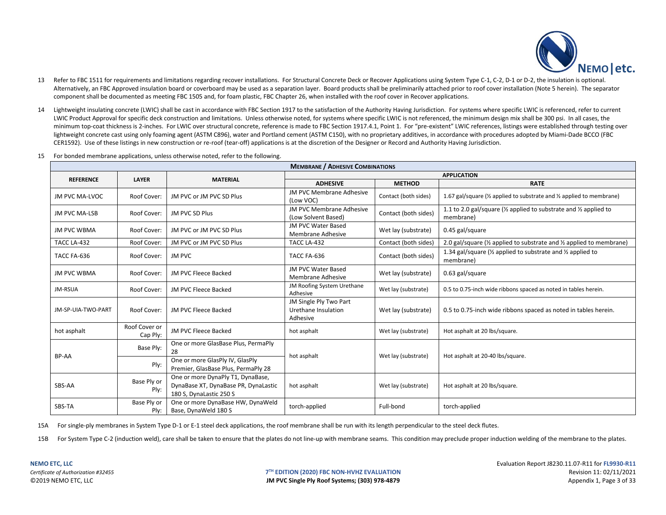

- 13 Refer to FBC 1511 for requirements and limitations regarding recover installations. For Structural Concrete Deck or Recover Applications using System Type C-1, C-2, D-1 or D-2, the insulation is optional. Alternatively, an FBC Approved insulation board or coverboard may be used as a separation layer. Board products shall be preliminarily attached prior to roof cover installation (Note 5 herein). The separator component shall be documented as meeting FBC 1505 and, for foam plastic, FBC Chapter 26, when installed with the roof cover in Recover applications.
- 14 Lightweight insulating concrete (LWIC) shall be cast in accordance with FBC Section 1917 to the satisfaction of the Authority Having Jurisdiction. For systems where specific LWIC is referenced, refer to current LWIC Product Approval for specific deck construction and limitations. Unless otherwise noted, for systems where specific LWIC is not referenced, the minimum design mix shall be 300 psi. In all cases, the minimum top-coat thickness is 2-inches. For LWIC over structural concrete, reference is made to FBC Section 1917.4.1, Point 1. For "pre-existent" LWIC references, listings were established through testing over lightweight concrete cast using only foaming agent (ASTM C896), water and Portland cement (ASTM C150), with no proprietary additives, in accordance with procedures adopted by Miami-Dade BCCO (FBC CER1592). Use of these listings in new construction or re-roof (tear-off) applications is at the discretion of the Designer or Record and Authority Having Jurisdiction.
- 15 For bonded membrane applications, unless otherwise noted, refer to the following.

|                       | <b>MEMBRANE / ADHESIVE COMBINATIONS</b> |                                                                                                      |                                                           |                      |                                                                                                      |  |  |
|-----------------------|-----------------------------------------|------------------------------------------------------------------------------------------------------|-----------------------------------------------------------|----------------------|------------------------------------------------------------------------------------------------------|--|--|
| <b>REFERENCE</b>      | <b>LAYER</b>                            | <b>MATERIAL</b>                                                                                      |                                                           |                      | <b>APPLICATION</b>                                                                                   |  |  |
|                       |                                         |                                                                                                      | <b>ADHESIVE</b>                                           | <b>METHOD</b>        | <b>RATE</b>                                                                                          |  |  |
| <b>JM PVC MA-LVOC</b> | Roof Cover:                             | JM PVC or JM PVC SD Plus                                                                             | JM PVC Membrane Adhesive<br>(Low VOC)                     | Contact (both sides) | 1.67 gal/square (1/2 applied to substrate and 1/2 applied to membrane)                               |  |  |
| <b>JM PVC MA-LSB</b>  | Roof Cover:                             | JM PVC SD Plus                                                                                       | JM PVC Membrane Adhesive<br>(Low Solvent Based)           | Contact (both sides) | 1.1 to 2.0 gal/square ( $\frac{1}{2}$ applied to substrate and $\frac{1}{2}$ applied to<br>membrane) |  |  |
| <b>JM PVC WBMA</b>    | Roof Cover:                             | JM PVC or JM PVC SD Plus                                                                             | JM PVC Water Based<br>Membrane Adhesive                   | Wet lay (substrate)  | 0.45 gal/square                                                                                      |  |  |
| TACC LA-432           | Roof Cover:                             | JM PVC or JM PVC SD Plus                                                                             | TACC LA-432                                               | Contact (both sides) | 2.0 gal/square ( $\frac{1}{2}$ applied to substrate and $\frac{1}{2}$ applied to membrane)           |  |  |
| TACC FA-636           | Roof Cover:                             | <b>JM PVC</b>                                                                                        | TACC FA-636                                               | Contact (both sides) | 1.34 gal/square (1/2 applied to substrate and 1/2 applied to<br>membrane)                            |  |  |
| <b>JM PVC WBMA</b>    | Roof Cover:                             | JM PVC Fleece Backed                                                                                 | JM PVC Water Based<br>Membrane Adhesive                   | Wet lay (substrate)  | 0.63 gal/square                                                                                      |  |  |
| JM-RSUA               | Roof Cover:                             | JM PVC Fleece Backed                                                                                 | JM Roofing System Urethane<br>Adhesive                    | Wet lay (substrate)  | 0.5 to 0.75-inch wide ribbons spaced as noted in tables herein.                                      |  |  |
| JM-SP-UIA-TWO-PART    | Roof Cover:                             | JM PVC Fleece Backed                                                                                 | JM Single Ply Two Part<br>Urethane Insulation<br>Adhesive | Wet lay (substrate)  | 0.5 to 0.75-inch wide ribbons spaced as noted in tables herein.                                      |  |  |
| hot asphalt           | Roof Cover or<br>Cap Ply:               | JM PVC Fleece Backed                                                                                 | hot asphalt                                               | Wet lay (substrate)  | Hot asphalt at 20 lbs/square.                                                                        |  |  |
| BP-AA                 | Base Ply:                               | One or more GlasBase Plus, PermaPly<br>28                                                            | hot asphalt                                               | Wet lay (substrate)  |                                                                                                      |  |  |
|                       | Ply:                                    | One or more GlasPly IV, GlasPly<br>Premier, GlasBase Plus, PermaPly 28                               |                                                           |                      | Hot asphalt at 20-40 lbs/square.                                                                     |  |  |
| SBS-AA                | Base Ply or<br>Ply:                     | One or more DynaPly T1, DynaBase,<br>DynaBase XT, DynaBase PR, DynaLastic<br>180 S, DynaLastic 250 S | hot asphalt                                               | Wet lay (substrate)  | Hot asphalt at 20 lbs/square.                                                                        |  |  |
| SBS-TA                | Base Ply or<br>Ply:                     | One or more DynaBase HW, DynaWeld<br>Base, DynaWeld 180 S                                            | torch-applied                                             | Full-bond            | torch-applied                                                                                        |  |  |

15A For single-ply membranes in System Type D-1 or E-1 steel deck applications, the roof membrane shall be run with its length perpendicular to the steel deck flutes.

15B For System Type C-2 (induction weld), care shall be taken to ensure that the plates do not line-up with membrane seams. This condition may preclude proper induction welding of the membrane to the plates.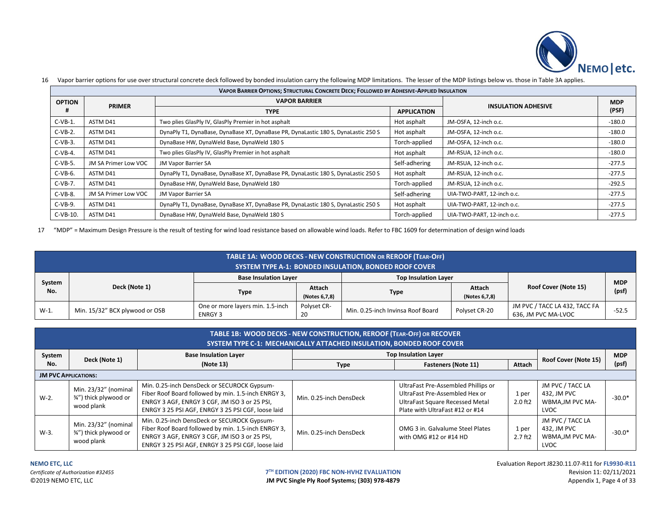

|               | vapor barner options for ase over stratural contrette activitiem only bonaca msalation carry the following two immtations. The resser of the mstings below vs. those in Table SA applies. |                                                                                    |                    |                            |            |  |  |  |  |
|---------------|-------------------------------------------------------------------------------------------------------------------------------------------------------------------------------------------|------------------------------------------------------------------------------------|--------------------|----------------------------|------------|--|--|--|--|
|               | <b>VAPOR BARRIER OPTIONS; STRUCTURAL CONCRETE DECK; FOLLOWED BY ADHESIVE-APPLIED INSULATION</b>                                                                                           |                                                                                    |                    |                            |            |  |  |  |  |
| <b>OPTION</b> | <b>PRIMER</b>                                                                                                                                                                             | <b>VAPOR BARRIER</b>                                                               |                    | <b>INSULATION ADHESIVE</b> | <b>MDP</b> |  |  |  |  |
|               |                                                                                                                                                                                           | <b>TYPE</b>                                                                        | <b>APPLICATION</b> |                            | (PSF)      |  |  |  |  |
| $C-VB-1$      | ASTM D41                                                                                                                                                                                  | Two plies GlasPly IV, GlasPly Premier in hot asphalt                               | Hot asphalt        | JM-OSFA, 12-inch o.c.      | $-180.0$   |  |  |  |  |
| $C-VB-2.$     | ASTM D41                                                                                                                                                                                  | DynaPly T1, DynaBase, DynaBase XT, DynaBase PR, DynaLastic 180 S, DynaLastic 250 S | Hot asphalt        | JM-OSFA, 12-inch o.c.      | $-180.0$   |  |  |  |  |
| $C-VB-3.$     | ASTM D41                                                                                                                                                                                  | DynaBase HW, DynaWeld Base, DynaWeld 180 S                                         | Torch-applied      | JM-OSFA, 12-inch o.c.      | $-180.0$   |  |  |  |  |
| $C-VB-4.$     | ASTM D41                                                                                                                                                                                  | Two plies GlasPly IV, GlasPly Premier in hot asphalt                               | Hot asphalt        | JM-RSUA, 12-inch o.c.      | $-180.0$   |  |  |  |  |
| $C-VB-5$ .    | <b>JM SA Primer Low VOC</b>                                                                                                                                                               | <b>JM Vapor Barrier SA</b>                                                         | Self-adhering      | JM-RSUA, 12-inch o.c.      | $-277.5$   |  |  |  |  |
| $C-VB-6.$     | ASTM D41                                                                                                                                                                                  | DynaPly T1, DynaBase, DynaBase XT, DynaBase PR, DynaLastic 180 S, DynaLastic 250 S | Hot asphalt        | JM-RSUA, 12-inch o.c.      | $-277.5$   |  |  |  |  |
| $C-VB-7.$     | ASTM D41                                                                                                                                                                                  | DynaBase HW, DynaWeld Base, DynaWeld 180                                           | Torch-applied      | JM-RSUA, 12-inch o.c.      | $-292.5$   |  |  |  |  |
| $C-VB-8.$     | <b>JM SA Primer Low VOC</b>                                                                                                                                                               | <b>JM Vapor Barrier SA</b>                                                         | Self-adhering      | UIA-TWO-PART, 12-inch o.c. | $-277.5$   |  |  |  |  |
| $C-VB-9.$     | ASTM D41                                                                                                                                                                                  | DynaPly T1, DynaBase, DynaBase XT, DynaBase PR, DynaLastic 180 S, DynaLastic 250 S | Hot asphalt        | UIA-TWO-PART, 12-inch o.c. | $-277.5$   |  |  |  |  |
| $C-VB-10.$    | ASTM D41                                                                                                                                                                                  | DynaBase HW, DynaWeld Base, DynaWeld 180 S                                         | Torch-applied      | UIA-TWO-PART, 12-inch o.c. | $-277.5$   |  |  |  |  |

16 Vapor barrier options for use over structural concrete deck followed by bonded insulation carry the following MDP limitations. The lesser of the MDP listings below vs. those in Table 3A applies.

17 "MDP" = Maximum Design Pressure is the result of testing for wind load resistance based on allowable wind loads. Refer to FBC 1609 for determination of design wind loads

|               | TABLE 1A: WOOD DECKS - NEW CONSTRUCTION OR REROOF (TEAR-OFF)<br>SYSTEM TYPE A-1: BONDED INSULATION, BONDED ROOF COVER |                                                    |                         |                                   |                         |                                                      |            |  |  |  |
|---------------|-----------------------------------------------------------------------------------------------------------------------|----------------------------------------------------|-------------------------|-----------------------------------|-------------------------|------------------------------------------------------|------------|--|--|--|
|               |                                                                                                                       | <b>Base Insulation Layer</b>                       |                         | <b>Top Insulation Layer</b>       |                         |                                                      | <b>MDP</b> |  |  |  |
| System<br>No. | Deck (Note 1)                                                                                                         | Type                                               | Attach<br>(Notes 6,7,8) | <b>Type</b>                       | Attach<br>(Notes 6,7,8) | Roof Cover (Note 15)                                 | (psf       |  |  |  |
| W-1.          | Min. 15/32" BCX plywood or OSB                                                                                        | One or more layers min. 1.5-inch<br><b>ENRGY 3</b> | Polyset CR-<br>20       | Min. 0.25-inch Invinsa Roof Board | Polyset CR-20           | JM PVC / TACC LA 432, TACC FA<br>636, JM PVC MA-LVOC | $-52.5$    |  |  |  |

|                             | TABLE 1B: WOOD DECKS - NEW CONSTRUCTION, REROOF (TEAR-OFF) OR RECOVER<br>SYSTEM TYPE C-1: MECHANICALLY ATTACHED INSULATION, BONDED ROOF COVER |                                                                                                                                                                                                           |                         |                                                                                                                                             |                       |                                                             |            |  |  |  |
|-----------------------------|-----------------------------------------------------------------------------------------------------------------------------------------------|-----------------------------------------------------------------------------------------------------------------------------------------------------------------------------------------------------------|-------------------------|---------------------------------------------------------------------------------------------------------------------------------------------|-----------------------|-------------------------------------------------------------|------------|--|--|--|
| System                      | <b>Top Insulation Layer</b><br><b>Base Insulation Layer</b><br>Deck (Note 1)                                                                  |                                                                                                                                                                                                           |                         |                                                                                                                                             |                       | Roof Cover (Note 15)                                        | <b>MDP</b> |  |  |  |
| No.                         |                                                                                                                                               | (Note 13)                                                                                                                                                                                                 | Type                    | <b>Fasteners (Note 11)</b>                                                                                                                  | Attach                |                                                             | (psf)      |  |  |  |
| <b>JM PVC APPLICATIONS:</b> |                                                                                                                                               |                                                                                                                                                                                                           |                         |                                                                                                                                             |                       |                                                             |            |  |  |  |
| $W-2$ .                     | Min. 23/32" (nominal<br>3/4") thick plywood or<br>wood plank                                                                                  | Min. 0.25-inch DensDeck or SECUROCK Gypsum-<br>Fiber Roof Board followed by min. 1.5-inch ENRGY 3,<br>ENRGY 3 AGF, ENRGY 3 CGF, JM ISO 3 or 25 PSI,<br>ENRGY 3 25 PSI AGF, ENRGY 3 25 PSI CGF, loose laid | Min. 0.25-inch DensDeck | UltraFast Pre-Assembled Phillips or<br>UltraFast Pre-Assembled Hex or<br>UltraFast Square Recessed Metal<br>Plate with UltraFast #12 or #14 | 1 per<br>$2.0$ ft $2$ | JM PVC / TACC LA<br>432, JM PVC<br>WBMA, JM PVC MA-<br>LVOC | $-30.0*$   |  |  |  |
| W-3.                        | Min. 23/32" (nominal<br>3/4") thick plywood or<br>wood plank                                                                                  | Min. 0.25-inch DensDeck or SECUROCK Gypsum-<br>Fiber Roof Board followed by min. 1.5-inch ENRGY 3,<br>ENRGY 3 AGF, ENRGY 3 CGF, JM ISO 3 or 25 PSI,<br>ENRGY 3 25 PSI AGF, ENRGY 3 25 PSI CGF, loose laid | Min. 0.25-inch DensDeck | OMG 3 in. Galvalume Steel Plates<br>with OMG #12 or #14 HD                                                                                  | 1 per<br>$2.7$ ft $2$ | JM PVC / TACC LA<br>432. JM PVC<br>WBMA, JM PVC MA-<br>LVOC | $-30.0*$   |  |  |  |

**TH EDITION (2020) FBC NON-HVHZ EVALUATION** Revision 11: 02/11/2021

**NEMO ETC, LLC** Evaluation Report J8230.11.07-R11 for **FL9930-R11** C2019 NEMO ETC, LLC **CONSULTER STATES And Account of the Systems; (303) 978-4879** Appendix 1, Page 4 of 33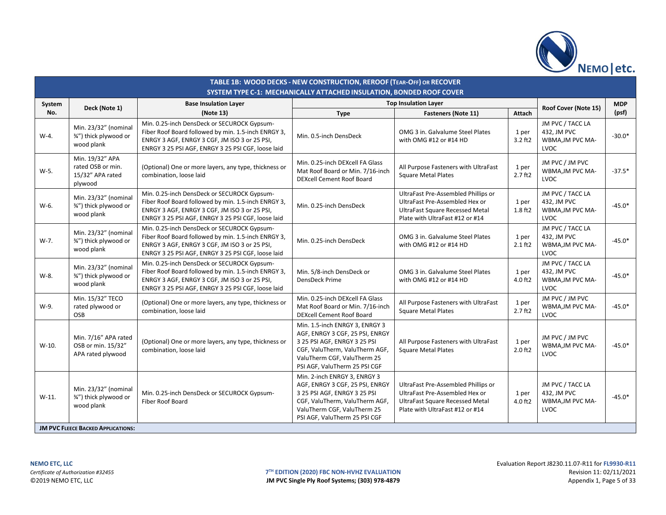

|         | TABLE 1B: WOOD DECKS - NEW CONSTRUCTION, REROOF (TEAR-OFF) OR RECOVER<br>SYSTEM TYPE C-1: MECHANICALLY ATTACHED INSULATION, BONDED ROOF COVER |                                                                                                                                                                                                           |                                                                                                                                                                                                     |                                                                                                                                                    |                       |                                                                    |            |  |  |
|---------|-----------------------------------------------------------------------------------------------------------------------------------------------|-----------------------------------------------------------------------------------------------------------------------------------------------------------------------------------------------------------|-----------------------------------------------------------------------------------------------------------------------------------------------------------------------------------------------------|----------------------------------------------------------------------------------------------------------------------------------------------------|-----------------------|--------------------------------------------------------------------|------------|--|--|
| System  | Deck (Note 1)                                                                                                                                 | <b>Base Insulation Layer</b>                                                                                                                                                                              |                                                                                                                                                                                                     | <b>Top Insulation Layer</b>                                                                                                                        |                       | Roof Cover (Note 15)                                               | <b>MDP</b> |  |  |
| No.     |                                                                                                                                               | (Note 13)                                                                                                                                                                                                 | <b>Type</b>                                                                                                                                                                                         | Fasteners (Note 11)                                                                                                                                | <b>Attach</b>         |                                                                    | (psf)      |  |  |
| W-4.    | Min. 23/32" (nominal<br>3/4") thick plywood or<br>wood plank                                                                                  | Min. 0.25-inch DensDeck or SECUROCK Gypsum-<br>Fiber Roof Board followed by min. 1.5-inch ENRGY 3,<br>ENRGY 3 AGF, ENRGY 3 CGF, JM ISO 3 or 25 PSI,<br>ENRGY 3 25 PSI AGF, ENRGY 3 25 PSI CGF, loose laid | Min. 0.5-inch DensDeck                                                                                                                                                                              | OMG 3 in. Galvalume Steel Plates<br>with OMG #12 or #14 HD                                                                                         | 1 per<br>$3.2$ ft2    | JM PVC / TACC LA<br>432, JM PVC<br>WBMA, JM PVC MA-<br><b>LVOC</b> | $-30.0*$   |  |  |
| W-5.    | Min. 19/32" APA<br>rated OSB or min.<br>15/32" APA rated<br>plywood                                                                           | (Optional) One or more layers, any type, thickness or<br>combination, loose laid                                                                                                                          | Min. 0.25-inch DEXcell FA Glass<br>Mat Roof Board or Min. 7/16-inch<br><b>DEXcell Cement Roof Board</b>                                                                                             | All Purpose Fasteners with UltraFast<br><b>Square Metal Plates</b>                                                                                 | 1 per<br>$2.7$ ft $2$ | JM PVC / JM PVC<br>WBMA, JM PVC MA-<br>LVOC                        | $-37.5*$   |  |  |
| W-6.    | Min. 23/32" (nominal<br>3/4") thick plywood or<br>wood plank                                                                                  | Min. 0.25-inch DensDeck or SECUROCK Gypsum-<br>Fiber Roof Board followed by min. 1.5-inch ENRGY 3,<br>ENRGY 3 AGF, ENRGY 3 CGF, JM ISO 3 or 25 PSI,<br>ENRGY 3 25 PSI AGF, ENRGY 3 25 PSI CGF, loose laid | Min. 0.25-inch DensDeck                                                                                                                                                                             | UltraFast Pre-Assembled Phillips or<br>UltraFast Pre-Assembled Hex or<br><b>UltraFast Square Recessed Metal</b><br>Plate with UltraFast #12 or #14 | 1 per<br>1.8 ft2      | JM PVC / TACC LA<br>432, JM PVC<br>WBMA, JM PVC MA-<br><b>LVOC</b> | $-45.0*$   |  |  |
| W-7.    | Min. 23/32" (nomina<br>3/4") thick plywood or<br>wood plank                                                                                   | Min. 0.25-inch DensDeck or SECUROCK Gypsum-<br>Fiber Roof Board followed by min. 1.5-inch ENRGY 3,<br>ENRGY 3 AGF, ENRGY 3 CGF, JM ISO 3 or 25 PSI,<br>ENRGY 3 25 PSI AGF, ENRGY 3 25 PSI CGF, loose laid | Min. 0.25-inch DensDeck                                                                                                                                                                             | OMG 3 in. Galvalume Steel Plates<br>with OMG #12 or #14 HD                                                                                         | 1 per<br>$2.1$ ft2    | JM PVC / TACC LA<br>432, JM PVC<br>WBMA, JM PVC MA-<br><b>LVOC</b> | $-45.0*$   |  |  |
| W-8.    | Min. 23/32" (nominal<br>3/4") thick plywood or<br>wood plank                                                                                  | Min. 0.25-inch DensDeck or SECUROCK Gypsum-<br>Fiber Roof Board followed by min. 1.5-inch ENRGY 3,<br>ENRGY 3 AGF, ENRGY 3 CGF, JM ISO 3 or 25 PSI,<br>ENRGY 3 25 PSI AGF, ENRGY 3 25 PSI CGF, loose laid | Min. 5/8-inch DensDeck or<br>DensDeck Prime                                                                                                                                                         | OMG 3 in. Galvalume Steel Plates<br>with OMG #12 or #14 HD                                                                                         | 1 per<br>4.0 ft2      | JM PVC / TACC LA<br>432, JM PVC<br>WBMA, JM PVC MA-<br><b>LVOC</b> | $-45.0*$   |  |  |
| W-9.    | Min. 15/32" TECO<br>rated plywood or<br>OSB                                                                                                   | (Optional) One or more layers, any type, thickness or<br>combination, loose laid                                                                                                                          | Min. 0.25-inch DEXcell FA Glass<br>Mat Roof Board or Min. 7/16-inch<br><b>DEXcell Cement Roof Board</b>                                                                                             | All Purpose Fasteners with UltraFast<br><b>Square Metal Plates</b>                                                                                 | 1 per<br>$2.7$ ft $2$ | JM PVC / JM PVC<br>WBMA, JM PVC MA-<br>LVOC                        | $-45.0*$   |  |  |
| $W-10.$ | Min. 7/16" APA rated<br>OSB or min. 15/32"<br>APA rated plywood                                                                               | (Optional) One or more layers, any type, thickness or<br>combination, loose laid                                                                                                                          | Min. 1.5-inch ENRGY 3, ENRGY 3<br>AGF, ENRGY 3 CGF, 25 PSI, ENRGY<br>3 25 PSI AGF, ENRGY 3 25 PSI<br>CGF, ValuTherm, ValuTherm AGF,<br>ValuTherm CGF, ValuTherm 25<br>PSI AGF, ValuTherm 25 PSI CGF | All Purpose Fasteners with UltraFast<br><b>Square Metal Plates</b>                                                                                 | 1 per<br>$2.0$ ft $2$ | JM PVC / JM PVC<br>WBMA, JM PVC MA-<br><b>LVOC</b>                 | $-45.0*$   |  |  |
| $W-11.$ | Min. 23/32" (nominal<br>3/4") thick plywood or<br>wood plank                                                                                  | Min. 0.25-inch DensDeck or SECUROCK Gypsum-<br><b>Fiber Roof Board</b>                                                                                                                                    | Min. 2-inch ENRGY 3, ENRGY 3<br>AGF, ENRGY 3 CGF, 25 PSI, ENRGY<br>3 25 PSI AGF, ENRGY 3 25 PSI<br>CGF, ValuTherm, ValuTherm AGF,<br>ValuTherm CGF, ValuTherm 25<br>PSI AGF, ValuTherm 25 PSI CGF   | UltraFast Pre-Assembled Phillips or<br>UltraFast Pre-Assembled Hex or<br><b>UltraFast Square Recessed Metal</b><br>Plate with UltraFast #12 or #14 | 1 per<br>4.0 ft2      | JM PVC / TACC LA<br>432, JM PVC<br>WBMA, JM PVC MA-<br>LVOC        | $-45.0*$   |  |  |
|         | <b>JM PVC FLEECE BACKED APPLICATIONS:</b>                                                                                                     |                                                                                                                                                                                                           |                                                                                                                                                                                                     |                                                                                                                                                    |                       |                                                                    |            |  |  |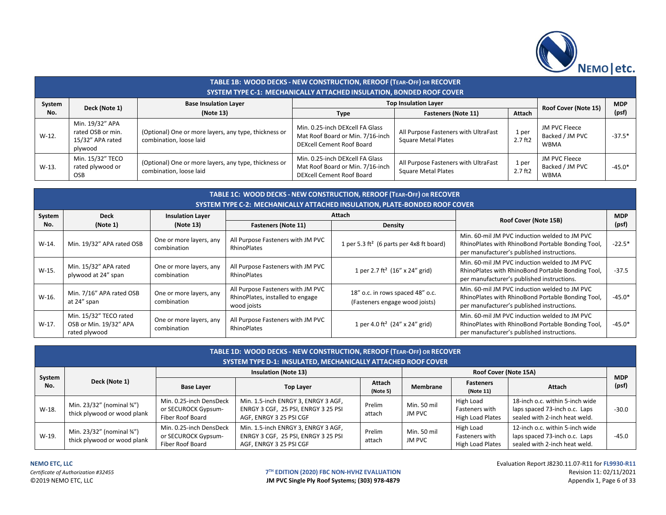

|               | TABLE 1B: WOOD DECKS - NEW CONSTRUCTION, REROOF (TEAR-OFF) OR RECOVER<br><b>SYSTEM TYPE C-1: MECHANICALLY ATTACHED INSULATION, BONDED ROOF COVER</b> |                                                                                  |                                                                                                         |                                                                    |                       |                                                 |                     |  |  |  |
|---------------|------------------------------------------------------------------------------------------------------------------------------------------------------|----------------------------------------------------------------------------------|---------------------------------------------------------------------------------------------------------|--------------------------------------------------------------------|-----------------------|-------------------------------------------------|---------------------|--|--|--|
| System<br>No. | Deck (Note 1)                                                                                                                                        | <b>Base Insulation Layer</b><br>(Note 13)                                        | <b>Type</b>                                                                                             | <b>Top Insulation Layer</b><br><b>Fasteners (Note 11)</b>          | Attach                | Roof Cover (Note 15)                            | <b>MDP</b><br>(psf) |  |  |  |
| $W-12.$       | Min. 19/32" APA<br>rated OSB or min.<br>15/32" APA rated<br>plywood                                                                                  | (Optional) One or more layers, any type, thickness or<br>combination, loose laid | Min. 0.25-inch DEXcell FA Glass<br>Mat Roof Board or Min. 7/16-inch<br><b>DEXcell Cement Roof Board</b> | All Purpose Fasteners with UltraFast<br><b>Square Metal Plates</b> | 1 per<br>$2.7$ ft $2$ | JM PVC Fleece<br>Backed / JM PVC<br><b>WBMA</b> | $-37.5*$            |  |  |  |
| $W-13.$       | Min. 15/32" TECO<br>rated plywood or<br><b>OSB</b>                                                                                                   | (Optional) One or more layers, any type, thickness or<br>combination, loose laid | Min. 0.25-inch DEXcell FA Glass<br>Mat Roof Board or Min. 7/16-inch<br><b>DEXcell Cement Roof Board</b> | All Purpose Fasteners with UltraFast<br><b>Square Metal Plates</b> | 1 per<br>$2.7$ ft $2$ | JM PVC Fleece<br>Backed / JM PVC<br><b>WBMA</b> | $-45.0*$            |  |  |  |

|         | TABLE 1C: WOOD DECKS - NEW CONSTRUCTION, REROOF (TEAR-OFF) OR RECOVER<br>SYSTEM TYPE C-2: MECHANICALLY ATTACHED INSULATION, PLATE-BONDED ROOF COVER |                                        |                                                                                      |                                                                    |                                                                                                                                                  |            |  |  |  |  |  |  |  |
|---------|-----------------------------------------------------------------------------------------------------------------------------------------------------|----------------------------------------|--------------------------------------------------------------------------------------|--------------------------------------------------------------------|--------------------------------------------------------------------------------------------------------------------------------------------------|------------|--|--|--|--|--|--|--|
| System  | <b>Deck</b>                                                                                                                                         | <b>Insulation Layer</b>                |                                                                                      | Attach                                                             | Roof Cover (Note 15B)                                                                                                                            | <b>MDP</b> |  |  |  |  |  |  |  |
| No.     | (Note 1)                                                                                                                                            | (Note 13)                              | <b>Fasteners (Note 11)</b>                                                           | <b>Density</b>                                                     |                                                                                                                                                  | (psf)      |  |  |  |  |  |  |  |
| $W-14.$ | Min. 19/32" APA rated OSB                                                                                                                           | One or more layers, any<br>combination | All Purpose Fasteners with JM PVC<br>RhinoPlates                                     | 1 per 5.3 ft <sup>2</sup> (6 parts per 4x8 ft board)               | Min. 60-mil JM PVC induction welded to JM PVC<br>RhinoPlates with RhinoBond Portable Bonding Tool,<br>per manufacturer's published instructions. | $-22.5*$   |  |  |  |  |  |  |  |
| W-15.   | Min. 15/32" APA rated<br>plywood at 24" span                                                                                                        | One or more layers, any<br>combination | All Purpose Fasteners with JM PVC<br>RhinoPlates                                     | 1 per 2.7 ft <sup>2</sup> (16" x 24" grid)                         | Min. 60-mil JM PVC induction welded to JM PVC<br>RhinoPlates with RhinoBond Portable Bonding Tool,<br>per manufacturer's published instructions. | $-37.5$    |  |  |  |  |  |  |  |
| W-16.   | Min. 7/16" APA rated OSB<br>at 24" span                                                                                                             | One or more layers, any<br>combination | All Purpose Fasteners with JM PVC<br>RhinoPlates, installed to engage<br>wood joists | 18" o.c. in rows spaced 48" o.c.<br>(Fasteners engage wood joists) | Min. 60-mil JM PVC induction welded to JM PVC<br>RhinoPlates with RhinoBond Portable Bonding Tool,<br>per manufacturer's published instructions. | $-45.0*$   |  |  |  |  |  |  |  |
| W-17.   | Min. 15/32" TECO rated<br>OSB or Min. 19/32" APA<br>rated plywood                                                                                   | One or more layers, any<br>combination | All Purpose Fasteners with JM PVC<br>RhinoPlates                                     | 1 per 4.0 ft <sup>2</sup> (24" x 24" grid)                         | Min. 60-mil JM PVC induction welded to JM PVC<br>RhinoPlates with RhinoBond Portable Bonding Tool,<br>per manufacturer's published instructions. | $-45.0*$   |  |  |  |  |  |  |  |

| TABLE 1D: WOOD DECKS - NEW CONSTRUCTION, REROOF (TEAR-OFF) OR RECOVER<br><b>SYSTEM TYPE D-1: INSULATED, MECHANICALLY ATTACHED ROOF COVER</b> |                                                                          |                                                                    |                                                                                                       |                  |                       |                                                        |                                                                                                   |            |  |  |
|----------------------------------------------------------------------------------------------------------------------------------------------|--------------------------------------------------------------------------|--------------------------------------------------------------------|-------------------------------------------------------------------------------------------------------|------------------|-----------------------|--------------------------------------------------------|---------------------------------------------------------------------------------------------------|------------|--|--|
|                                                                                                                                              |                                                                          |                                                                    | <b>Insulation (Note 13)</b>                                                                           |                  |                       | Roof Cover (Note 15A)                                  |                                                                                                   | <b>MDP</b> |  |  |
| System<br>No.                                                                                                                                | Deck (Note 1)                                                            | <b>Base Layer</b>                                                  | <b>Top Layer</b>                                                                                      |                  | Membrane              | <b>Fasteners</b><br>(Note 11)                          | Attach                                                                                            | (psf)      |  |  |
| W-18.                                                                                                                                        | Min. $23/32''$ (nominal $\frac{3}{4}''$ )<br>thick plywood or wood plank | Min. 0.25-inch DensDeck<br>or SECUROCK Gypsum-<br>Fiber Roof Board | Min. 1.5-inch ENRGY 3, ENRGY 3 AGF,<br>ENRGY 3 CGF, 25 PSI, ENRGY 3 25 PSI<br>AGF, ENRGY 3 25 PSI CGF | Prelim<br>attach | Min. 50 mil<br>JM PVC | High Load<br>Fasteners with<br><b>High Load Plates</b> | 18-inch o.c. within 5-inch wide<br>laps spaced 73-inch o.c. Laps<br>sealed with 2-inch heat weld. | $-30.0$    |  |  |
| W-19.                                                                                                                                        | Min. 23/32" (nominal 3/4")<br>thick plywood or wood plank                | Min. 0.25-inch DensDeck<br>or SECUROCK Gypsum-<br>Fiber Roof Board | Min. 1.5-inch ENRGY 3, ENRGY 3 AGF,<br>ENRGY 3 CGF, 25 PSI, ENRGY 3 25 PSI<br>AGF, ENRGY 3 25 PSI CGF | Prelim<br>attach | Min. 50 mil<br>JM PVC | High Load<br>Fasteners with<br><b>High Load Plates</b> | 12-inch o.c. within 5-inch wide<br>laps spaced 73-inch o.c. Laps<br>sealed with 2-inch heat weld. | $-45.0$    |  |  |

**NEMO ETC, LLC** Evaluation Report J8230.11.07-R11 for **FL9930-R11 TH EDITION (2020) FBC NON-HVHZ EVALUATION** Revision 11: 02/11/2021 **IM PVC Single Ply Roof Systems; (303) 978-4879** Appendix 1, Page 6 of 33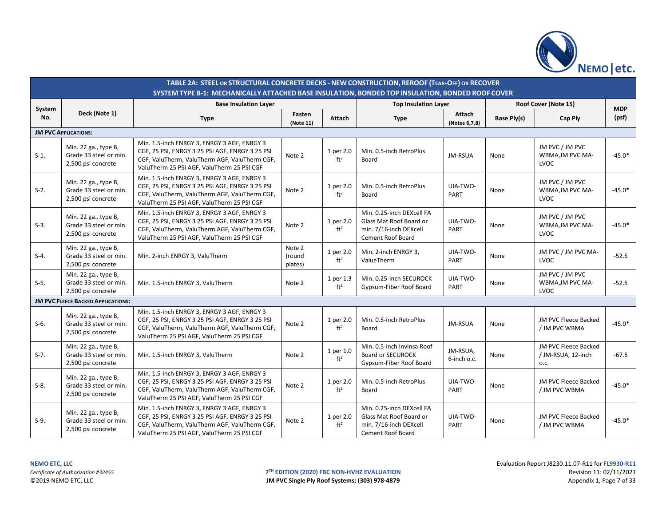

|               |                                                                      | TABLE 2A: STEEL OR STRUCTURAL CONCRETE DECKS - NEW CONSTRUCTION, REROOF (TEAR-OFF) OR RECOVER<br>SYSTEM TYPE B-1: MECHANICALLY ATTACHED BASE INSULATION. BONDED TOP INSULATION. BONDED ROOF COVER |                             |                              |                                                                                                            |                         |             |                                                    |                     |
|---------------|----------------------------------------------------------------------|---------------------------------------------------------------------------------------------------------------------------------------------------------------------------------------------------|-----------------------------|------------------------------|------------------------------------------------------------------------------------------------------------|-------------------------|-------------|----------------------------------------------------|---------------------|
|               |                                                                      | <b>Base Insulation Layer</b>                                                                                                                                                                      |                             |                              | <b>Top Insulation Layer</b>                                                                                |                         |             | Roof Cover (Note 15)                               |                     |
| System<br>No. | Deck (Note 1)                                                        | <b>Type</b>                                                                                                                                                                                       | Fasten<br>(Note 11)         | Attach                       | <b>Type</b>                                                                                                | Attach<br>(Notes 6,7,8) | Base Ply(s) | Cap Ply                                            | <b>MDP</b><br>(psf) |
|               | <b>JM PVC APPLICATIONS:</b>                                          |                                                                                                                                                                                                   |                             |                              |                                                                                                            |                         |             |                                                    |                     |
| $S-1$ .       | Min. 22 ga., type B,<br>Grade 33 steel or min.<br>2,500 psi concrete | Min. 1.5-inch ENRGY 3, ENRGY 3 AGF, ENRGY 3<br>CGF, 25 PSI, ENRGY 3 25 PSI AGF, ENRGY 3 25 PSI<br>CGF, ValuTherm, ValuTherm AGF, ValuTherm CGF,<br>ValuTherm 25 PSI AGF, ValuTherm 25 PSI CGF     | Note 2                      | 1 per 2.0<br>ft <sup>2</sup> | Min. 0.5-inch RetroPlus<br>Board                                                                           | JM-RSUA                 | None        | JM PVC / JM PVC<br>WBMA, JM PVC MA-<br><b>LVOC</b> | $-45.0*$            |
| $S-2$ .       | Min. 22 ga., type B,<br>Grade 33 steel or min.<br>2,500 psi concrete | Min. 1.5-inch ENRGY 3, ENRGY 3 AGF, ENRGY 3<br>CGF, 25 PSI, ENRGY 3 25 PSI AGF, ENRGY 3 25 PSI<br>CGF, ValuTherm, ValuTherm AGF, ValuTherm CGF,<br>ValuTherm 25 PSI AGF, ValuTherm 25 PSI CGF     | Note 2                      | 1 per 2.0<br>ft <sup>2</sup> | Min. 0.5-inch RetroPlus<br>Board                                                                           | UIA-TWO-<br>PART        | None        | JM PVC / JM PVC<br>WBMA, JM PVC MA-<br>LVOC        | $-45.0*$            |
| $S-3$ .       | Min. 22 ga., type B,<br>Grade 33 steel or min.<br>2,500 psi concrete | Min. 1.5-inch ENRGY 3, ENRGY 3 AGF, ENRGY 3<br>CGF, 25 PSI, ENRGY 3 25 PSI AGF, ENRGY 3 25 PSI<br>CGF, ValuTherm, ValuTherm AGF, ValuTherm CGF,<br>ValuTherm 25 PSI AGF, ValuTherm 25 PSI CGF     | Note 2                      | 1 per 2.0<br>ft <sup>2</sup> | Min. 0.25-inch DEXcell FA<br>Glass Mat Roof Board or<br>min. 7/16-inch DEXcell<br><b>Cement Roof Board</b> | UIA-TWO-<br>PART        | None        | JM PVC / JM PVC<br>WBMA, JM PVC MA-<br>LVOC        | $-45.0*$            |
| $S-4$ .       | Min. 22 ga., type B,<br>Grade 33 steel or min.<br>2,500 psi concrete | Min. 2-inch ENRGY 3, ValuTherm                                                                                                                                                                    | Note 2<br>(round<br>plates) | 1 per 2.0<br>ft <sup>2</sup> | Min. 2-inch ENRGY 3,<br>ValueTherm                                                                         | UIA-TWO-<br>PART        | None        | JM PVC / JM PVC MA-<br>LVOC                        | $-52.5$             |
| $S-5$ .       | Min. 22 ga., type B,<br>Grade 33 steel or min.<br>2,500 psi concrete | Min. 1.5-inch ENRGY 3, ValuTherm                                                                                                                                                                  | Note 2                      | 1 per 1.3<br>ft <sup>2</sup> | Min. 0.25-inch SECUROCK<br>Gypsum-Fiber Roof Board                                                         | UIA-TWO-<br>PART        | None        | JM PVC / JM PVC<br>WBMA, JM PVC MA-<br>LVOC        | $-52.5$             |
|               | <b>JM PVC FLEECE BACKED APPLICATIONS:</b>                            |                                                                                                                                                                                                   |                             |                              |                                                                                                            |                         |             |                                                    |                     |
| $S-6.$        | Min. 22 ga., type B,<br>Grade 33 steel or min.<br>2,500 psi concrete | Min. 1.5-inch ENRGY 3, ENRGY 3 AGF, ENRGY 3<br>CGF, 25 PSI, ENRGY 3 25 PSI AGF, ENRGY 3 25 PSI<br>CGF, ValuTherm, ValuTherm AGF, ValuTherm CGF,<br>ValuTherm 25 PSI AGF, ValuTherm 25 PSI CGF     | Note 2                      | 1 per 2.0<br>ft <sup>2</sup> | Min. 0.5-inch RetroPlus<br>Board                                                                           | JM-RSUA                 | None        | JM PVC Fleece Backed<br>/ JM PVC WBMA              | $-45.0*$            |
| $S-7.$        | Min. 22 ga., type B,<br>Grade 33 steel or min.<br>2,500 psi concrete | Min. 1.5-inch ENRGY 3, ValuTherm                                                                                                                                                                  | Note 2                      | 1 per 1.0<br>ft <sup>2</sup> | Min. 0.5-inch Invinsa Roof<br><b>Board or SECUROCK</b><br>Gypsum-Fiber Roof Board                          | JM-RSUA,<br>6-inch o.c. | None        | JM PVC Fleece Backed<br>/ JM-RSUA, 12-inch<br>0.C. | $-67.5$             |
| $S-8$ .       | Min. 22 ga., type B,<br>Grade 33 steel or min.<br>2,500 psi concrete | Min. 1.5-inch ENRGY 3, ENRGY 3 AGF, ENRGY 3<br>CGF, 25 PSI, ENRGY 3 25 PSI AGF, ENRGY 3 25 PSI<br>CGF, ValuTherm, ValuTherm AGF, ValuTherm CGF,<br>ValuTherm 25 PSI AGF, ValuTherm 25 PSI CGF     | Note 2                      | 1 per 2.0<br>ft <sup>2</sup> | Min. 0.5-inch RetroPlus<br>Board                                                                           | UIA-TWO-<br>PART        | None        | JM PVC Fleece Backed<br>/ JM PVC WBMA              | $-45.0*$            |
| $S-9.$        | Min. 22 ga., type B,<br>Grade 33 steel or min.<br>2,500 psi concrete | Min. 1.5-inch ENRGY 3, ENRGY 3 AGF, ENRGY 3<br>CGF, 25 PSI, ENRGY 3 25 PSI AGF, ENRGY 3 25 PSI<br>CGF, ValuTherm, ValuTherm AGF, ValuTherm CGF,<br>ValuTherm 25 PSI AGF, ValuTherm 25 PSI CGF     | Note 2                      | 1 per 2.0<br>ft <sup>2</sup> | Min. 0.25-inch DEXcell FA<br>Glass Mat Roof Board or<br>min. 7/16-inch DEXcell<br>Cement Roof Board        | UIA-TWO-<br>PART        | None        | JM PVC Fleece Backed<br>/ JM PVC WBMA              | $-45.0*$            |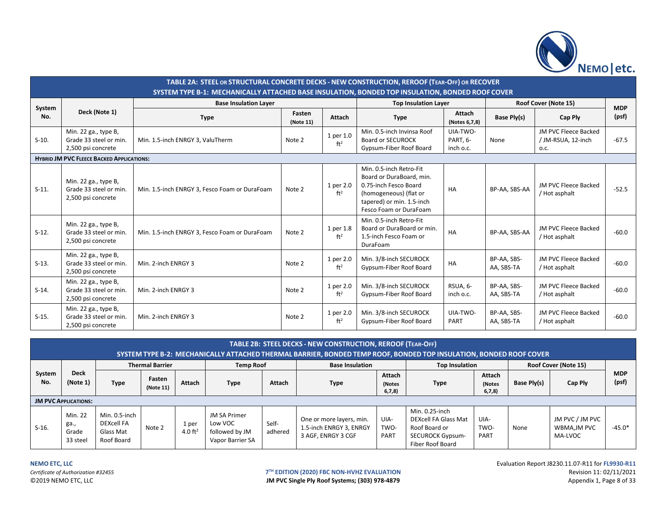

|               | TABLE 2A: STEEL OR STRUCTURAL CONCRETE DECKS - NEW CONSTRUCTION, REROOF (TEAR-OFF) OR RECOVER<br>SYSTEM TYPE B-1: MECHANICALLY ATTACHED BASE INSULATION, BONDED TOP INSULATION, BONDED ROOF COVER |                                               |                     |                              |                                                                                                                                                               |                                   |                           |                                                    |            |  |  |  |  |
|---------------|---------------------------------------------------------------------------------------------------------------------------------------------------------------------------------------------------|-----------------------------------------------|---------------------|------------------------------|---------------------------------------------------------------------------------------------------------------------------------------------------------------|-----------------------------------|---------------------------|----------------------------------------------------|------------|--|--|--|--|
|               |                                                                                                                                                                                                   | <b>Base Insulation Layer</b>                  |                     |                              | <b>Top Insulation Layer</b>                                                                                                                                   |                                   |                           | Roof Cover (Note 15)                               | <b>MDP</b> |  |  |  |  |
| System<br>No. | Deck (Note 1)                                                                                                                                                                                     | <b>Type</b>                                   | Fasten<br>(Note 11) | Attach                       | <b>Type</b>                                                                                                                                                   | Attach<br>(Notes 6,7,8)           | Base Ply(s)               | Cap Ply                                            | (psf)      |  |  |  |  |
| $S-10.$       | Min. 22 ga., type B,<br>Grade 33 steel or min.<br>2,500 psi concrete                                                                                                                              | Min. 1.5-inch ENRGY 3, ValuTherm              | Note 2              | 1 per 1.0<br>ft <sup>2</sup> | Min. 0.5-inch Invinsa Roof<br><b>Board or SECUROCK</b><br>Gypsum-Fiber Roof Board                                                                             | UIA-TWO-<br>PART, 6-<br>inch o.c. | None                      | JM PVC Fleece Backed<br>/ JM-RSUA, 12-inch<br>O.C. | $-67.5$    |  |  |  |  |
|               | <b>HYBRID JM PVC FLEECE BACKED APPLICATIONS:</b>                                                                                                                                                  |                                               |                     |                              |                                                                                                                                                               |                                   |                           |                                                    |            |  |  |  |  |
| $S-11.$       | Min. 22 ga., type B,<br>Grade 33 steel or min.<br>2,500 psi concrete                                                                                                                              | Min. 1.5-inch ENRGY 3, Fesco Foam or DuraFoam | Note 2              | 1 per 2.0<br>ft <sup>2</sup> | Min. 0.5-inch Retro-Fit<br>Board or DuraBoard, min.<br>0.75-inch Fesco Board<br>(homogeneous) (flat or<br>tapered) or min. 1.5-inch<br>Fesco Foam or DuraFoam | HA                                | BP-AA, SBS-AA             | JM PVC Fleece Backed<br>/ Hot asphalt              | $-52.5$    |  |  |  |  |
| $S-12.$       | Min. 22 ga., type B,<br>Grade 33 steel or min.<br>2,500 psi concrete                                                                                                                              | Min. 1.5-inch ENRGY 3, Fesco Foam or DuraFoam | Note 2              | 1 per 1.8<br>ft <sup>2</sup> | Min. 0.5-inch Retro-Fit<br>Board or DuraBoard or min.<br>1.5-inch Fesco Foam or<br><b>DuraFoam</b>                                                            | HA                                | BP-AA, SBS-AA             | JM PVC Fleece Backed<br>/ Hot asphalt              | $-60.0$    |  |  |  |  |
| $S-13.$       | Min. 22 ga., type B,<br>Grade 33 steel or min.<br>2,500 psi concrete                                                                                                                              | Min. 2-inch ENRGY 3                           | Note 2              | 1 per 2.0<br>ft <sup>2</sup> | Min. 3/8-inch SECUROCK<br>Gypsum-Fiber Roof Board                                                                                                             | HA                                | BP-AA, SBS-<br>AA, SBS-TA | JM PVC Fleece Backed<br>/ Hot asphalt              | $-60.0$    |  |  |  |  |
| $S-14.$       | Min. 22 ga., type B,<br>Grade 33 steel or min.<br>2,500 psi concrete                                                                                                                              | Min. 2-inch ENRGY 3                           | Note 2              | 1 per 2.0<br>ft <sup>2</sup> | Min. 3/8-inch SECUROCK<br>Gypsum-Fiber Roof Board                                                                                                             | RSUA, 6-<br>inch o.c.             | BP-AA, SBS-<br>AA, SBS-TA | JM PVC Fleece Backed<br>/ Hot asphalt              | $-60.0$    |  |  |  |  |
| $S-15.$       | Min. 22 ga., type B,<br>Grade 33 steel or min.<br>2,500 psi concrete                                                                                                                              | Min. 2-inch ENRGY 3                           | Note 2              | 1 per 2.0<br>ft <sup>2</sup> | Min. 3/8-inch SECUROCK<br>Gypsum-Fiber Roof Board                                                                                                             | UIA-TWO-<br>PART                  | BP-AA, SBS-<br>AA, SBS-TA | JM PVC Fleece Backed<br>/ Hot asphalt              | $-60.0$    |  |  |  |  |

| <b>TABLE 2B: STEEL DECKS - NEW CONSTRUCTION, REROOF (TEAR-OFF)</b><br>SYSTEM TYPE B-2: MECHANICALLY ATTACHED THERMAL BARRIER, BONDED TEMP ROOF, BONDED TOP INSULATION, BONDED ROOF COVER |                                      |                                                               |                        |                     |                                                                      |                  |                                                                           |                                   |                                                                                                        |                           |                      |                                           |                     |
|------------------------------------------------------------------------------------------------------------------------------------------------------------------------------------------|--------------------------------------|---------------------------------------------------------------|------------------------|---------------------|----------------------------------------------------------------------|------------------|---------------------------------------------------------------------------|-----------------------------------|--------------------------------------------------------------------------------------------------------|---------------------------|----------------------|-------------------------------------------|---------------------|
|                                                                                                                                                                                          |                                      |                                                               | <b>Thermal Barrier</b> |                     | <b>Temp Roof</b>                                                     |                  | <b>Base Insulation</b>                                                    |                                   | <b>Top Insulation</b>                                                                                  |                           | Roof Cover (Note 15) |                                           |                     |
| System<br>No.                                                                                                                                                                            | <b>Deck</b><br>(Note 1)              | <b>Type</b>                                                   | Fasten<br>(Note 11)    | Attach              | <b>Type</b>                                                          | Attach           | <b>Type</b>                                                               | <b>Attach</b><br>(Notes<br>6,7,8) | <b>Type</b>                                                                                            | Attach<br>(Notes<br>6,7,8 | Base Ply(s)          | Cap Ply                                   | <b>MDP</b><br>(psf) |
|                                                                                                                                                                                          | <b>JM PVC APPLICATIONS:</b>          |                                                               |                        |                     |                                                                      |                  |                                                                           |                                   |                                                                                                        |                           |                      |                                           |                     |
| $S-16.$                                                                                                                                                                                  | Min. 22<br>ga.,<br>Grade<br>33 steel | Min. 0.5-inch<br><b>DEXcell FA</b><br>Glass Mat<br>Roof Board | Note 2                 | 1 per<br>4.0 $ft^2$ | <b>JM SA Primer</b><br>Low VOC<br>followed by JM<br>Vapor Barrier SA | Self-<br>adhered | One or more layers, min.<br>1.5-inch ENRGY 3, ENRGY<br>3 AGF, ENRGY 3 CGF | UIA-<br>TWO-<br>PART              | Min. 0.25-inch<br>DEXcell FA Glass Mat<br>Roof Board or<br><b>SECUROCK Gypsum-</b><br>Fiber Roof Board | UIA-<br>TWO-<br>PART      | None                 | JM PVC / JM PVC<br>WBMA,JM PVC<br>MA-LVOC | -45.0*              |

JM PVC Single Ply Roof Systems; (303) 978-4879

**NEMO ETC, LLC** Evaluation Report J8230.11.07-R11 for **FL9930-R11 T<sup>TH</sup> EDITION (2020) FBC NON-HVHZ EVALUATION**<br> **IM PVC Single Ply Roof Systems; (303) 978-4879 Revision 11: 02/11/2021** Appendix 1, Page 8 of 33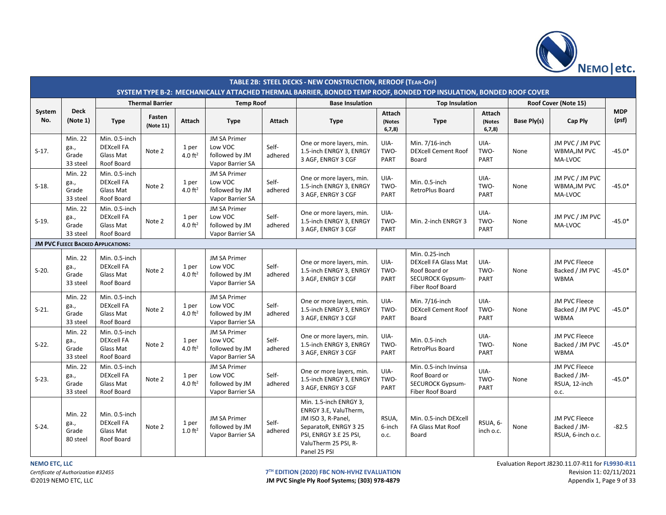

|               |                                      |                                                               |                        |                             |                                                                      |                  | TABLE 2B: STEEL DECKS - NEW CONSTRUCTION, REROOF (TEAR-OFF)<br>SYSTEM TYPE B-2: MECHANICALLY ATTACHED THERMAL BARRIER, BONDED TEMP ROOF, BONDED TOP INSULATION, BONDED ROOF COVER |                                   |                                                                                                               |                              |             |                                                        |                     |
|---------------|--------------------------------------|---------------------------------------------------------------|------------------------|-----------------------------|----------------------------------------------------------------------|------------------|-----------------------------------------------------------------------------------------------------------------------------------------------------------------------------------|-----------------------------------|---------------------------------------------------------------------------------------------------------------|------------------------------|-------------|--------------------------------------------------------|---------------------|
|               |                                      |                                                               | <b>Thermal Barrier</b> |                             | <b>Temp Roof</b>                                                     |                  | <b>Base Insulation</b>                                                                                                                                                            |                                   | <b>Top Insulation</b>                                                                                         |                              |             | Roof Cover (Note 15)                                   |                     |
| System<br>No. | <b>Deck</b><br>(Note 1)              | <b>Type</b>                                                   | Fasten<br>(Note 11)    | Attach                      | <b>Type</b>                                                          | Attach           | <b>Type</b>                                                                                                                                                                       | <b>Attach</b><br>(Notes<br>6,7,8) | <b>Type</b>                                                                                                   | Attach<br>(Notes<br>6, 7, 8) | Base Ply(s) | Cap Ply                                                | <b>MDP</b><br>(psf) |
| $S-17.$       | Min. 22<br>ga.,<br>Grade<br>33 steel | Min. 0.5-inch<br><b>DEXcell FA</b><br>Glass Mat<br>Roof Board | Note 2                 | 1 per<br>4.0 $ft^2$         | <b>JM SA Primer</b><br>Low VOC<br>followed by JM<br>Vapor Barrier SA | Self-<br>adhered | One or more layers, min.<br>1.5-inch ENRGY 3, ENRGY<br>3 AGF, ENRGY 3 CGF                                                                                                         | UIA-<br>TWO-<br>PART              | Min. 7/16-inch<br><b>DEXcell Cement Roof</b><br>Board                                                         | UIA-<br>TWO-<br>PART         | None        | JM PVC / JM PVC<br>WBMA, JM PVC<br>MA-LVOC             | $-45.0*$            |
| $S-18.$       | Min. 22<br>ga.,<br>Grade<br>33 steel | Min. 0.5-inch<br><b>DEXcell FA</b><br>Glass Mat<br>Roof Board | Note 2                 | 1 per<br>4.0 $ft2$          | <b>JM SA Primer</b><br>Low VOC<br>followed by JM<br>Vapor Barrier SA | Self-<br>adhered | One or more layers, min.<br>1.5-inch ENRGY 3, ENRGY<br>3 AGF, ENRGY 3 CGF                                                                                                         | UIA-<br>TWO-<br>PART              | Min. 0.5-inch<br>RetroPlus Board                                                                              | UIA-<br>TWO-<br>PART         | None        | JM PVC / JM PVC<br>WBMA, JM PVC<br>MA-LVOC             | $-45.0*$            |
| $S-19.$       | Min. 22<br>ga.,<br>Grade<br>33 steel | Min. 0.5-inch<br><b>DEXcell FA</b><br>Glass Mat<br>Roof Board | Note 2                 | 1 per<br>4.0 $ft2$          | <b>JM SA Primer</b><br>Low VOC<br>followed by JM<br>Vapor Barrier SA | Self-<br>adhered | One or more layers, min.<br>1.5-inch ENRGY 3, ENRGY<br>3 AGF, ENRGY 3 CGF                                                                                                         | UIA-<br>TWO-<br>PART              | Min. 2-inch ENRGY 3                                                                                           | UIA-<br>TWO-<br>PART         | None        | JM PVC / JM PVC<br>MA-LVOC                             | $-45.0*$            |
|               |                                      | <b>JM PVC FLEECE BACKED APPLICATIONS:</b>                     |                        |                             |                                                                      |                  |                                                                                                                                                                                   |                                   |                                                                                                               |                              |             |                                                        |                     |
| $S-20.$       | Min. 22<br>ga.,<br>Grade<br>33 steel | Min. 0.5-inch<br><b>DEXcell FA</b><br>Glass Mat<br>Roof Board | Note 2                 | 1 per<br>$4.0 \text{ ft}^2$ | <b>JM SA Primer</b><br>Low VOC<br>followed by JM<br>Vapor Barrier SA | Self-<br>adhered | One or more layers, min.<br>1.5-inch ENRGY 3, ENRGY<br>3 AGF, ENRGY 3 CGF                                                                                                         | UIA-<br>TWO-<br>PART              | Min. 0.25-inch<br><b>DEXcell FA Glass Mat</b><br>Roof Board or<br><b>SECUROCK Gypsum-</b><br>Fiber Roof Board | UIA-<br>TWO-<br><b>PART</b>  | None        | JM PVC Fleece<br>Backed / JM PVC<br><b>WBMA</b>        | $-45.0*$            |
| $S-21.$       | Min. 22<br>ga.,<br>Grade<br>33 steel | Min. 0.5-inch<br><b>DEXcell FA</b><br>Glass Mat<br>Roof Board | Note 2                 | 1 per<br>4.0 $ft^2$         | <b>JM SA Primer</b><br>Low VOC<br>followed by JM<br>Vapor Barrier SA | Self-<br>adhered | One or more layers, min.<br>1.5-inch ENRGY 3, ENRGY<br>3 AGF, ENRGY 3 CGF                                                                                                         | UIA-<br>TWO-<br>PART              | Min. 7/16-inch<br><b>DEXcell Cement Roof</b><br>Board                                                         | UIA-<br>TWO-<br><b>PART</b>  | None        | <b>JM PVC Fleece</b><br>Backed / JM PVC<br><b>WBMA</b> | $-45.0*$            |
| $S-22.$       | Min. 22<br>ga.,<br>Grade<br>33 steel | Min. 0.5-inch<br><b>DEXcell FA</b><br>Glass Mat<br>Roof Board | Note 2                 | 1 per<br>4.0 $ft^2$         | <b>JM SA Primer</b><br>Low VOC<br>followed by JM<br>Vapor Barrier SA | Self-<br>adhered | One or more layers, min.<br>1.5-inch ENRGY 3, ENRGY<br>3 AGF, ENRGY 3 CGF                                                                                                         | UIA-<br>TWO-<br><b>PART</b>       | Min. 0.5-inch<br>RetroPlus Board                                                                              | UIA-<br>TWO-<br><b>PART</b>  | None        | JM PVC Fleece<br>Backed / JM PVC<br><b>WBMA</b>        | $-45.0*$            |
| $S-23.$       | Min. 22<br>ga.,<br>Grade<br>33 steel | Min. 0.5-inch<br><b>DEXcell FA</b><br>Glass Mat<br>Roof Board | Note 2                 | 1 per<br>4.0 $ft^2$         | <b>JM SA Primer</b><br>Low VOC<br>followed by JM<br>Vapor Barrier SA | Self-<br>adhered | One or more layers, min.<br>1.5-inch ENRGY 3, ENRGY<br>3 AGF, ENRGY 3 CGF                                                                                                         | UIA-<br>TWO-<br>PART              | Min. 0.5-inch Invinsa<br>Roof Board or<br><b>SECUROCK Gypsum-</b><br>Fiber Roof Board                         | UIA-<br>TWO-<br>PART         | None        | JM PVC Fleece<br>Backed / JM-<br>RSUA, 12-inch<br>0.C. | $-45.0*$            |
| $S-24.$       | Min. 22<br>ga.,<br>Grade<br>80 steel | Min. 0.5-inch<br><b>DEXcell FA</b><br>Glass Mat<br>Roof Board | Note 2                 | 1 per<br>$1.0 \text{ ft}^2$ | <b>JM SA Primer</b><br>followed by JM<br>Vapor Barrier SA            | Self-<br>adhered | Min. 1.5-inch ENRGY 3,<br>ENRGY 3.E, ValuTherm,<br>JM ISO 3, R-Panel,<br>SeparatoR, ENRGY 3 25<br>PSI, ENRGY 3.E 25 PSI,<br>ValuTherm 25 PSI, R-<br>Panel 25 PSI                  | RSUA,<br>6-inch<br>0.C.           | Min. 0.5-inch DEXcell<br>FA Glass Mat Roof<br>Board                                                           | RSUA, 6-<br>inch o.c.        | None        | JM PVC Fleece<br>Backed / JM-<br>RSUA, 6-inch o.c.     | $-82.5$             |

JM PVC Single Ply Roof Systems; (303) 978-4879

**NEMO ETC, LLC** Evaluation Report J8230.11.07-R11 for **FL9930-R11 T<sup>TH</sup> EDITION (2020) FBC NON-HVHZ EVALUATION**<br> **IM PVC Single Ply Roof Systems; (303) 978-4879 Revision 11: 02/11/2021** Appendix 1, Page 9 of 33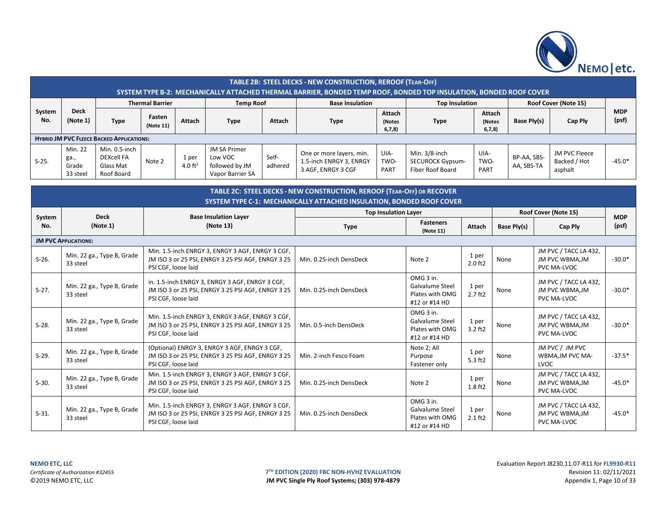

|               |                                      |                                                               |                        |                     |                                                                                                        |                  | TABLE 2B: STEEL DECKS - NEW CONSTRUCTION, REROOF (TEAR-OFF)                                                                                  |                             |                                                                  |                             |                                            |                                                         |                     |
|---------------|--------------------------------------|---------------------------------------------------------------|------------------------|---------------------|--------------------------------------------------------------------------------------------------------|------------------|----------------------------------------------------------------------------------------------------------------------------------------------|-----------------------------|------------------------------------------------------------------|-----------------------------|--------------------------------------------|---------------------------------------------------------|---------------------|
|               |                                      |                                                               | <b>Thermal Barrier</b> |                     | <b>Temp Roof</b>                                                                                       |                  | SYSTEM TYPE B-2: MECHANICALLY ATTACHED THERMAL BARRIER, BONDED TEMP ROOF, BONDED TOP INSULATION, BONDED ROOF COVER<br><b>Base Insulation</b> |                             | <b>Top Insulation</b>                                            |                             |                                            | Roof Cover (Note 15)                                    |                     |
| System<br>No. | <b>Deck</b><br>(Note 1)              | <b>Type</b>                                                   | Fasten<br>(Note 11)    | Attach              | <b>Type</b>                                                                                            | Attach           | <b>Type</b>                                                                                                                                  | Attach<br>(Notes<br>6,7,8   | <b>Type</b>                                                      |                             | Attach<br>Base Ply(s)<br>(Notes<br>6, 7, 8 | Cap Ply                                                 | <b>MDP</b><br>(psf) |
|               |                                      | <b>HYBRID JM PVC FLEECE BACKED APPLICATIONS:</b>              |                        |                     |                                                                                                        |                  |                                                                                                                                              |                             |                                                                  |                             |                                            |                                                         |                     |
| $S-25.$       | Min. 22<br>ga.,<br>Grade<br>33 steel | Min. 0.5-inch<br><b>DEXcell FA</b><br>Glass Mat<br>Roof Board | Note 2                 | 1 per<br>4.0 $ft^2$ | <b>JM SA Primer</b><br>Low VOC<br>followed by JM<br>Vapor Barrier SA                                   | Self-<br>adhered | One or more layers, min.<br>1.5-inch ENRGY 3, ENRGY<br>3 AGF, ENRGY 3 CGF                                                                    | UIA-<br>TWO-<br>PART        | Min. 3/8-inch<br><b>SECUROCK Gypsum-</b><br>Fiber Roof Board     | UIA-<br>TWO-<br><b>PART</b> | BP-AA, SBS-<br>AA, SBS-TA                  | JM PVC Fleece<br>Backed / Hot<br>asphalt                | $-45.0*$            |
|               |                                      |                                                               |                        |                     |                                                                                                        |                  | TABLE 2C: STEEL DECKS - NEW CONSTRUCTION, REROOF (TEAR-OFF) OR RECOVER                                                                       |                             |                                                                  |                             |                                            |                                                         |                     |
|               |                                      |                                                               |                        |                     |                                                                                                        |                  | <b>SYSTEM TYPE C-1: MECHANICALLY ATTACHED INSULATION. BONDED ROOF COVER</b>                                                                  |                             |                                                                  |                             |                                            |                                                         |                     |
|               |                                      |                                                               |                        |                     |                                                                                                        |                  |                                                                                                                                              | <b>Top Insulation Layer</b> |                                                                  |                             |                                            | Roof Cover (Note 15)                                    |                     |
| System<br>No. |                                      | <b>Deck</b><br>(Note 1)                                       |                        |                     | <b>Base Insulation Layer</b><br>(Note 13)                                                              |                  | <b>Type</b>                                                                                                                                  |                             | <b>Fasteners</b><br>(Note 11)                                    | Attach                      | Base Ply(s)                                | Cap Ply                                                 | <b>MDP</b><br>(psf) |
|               | <b>JM PVC APPLICATIONS:</b>          |                                                               |                        |                     |                                                                                                        |                  |                                                                                                                                              |                             |                                                                  |                             |                                            |                                                         |                     |
| $S-26.$       | 33 steel                             | Min. 22 ga., Type B, Grade                                    | PSI CGF, loose laid    |                     | Min. 1.5-inch ENRGY 3, ENRGY 3 AGF, ENRGY 3 CGF,<br>JM ISO 3 or 25 PSI, ENRGY 3 25 PSI AGF, ENRGY 3 25 |                  | Min. 0.25-inch DensDeck                                                                                                                      |                             | Note 2                                                           | 1 per<br>2.0 ft2            | None                                       | JM PVC / TACC LA 432,<br>JM PVC WBMA, JM<br>PVC MA-LVOC | $-30.0*$            |
| $S-27.$       | 33 steel                             | Min. 22 ga., Type B, Grade                                    |                        | PSI CGF, loose laid | in. 1.5-inch ENRGY 3, ENRGY 3 AGF, ENRGY 3 CGF,<br>JM ISO 3 or 25 PSI, ENRGY 3 25 PSI AGF, ENRGY 3 25  |                  | Min. 0.25-inch DensDeck                                                                                                                      |                             | OMG 3 in.<br>Galvalume Steel<br>Plates with OMG<br>#12 or #14 HD | 1 per<br>$2.7$ ft $2$       | None                                       | JM PVC / TACC LA 432,<br>JM PVC WBMA, JM<br>PVC MA-LVOC | $-30.0*$            |
| $S-28.$       | 33 steel                             | Min. 22 ga., Type B, Grade                                    |                        | PSI CGF, loose laid | Min. 1.5-inch ENRGY 3, ENRGY 3 AGF, ENRGY 3 CGF,<br>JM ISO 3 or 25 PSI, ENRGY 3 25 PSI AGF, ENRGY 3 25 |                  | Min. 0.5-inch DensDeck                                                                                                                       |                             | OMG 3 in.<br>Galvalume Steel<br>Plates with OMG<br>#12 or #14 HD | 1 per<br>$3.2$ ft2          | None                                       | JM PVC / TACC LA 432,<br>JM PVC WBMA, JM<br>PVC MA-LVOC | $-30.0*$            |
| $S-29.$       | 33 steel                             | Min. 22 ga., Type B, Grade                                    | PSI CGF, loose laid    |                     | (Optional) ENRGY 3, ENRGY 3 AGF, ENRGY 3 CGF,<br>JM ISO 3 or 25 PSI, ENRGY 3 25 PSI AGF, ENRGY 3 25    |                  | Min. 2-inch Fesco Foam                                                                                                                       |                             | Note 2; All<br>Purpose<br>Fastener only                          | 1 per<br>5.3 ft2            | None                                       | JM PVC / JM PVC<br>WBMA, JM PVC MA-<br>LVOC             | $-37.5*$            |
| $S-30.$       | 33 steel                             | Min. 22 ga., Type B, Grade                                    | PSI CGF, loose laid    |                     | Min. 1.5-inch ENRGY 3, ENRGY 3 AGF, ENRGY 3 CGF,<br>JM ISO 3 or 25 PSI, ENRGY 3 25 PSI AGF, ENRGY 3 25 |                  | Min. 0.25-inch DensDeck                                                                                                                      |                             | Note 2                                                           | 1 per<br>1.8 ft2            | None                                       | JM PVC / TACC LA 432,<br>JM PVC WBMA, JM<br>PVC MA-LVOC | $-45.0*$            |
| $S-31.$       | 33 steel                             | Min. 22 ga., Type B, Grade                                    |                        | PSI CGF, loose laid | Min. 1.5-inch ENRGY 3, ENRGY 3 AGF, ENRGY 3 CGF,<br>JM ISO 3 or 25 PSI, ENRGY 3 25 PSI AGF, ENRGY 3 25 |                  | Min. 0.25-inch DensDeck                                                                                                                      |                             | OMG 3 in.<br>Galvalume Steel<br>Plates with OMG<br>#12 or #14 HD | 1 per<br>$2.1$ ft2          | None                                       | JM PVC / TACC LA 432,<br>JM PVC WBMA, JM<br>PVC MA-LVOC | $-45.0*$            |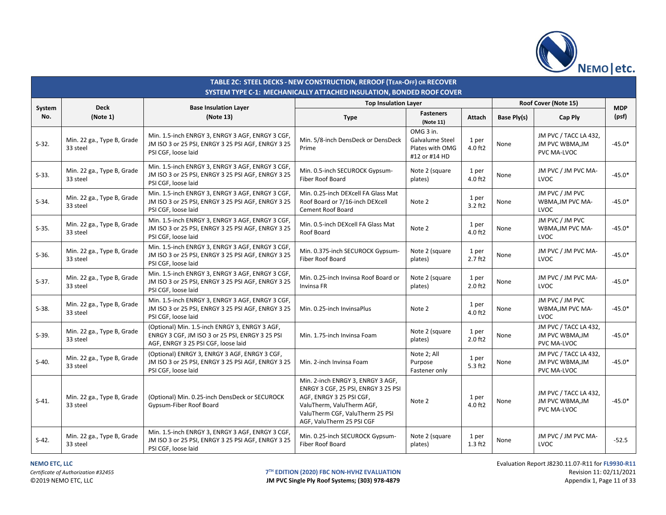

|               | TABLE 2C: STEEL DECKS - NEW CONSTRUCTION, REROOF (TEAR-OFF) OR RECOVER<br>SYSTEM TYPE C-1: MECHANICALLY ATTACHED INSULATION, BONDED ROOF COVER |                                                                                                                                          |                                                                                                                                                                                                   |                                                                  |                       |             |                                                                |            |  |  |  |  |
|---------------|------------------------------------------------------------------------------------------------------------------------------------------------|------------------------------------------------------------------------------------------------------------------------------------------|---------------------------------------------------------------------------------------------------------------------------------------------------------------------------------------------------|------------------------------------------------------------------|-----------------------|-------------|----------------------------------------------------------------|------------|--|--|--|--|
|               | <b>Deck</b>                                                                                                                                    |                                                                                                                                          | <b>Top Insulation Layer</b>                                                                                                                                                                       |                                                                  |                       |             | Roof Cover (Note 15)                                           | <b>MDP</b> |  |  |  |  |
| System<br>No. | (Note 1)                                                                                                                                       | <b>Base Insulation Layer</b><br>(Note 13)                                                                                                | <b>Type</b>                                                                                                                                                                                       | <b>Fasteners</b><br>(Note 11)                                    | Attach                | Base Ply(s) | Cap Ply                                                        | (psf)      |  |  |  |  |
| $S-32.$       | Min. 22 ga., Type B, Grade<br>33 steel                                                                                                         | Min. 1.5-inch ENRGY 3, ENRGY 3 AGF, ENRGY 3 CGF,<br>JM ISO 3 or 25 PSI, ENRGY 3 25 PSI AGF, ENRGY 3 25<br>PSI CGF, loose laid            | Min. 5/8-inch DensDeck or DensDeck<br>Prime                                                                                                                                                       | OMG 3 in.<br>Galvalume Steel<br>Plates with OMG<br>#12 or #14 HD | 1 per<br>4.0 ft2      | None        | JM PVC / TACC LA 432,<br>JM PVC WBMA, JM<br>PVC MA-LVOC        | $-45.0*$   |  |  |  |  |
| $S-33.$       | Min. 22 ga., Type B, Grade<br>33 steel                                                                                                         | Min. 1.5-inch ENRGY 3, ENRGY 3 AGF, ENRGY 3 CGF,<br>JM ISO 3 or 25 PSI, ENRGY 3 25 PSI AGF, ENRGY 3 25<br>PSI CGF, loose laid            | Min. 0.5-inch SECUROCK Gypsum-<br><b>Fiber Roof Board</b>                                                                                                                                         | Note 2 (square<br>plates)                                        | 1 per<br>4.0 ft2      | None        | JM PVC / JM PVC MA-<br>LVOC                                    | $-45.0*$   |  |  |  |  |
| $S-34.$       | Min. 22 ga., Type B, Grade<br>33 steel                                                                                                         | Min. 1.5-inch ENRGY 3, ENRGY 3 AGF, ENRGY 3 CGF,<br>JM ISO 3 or 25 PSI, ENRGY 3 25 PSI AGF, ENRGY 3 25<br>PSI CGF, loose laid            | Min. 0.25-inch DEXcell FA Glass Mat<br>Roof Board or 7/16-inch DEXcell<br><b>Cement Roof Board</b>                                                                                                | Note 2                                                           | 1 per<br>$3.2$ ft2    | None        | JM PVC / JM PVC<br>WBMA, JM PVC MA-<br>LVOC                    | $-45.0*$   |  |  |  |  |
| $S-35.$       | Min. 22 ga., Type B, Grade<br>33 steel                                                                                                         | Min. 1.5-inch ENRGY 3, ENRGY 3 AGF, ENRGY 3 CGF,<br>JM ISO 3 or 25 PSI, ENRGY 3 25 PSI AGF, ENRGY 3 25<br>PSI CGF, loose laid            | Min. 0.5-inch DEXcell FA Glass Mat<br>Roof Board                                                                                                                                                  | Note 2                                                           | 1 per<br>4.0 ft2      | None        | JM PVC / JM PVC<br>WBMA, JM PVC MA-<br>LVOC                    | $-45.0*$   |  |  |  |  |
| $S-36.$       | Min. 22 ga., Type B, Grade<br>33 steel                                                                                                         | Min. 1.5-inch ENRGY 3, ENRGY 3 AGF, ENRGY 3 CGF,<br>JM ISO 3 or 25 PSI, ENRGY 3 25 PSI AGF, ENRGY 3 25<br>PSI CGF, loose laid            | Min. 0.375-inch SECUROCK Gypsum-<br>Fiber Roof Board                                                                                                                                              | Note 2 (square<br>plates)                                        | 1 per<br>$2.7$ ft $2$ | None        | JM PVC / JM PVC MA-<br>LVOC                                    | $-45.0*$   |  |  |  |  |
| $S-37.$       | Min. 22 ga., Type B, Grade<br>33 steel                                                                                                         | Min. 1.5-inch ENRGY 3, ENRGY 3 AGF, ENRGY 3 CGF,<br>JM ISO 3 or 25 PSI, ENRGY 3 25 PSI AGF, ENRGY 3 25<br>PSI CGF, loose laid            | Min. 0.25-inch Invinsa Roof Board or<br>Invinsa FR                                                                                                                                                | Note 2 (square<br>plates)                                        | 1 per<br>$2.0$ ft $2$ | None        | JM PVC / JM PVC MA-<br>LVOC                                    | $-45.0*$   |  |  |  |  |
| $S-38.$       | Min. 22 ga., Type B, Grade<br>33 steel                                                                                                         | Min. 1.5-inch ENRGY 3, ENRGY 3 AGF, ENRGY 3 CGF,<br>JM ISO 3 or 25 PSI, ENRGY 3 25 PSI AGF, ENRGY 3 25<br>PSI CGF, loose laid            | Min. 0.25-inch InvinsaPlus                                                                                                                                                                        | Note 2                                                           | 1 per<br>4.0 ft2      | None        | JM PVC / JM PVC<br>WBMA, JM PVC MA-<br>LVOC                    | $-45.0*$   |  |  |  |  |
| $S-39.$       | Min. 22 ga., Type B, Grade<br>33 steel                                                                                                         | (Optional) Min. 1.5-inch ENRGY 3, ENRGY 3 AGF,<br>ENRGY 3 CGF, JM ISO 3 or 25 PSI, ENRGY 3 25 PSI<br>AGF, ENRGY 3 25 PSI CGF, loose laid | Min. 1.75-inch Invinsa Foam                                                                                                                                                                       | Note 2 (square<br>plates)                                        | 1 per<br>$2.0$ ft $2$ | None        | JM PVC / TACC LA 432,<br>JM PVC WBMA, JM<br>PVC MA-LVOC        | $-45.0*$   |  |  |  |  |
| $S-40.$       | Min. 22 ga., Type B, Grade<br>33 steel                                                                                                         | (Optional) ENRGY 3, ENRGY 3 AGF, ENRGY 3 CGF,<br>JM ISO 3 or 25 PSI, ENRGY 3 25 PSI AGF, ENRGY 3 25<br>PSI CGF, loose laid               | Min. 2-inch Invinsa Foam                                                                                                                                                                          | Note 2; All<br>Purpose<br>Fastener only                          | 1 per<br>$5.3$ ft2    | None        | JM PVC / TACC LA 432,<br><b>JM PVC WBMA, JM</b><br>PVC MA-LVOC | $-45.0*$   |  |  |  |  |
| $S-41.$       | Min. 22 ga., Type B, Grade<br>33 steel                                                                                                         | (Optional) Min. 0.25-inch DensDeck or SECUROCK<br>Gypsum-Fiber Roof Board                                                                | Min. 2-inch ENRGY 3, ENRGY 3 AGF,<br>ENRGY 3 CGF, 25 PSI, ENRGY 3 25 PSI<br>AGF, ENRGY 3 25 PSI CGF,<br>ValuTherm, ValuTherm AGF,<br>ValuTherm CGF, ValuTherm 25 PSI<br>AGF, ValuTherm 25 PSI CGF | Note 2                                                           | 1 per<br>4.0 ft2      | None        | JM PVC / TACC LA 432,<br>JM PVC WBMA, JM<br><b>PVC MA-LVOC</b> | $-45.0*$   |  |  |  |  |
| $S-42.$       | Min. 22 ga., Type B, Grade<br>33 steel                                                                                                         | Min. 1.5-inch ENRGY 3, ENRGY 3 AGF, ENRGY 3 CGF,<br>JM ISO 3 or 25 PSI, ENRGY 3 25 PSI AGF, ENRGY 3 25<br>PSI CGF, loose laid            | Min. 0.25-inch SECUROCK Gypsum-<br>Fiber Roof Board                                                                                                                                               | Note 2 (square<br>plates)                                        | 1 per<br>$1.3$ ft2    | None        | JM PVC / JM PVC MA-<br>LVOC                                    | $-52.5$    |  |  |  |  |

JM PVC Single Ply Roof Systems; (303) 978-4879

**NEMO ETC, LLC** Evaluation Report J8230.11.07-R11 for **FL9930-R11 T<sup>TH</sup> EDITION (2020) FBC NON-HVHZ EVALUATION**<br> **IM PVC Single Ply Roof Systems; (303) 978-4879 Revision 11: 02/11/2021**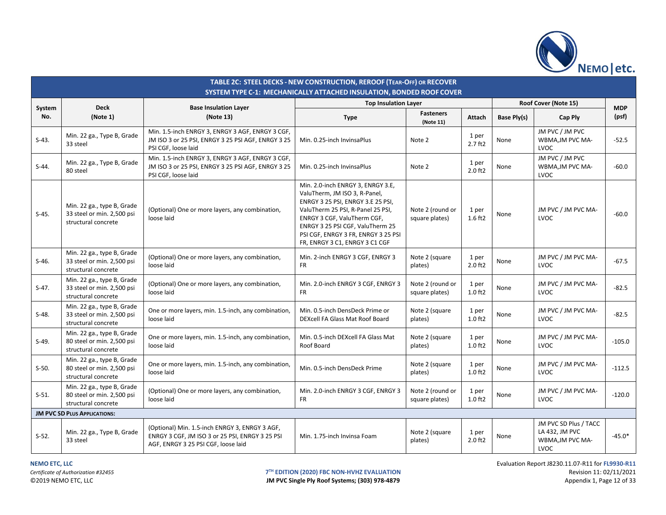

|               | TABLE 2C: STEEL DECKS - NEW CONSTRUCTION, REROOF (TEAR-OFF) OR RECOVER<br>SYSTEM TYPE C-1: MECHANICALLY ATTACHED INSULATION, BONDED ROOF COVER |                                                                                                                                          |                                                                                                                                                                                                                                                                                          |                                    |                       |             |                                                                     |                     |  |  |  |  |
|---------------|------------------------------------------------------------------------------------------------------------------------------------------------|------------------------------------------------------------------------------------------------------------------------------------------|------------------------------------------------------------------------------------------------------------------------------------------------------------------------------------------------------------------------------------------------------------------------------------------|------------------------------------|-----------------------|-------------|---------------------------------------------------------------------|---------------------|--|--|--|--|
|               |                                                                                                                                                |                                                                                                                                          | <b>Top Insulation Layer</b>                                                                                                                                                                                                                                                              |                                    |                       |             | Roof Cover (Note 15)                                                |                     |  |  |  |  |
| System<br>No. | <b>Deck</b><br>(Note 1)                                                                                                                        | <b>Base Insulation Layer</b><br>(Note 13)                                                                                                | <b>Type</b>                                                                                                                                                                                                                                                                              | <b>Fasteners</b><br>(Note 11)      | Attach                | Base Ply(s) | Cap Ply                                                             | <b>MDP</b><br>(psf) |  |  |  |  |
| $S-43.$       | Min. 22 ga., Type B, Grade<br>33 steel                                                                                                         | Min. 1.5-inch ENRGY 3, ENRGY 3 AGF, ENRGY 3 CGF,<br>JM ISO 3 or 25 PSI, ENRGY 3 25 PSI AGF, ENRGY 3 25<br>PSI CGF, loose laid            | Min. 0.25-inch InvinsaPlus                                                                                                                                                                                                                                                               | Note 2                             | 1 per<br>$2.7$ ft $2$ | None        | JM PVC / JM PVC<br>WBMA, JM PVC MA-<br>LVOC                         | $-52.5$             |  |  |  |  |
| $S-44.$       | Min. 22 ga., Type B, Grade<br>80 steel                                                                                                         | Min. 1.5-inch ENRGY 3, ENRGY 3 AGF, ENRGY 3 CGF,<br>JM ISO 3 or 25 PSI, ENRGY 3 25 PSI AGF, ENRGY 3 25<br>PSI CGF, loose laid            | Min. 0.25-inch InvinsaPlus                                                                                                                                                                                                                                                               | Note 2                             | 1 per<br>$2.0$ ft $2$ | None        | JM PVC / JM PVC<br>WBMA, JM PVC MA-<br>LVOC                         | $-60.0$             |  |  |  |  |
| $S-45.$       | Min. 22 ga., type B, Grade<br>33 steel or min. 2,500 psi<br>structural concrete                                                                | (Optional) One or more layers, any combination,<br>loose laid                                                                            | Min. 2.0-inch ENRGY 3, ENRGY 3.E,<br>ValuTherm, JM ISO 3, R-Panel,<br>ENRGY 3 25 PSI, ENRGY 3.E 25 PSI,<br>ValuTherm 25 PSI, R-Panel 25 PSI,<br>ENRGY 3 CGF, ValuTherm CGF,<br>ENRGY 3 25 PSI CGF, ValuTherm 25<br>PSI CGF, ENRGY 3 FR, ENRGY 3 25 PSI<br>FR, ENRGY 3 C1, ENRGY 3 C1 CGF | Note 2 (round or<br>square plates) | 1 per<br>$1.6$ ft2    | None        | JM PVC / JM PVC MA-<br>LVOC                                         | $-60.0$             |  |  |  |  |
| $S-46.$       | Min. 22 ga., type B, Grade<br>33 steel or min. 2,500 psi<br>structural concrete                                                                | (Optional) One or more layers, any combination,<br>loose laid                                                                            | Min. 2-inch ENRGY 3 CGF, ENRGY 3<br><b>FR</b>                                                                                                                                                                                                                                            | Note 2 (square<br>plates)          | 1 per<br>$2.0$ ft $2$ | None        | JM PVC / JM PVC MA-<br>LVOC                                         | $-67.5$             |  |  |  |  |
| $S-47.$       | Min. 22 ga., type B, Grade<br>33 steel or min. 2,500 psi<br>structural concrete                                                                | (Optional) One or more layers, any combination,<br>loose laid                                                                            | Min. 2.0-inch ENRGY 3 CGF, ENRGY 3<br><b>FR</b>                                                                                                                                                                                                                                          | Note 2 (round or<br>square plates) | 1 per<br>$1.0$ ft $2$ | None        | JM PVC / JM PVC MA-<br>LVOC                                         | $-82.5$             |  |  |  |  |
| $S-48.$       | Min. 22 ga., type B, Grade<br>33 steel or min. 2,500 psi<br>structural concrete                                                                | One or more layers, min. 1.5-inch, any combination,<br>loose laid                                                                        | Min. 0.5-inch DensDeck Prime or<br>DEXcell FA Glass Mat Roof Board                                                                                                                                                                                                                       | Note 2 (square<br>plates)          | 1 per<br>$1.0$ ft $2$ | None        | JM PVC / JM PVC MA-<br>LVOC                                         | $-82.5$             |  |  |  |  |
| $S-49.$       | Min. 22 ga., type B, Grade<br>80 steel or min. 2,500 psi<br>structural concrete                                                                | One or more layers, min. 1.5-inch, any combination,<br>loose laid                                                                        | Min. 0.5-inch DEXcell FA Glass Mat<br>Roof Board                                                                                                                                                                                                                                         | Note 2 (square<br>plates)          | 1 per<br>$1.0$ ft2    | None        | JM PVC / JM PVC MA-<br>LVOC                                         | $-105.0$            |  |  |  |  |
| $S-50.$       | Min. 22 ga., type B, Grade<br>80 steel or min. 2,500 psi<br>structural concrete                                                                | One or more layers, min. 1.5-inch, any combination,<br>loose laid                                                                        | Min. 0.5-inch DensDeck Prime                                                                                                                                                                                                                                                             | Note 2 (square<br>plates)          | 1 per<br>$1.0$ ft $2$ | None        | JM PVC / JM PVC MA-<br>LVOC                                         | $-112.5$            |  |  |  |  |
| $S-51.$       | Min. 22 ga., type B, Grade<br>80 steel or min. 2,500 psi<br>structural concrete                                                                | (Optional) One or more layers, any combination,<br>loose laid                                                                            | Min. 2.0-inch ENRGY 3 CGF, ENRGY 3<br><b>FR</b>                                                                                                                                                                                                                                          | Note 2 (round or<br>square plates) | 1 per<br>$1.0$ ft $2$ | None        | JM PVC / JM PVC MA-<br>LVOC                                         | $-120.0$            |  |  |  |  |
|               | <b>JM PVC SD PLUS APPLICATIONS:</b>                                                                                                            |                                                                                                                                          |                                                                                                                                                                                                                                                                                          |                                    |                       |             |                                                                     |                     |  |  |  |  |
| $S-52.$       | Min. 22 ga., Type B, Grade<br>33 steel                                                                                                         | (Optional) Min. 1.5-inch ENRGY 3, ENRGY 3 AGF,<br>ENRGY 3 CGF, JM ISO 3 or 25 PSI, ENRGY 3 25 PSI<br>AGF, ENRGY 3 25 PSI CGF, loose laid | Min. 1.75-inch Invinsa Foam                                                                                                                                                                                                                                                              | Note 2 (square<br>plates)          | 1 per<br>$2.0$ ft $2$ | None        | JM PVC SD Plus / TACC<br>LA 432, JM PVC<br>WBMA, JM PVC MA-<br>LVOC | $-45.0*$            |  |  |  |  |

**NEMO ETC, LLC** Evaluation Report J8230.11.07-R11 for **FL9930-R11 T<sup>TH</sup> EDITION (2020) FBC NON-HVHZ EVALUATION**<br> **IM PVC Single Ply Roof Systems; (303) 978-4879 Revision 11: 02/11/2021** Appendix 1, Page 12 of 33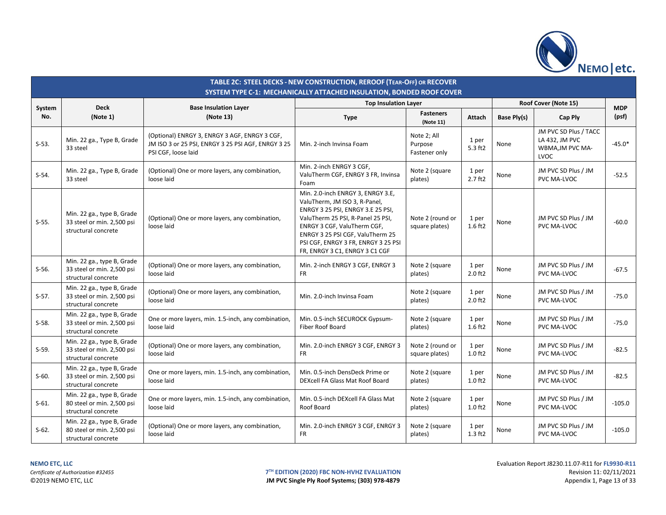

|               | TABLE 2C: STEEL DECKS - NEW CONSTRUCTION, REROOF (TEAR-OFF) OR RECOVER<br>SYSTEM TYPE C-1: MECHANICALLY ATTACHED INSULATION, BONDED ROOF COVER |                                                                                                                            |                                                                                                                                                                                                                                                                                          |                                         |                       |             |                                                                     |                     |  |  |  |  |
|---------------|------------------------------------------------------------------------------------------------------------------------------------------------|----------------------------------------------------------------------------------------------------------------------------|------------------------------------------------------------------------------------------------------------------------------------------------------------------------------------------------------------------------------------------------------------------------------------------|-----------------------------------------|-----------------------|-------------|---------------------------------------------------------------------|---------------------|--|--|--|--|
|               | <b>Deck</b>                                                                                                                                    | <b>Base Insulation Layer</b>                                                                                               | <b>Top Insulation Layer</b>                                                                                                                                                                                                                                                              |                                         |                       |             | Roof Cover (Note 15)                                                |                     |  |  |  |  |
| System<br>No. | (Note 1)                                                                                                                                       | (Note 13)                                                                                                                  | <b>Type</b>                                                                                                                                                                                                                                                                              | <b>Fasteners</b><br>(Note 11)           | Attach                | Base Ply(s) | Cap Ply                                                             | <b>MDP</b><br>(psf) |  |  |  |  |
| $S-53.$       | Min. 22 ga., Type B, Grade<br>33 steel                                                                                                         | (Optional) ENRGY 3, ENRGY 3 AGF, ENRGY 3 CGF,<br>JM ISO 3 or 25 PSI, ENRGY 3 25 PSI AGF, ENRGY 3 25<br>PSI CGF, loose laid | Min. 2-inch Invinsa Foam                                                                                                                                                                                                                                                                 | Note 2; All<br>Purpose<br>Fastener only | 1 per<br>$5.3$ ft2    | None        | JM PVC SD Plus / TACC<br>LA 432, JM PVC<br>WBMA, JM PVC MA-<br>LVOC | $-45.0*$            |  |  |  |  |
| $S-54.$       | Min. 22 ga., Type B, Grade<br>33 steel                                                                                                         | (Optional) One or more layers, any combination,<br>loose laid                                                              | Min. 2-inch ENRGY 3 CGF,<br>ValuTherm CGF, ENRGY 3 FR, Invinsa<br>Foam                                                                                                                                                                                                                   | Note 2 (square<br>plates)               | 1 per<br>$2.7$ ft $2$ | None        | JM PVC SD Plus / JM<br>PVC MA-LVOC                                  | $-52.5$             |  |  |  |  |
| $S-55.$       | Min. 22 ga., type B, Grade<br>33 steel or min. 2,500 psi<br>structural concrete                                                                | (Optional) One or more layers, any combination,<br>loose laid                                                              | Min. 2.0-inch ENRGY 3, ENRGY 3.E,<br>ValuTherm, JM ISO 3, R-Panel,<br>ENRGY 3 25 PSI, ENRGY 3.E 25 PSI,<br>ValuTherm 25 PSI, R-Panel 25 PSI,<br>ENRGY 3 CGF, ValuTherm CGF,<br>ENRGY 3 25 PSI CGF, ValuTherm 25<br>PSI CGF, ENRGY 3 FR, ENRGY 3 25 PSI<br>FR, ENRGY 3 C1, ENRGY 3 C1 CGF | Note 2 (round or<br>square plates)      | 1 per<br>1.6 ft2      | None        | JM PVC SD Plus / JM<br>PVC MA-LVOC                                  | $-60.0$             |  |  |  |  |
| $S-56.$       | Min. 22 ga., type B, Grade<br>33 steel or min. 2,500 psi<br>structural concrete                                                                | (Optional) One or more layers, any combination,<br>loose laid                                                              | Min. 2-inch ENRGY 3 CGF, ENRGY 3<br><b>FR</b>                                                                                                                                                                                                                                            | Note 2 (square<br>plates)               | 1 per<br>2.0 ft2      | None        | JM PVC SD Plus / JM<br>PVC MA-LVOC                                  | $-67.5$             |  |  |  |  |
| $S-57.$       | Min. 22 ga., type B, Grade<br>33 steel or min. 2,500 psi<br>structural concrete                                                                | (Optional) One or more layers, any combination,<br>loose laid                                                              | Min. 2.0-inch Invinsa Foam                                                                                                                                                                                                                                                               | Note 2 (square<br>plates)               | 1 per<br>2.0 ft2      | None        | JM PVC SD Plus / JM<br>PVC MA-LVOC                                  | $-75.0$             |  |  |  |  |
| $S-58.$       | Min. 22 ga., type B, Grade<br>33 steel or min. 2,500 psi<br>structural concrete                                                                | One or more layers, min. 1.5-inch, any combination,<br>loose laid                                                          | Min. 0.5-inch SECUROCK Gypsum-<br>Fiber Roof Board                                                                                                                                                                                                                                       | Note 2 (square<br>plates)               | 1 per<br>1.6 ft2      | None        | JM PVC SD Plus / JM<br>PVC MA-LVOC                                  | $-75.0$             |  |  |  |  |
| $S-59.$       | Min. 22 ga., type B, Grade<br>33 steel or min. 2,500 psi<br>structural concrete                                                                | (Optional) One or more layers, any combination,<br>loose laid                                                              | Min. 2.0-inch ENRGY 3 CGF, ENRGY 3<br><b>FR</b>                                                                                                                                                                                                                                          | Note 2 (round or<br>square plates)      | 1 per<br>$1.0$ ft $2$ | None        | JM PVC SD Plus / JM<br>PVC MA-LVOC                                  | $-82.5$             |  |  |  |  |
| $S-60.$       | Min. 22 ga., type B, Grade<br>33 steel or min. 2,500 psi<br>structural concrete                                                                | One or more layers, min. 1.5-inch, any combination,<br>loose laid                                                          | Min. 0.5-inch DensDeck Prime or<br>DEXcell FA Glass Mat Roof Board                                                                                                                                                                                                                       | Note 2 (square<br>plates)               | 1 per<br>$1.0$ ft2    | None        | JM PVC SD Plus / JM<br>PVC MA-LVOC                                  | $-82.5$             |  |  |  |  |
| $S-61.$       | Min. 22 ga., type B, Grade<br>80 steel or min. 2,500 psi<br>structural concrete                                                                | One or more layers, min. 1.5-inch, any combination,<br>loose laid                                                          | Min. 0.5-inch DEXcell FA Glass Mat<br>Roof Board                                                                                                                                                                                                                                         | Note 2 (square<br>plates)               | 1 per<br>$1.0$ ft2    | None        | JM PVC SD Plus / JM<br>PVC MA-LVOC                                  | $-105.0$            |  |  |  |  |
| $S-62.$       | Min. 22 ga., type B, Grade<br>80 steel or min. 2,500 psi<br>structural concrete                                                                | (Optional) One or more layers, any combination,<br>loose laid                                                              | Min. 2.0-inch ENRGY 3 CGF, ENRGY 3<br><b>FR</b>                                                                                                                                                                                                                                          | Note 2 (square<br>plates)               | 1 per<br>$1.3$ ft2    | None        | JM PVC SD Plus / JM<br>PVC MA-LVOC                                  | $-105.0$            |  |  |  |  |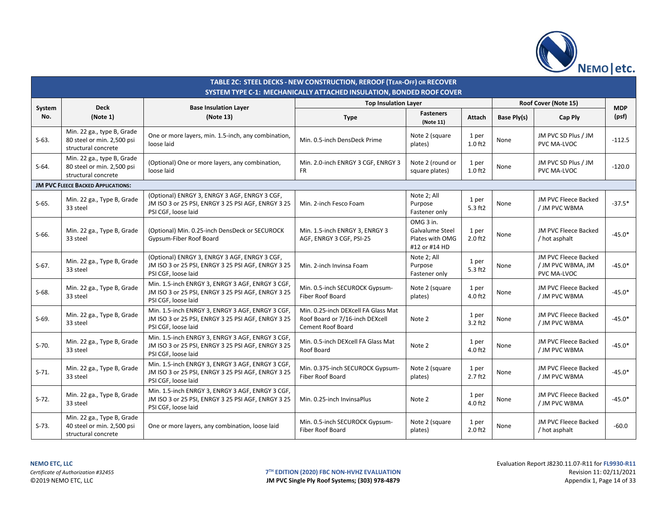

|         |                                                                                 |                                                                                                                               | TABLE 2C: STEEL DECKS - NEW CONSTRUCTION, REROOF (TEAR-OFF) OR RECOVER<br>SYSTEM TYPE C-1: MECHANICALLY ATTACHED INSULATION, BONDED ROOF COVER |                                                                  |                       |             |                                                          |            |
|---------|---------------------------------------------------------------------------------|-------------------------------------------------------------------------------------------------------------------------------|------------------------------------------------------------------------------------------------------------------------------------------------|------------------------------------------------------------------|-----------------------|-------------|----------------------------------------------------------|------------|
| System  | <b>Deck</b>                                                                     | <b>Base Insulation Layer</b>                                                                                                  | <b>Top Insulation Layer</b>                                                                                                                    |                                                                  |                       |             | Roof Cover (Note 15)                                     | <b>MDP</b> |
| No.     | (Note 1)                                                                        | (Note 13)                                                                                                                     | <b>Type</b>                                                                                                                                    | <b>Fasteners</b><br>(Note 11)                                    | Attach                | Base Ply(s) | Cap Ply                                                  | (psf)      |
| $S-63.$ | Min. 22 ga., type B, Grade<br>80 steel or min. 2,500 psi<br>structural concrete | One or more layers, min. 1.5-inch, any combination,<br>loose laid                                                             | Min. 0.5-inch DensDeck Prime                                                                                                                   | Note 2 (square<br>plates)                                        | 1 per<br>$1.0$ ft $2$ | None        | JM PVC SD Plus / JM<br>PVC MA-LVOC                       | $-112.5$   |
| $S-64.$ | Min. 22 ga., type B, Grade<br>80 steel or min. 2,500 psi<br>structural concrete | (Optional) One or more layers, any combination,<br>loose laid                                                                 | Min. 2.0-inch ENRGY 3 CGF, ENRGY 3<br>FR.                                                                                                      | Note 2 (round or<br>square plates)                               | 1 per<br>$1.0$ ft $2$ | None        | JM PVC SD Plus / JM<br>PVC MA-LVOC                       | $-120.0$   |
|         | <b>JM PVC FLEECE BACKED APPLICATIONS:</b>                                       |                                                                                                                               |                                                                                                                                                |                                                                  |                       |             |                                                          |            |
| $S-65.$ | Min. 22 ga., Type B, Grade<br>33 steel                                          | (Optional) ENRGY 3, ENRGY 3 AGF, ENRGY 3 CGF,<br>JM ISO 3 or 25 PSI, ENRGY 3 25 PSI AGF, ENRGY 3 25<br>PSI CGF, loose laid    | Min. 2-inch Fesco Foam                                                                                                                         | Note 2; All<br>Purpose<br>Fastener only                          | 1 per<br>5.3 ft2      | None        | JM PVC Fleece Backed<br>/ JM PVC WBMA                    | $-37.5*$   |
| $S-66.$ | Min. 22 ga., Type B, Grade<br>33 steel                                          | (Optional) Min. 0.25-inch DensDeck or SECUROCK<br>Gypsum-Fiber Roof Board                                                     | Min. 1.5-inch ENRGY 3, ENRGY 3<br>AGF, ENRGY 3 CGF, PSI-25                                                                                     | OMG 3 in.<br>Galvalume Steel<br>Plates with OMG<br>#12 or #14 HD | 1 per<br>$2.0$ ft $2$ | None        | JM PVC Fleece Backed<br>hot asphalt                      | $-45.0*$   |
| $S-67.$ | Min. 22 ga., Type B, Grade<br>33 steel                                          | (Optional) ENRGY 3, ENRGY 3 AGF, ENRGY 3 CGF,<br>JM ISO 3 or 25 PSI, ENRGY 3 25 PSI AGF, ENRGY 3 25<br>PSI CGF, loose laid    | Min. 2-inch Invinsa Foam                                                                                                                       | Note 2; All<br>Purpose<br>Fastener only                          | 1 per<br>5.3 ft2      | None        | JM PVC Fleece Backed<br>/ JM PVC WBMA, JM<br>PVC MA-LVOC | $-45.0*$   |
| $S-68.$ | Min. 22 ga., Type B, Grade<br>33 steel                                          | Min. 1.5-inch ENRGY 3, ENRGY 3 AGF, ENRGY 3 CGF,<br>JM ISO 3 or 25 PSI, ENRGY 3 25 PSI AGF, ENRGY 3 25<br>PSI CGF, loose laid | Min. 0.5-inch SECUROCK Gypsum-<br><b>Fiber Roof Board</b>                                                                                      | Note 2 (square<br>plates)                                        | 1 per<br>4.0 ft2      | None        | JM PVC Fleece Backed<br>/ JM PVC WBMA                    | $-45.0*$   |
| $S-69.$ | Min. 22 ga., Type B, Grade<br>33 steel                                          | Min. 1.5-inch ENRGY 3, ENRGY 3 AGF, ENRGY 3 CGF,<br>JM ISO 3 or 25 PSI, ENRGY 3 25 PSI AGF, ENRGY 3 25<br>PSI CGF, loose laid | Min. 0.25-inch DEXcell FA Glass Mat<br>Roof Board or 7/16-inch DEXcell<br><b>Cement Roof Board</b>                                             | Note 2                                                           | 1 per<br>3.2 ft2      | None        | JM PVC Fleece Backed<br>/ JM PVC WBMA                    | $-45.0*$   |
| $S-70.$ | Min. 22 ga., Type B, Grade<br>33 steel                                          | Min. 1.5-inch ENRGY 3, ENRGY 3 AGF, ENRGY 3 CGF,<br>JM ISO 3 or 25 PSI, ENRGY 3 25 PSI AGF, ENRGY 3 25<br>PSI CGF, loose laid | Min. 0.5-inch DEXcell FA Glass Mat<br>Roof Board                                                                                               | Note 2                                                           | 1 per<br>4.0 ft2      | None        | JM PVC Fleece Backed<br>/ JM PVC WBMA                    | $-45.0*$   |
| $S-71.$ | Min. 22 ga., Type B, Grade<br>33 steel                                          | Min. 1.5-inch ENRGY 3, ENRGY 3 AGF, ENRGY 3 CGF,<br>JM ISO 3 or 25 PSI, ENRGY 3 25 PSI AGF, ENRGY 3 25<br>PSI CGF, loose laid | Min. 0.375-inch SECUROCK Gypsum-<br><b>Fiber Roof Board</b>                                                                                    | Note 2 (square<br>plates)                                        | 1 per<br>$2.7$ ft $2$ | None        | JM PVC Fleece Backed<br>/ JM PVC WBMA                    | $-45.0*$   |
| $S-72.$ | Min. 22 ga., Type B, Grade<br>33 steel                                          | Min. 1.5-inch ENRGY 3, ENRGY 3 AGF, ENRGY 3 CGF,<br>JM ISO 3 or 25 PSI, ENRGY 3 25 PSI AGF, ENRGY 3 25<br>PSI CGF, loose laid | Min. 0.25-inch InvinsaPlus                                                                                                                     | Note 2                                                           | 1 per<br>4.0 ft2      | None        | JM PVC Fleece Backed<br>/ JM PVC WBMA                    | $-45.0*$   |
| $S-73.$ | Min. 22 ga., Type B, Grade<br>40 steel or min. 2,500 psi<br>structural concrete | One or more layers, any combination, loose laid                                                                               | Min. 0.5-inch SECUROCK Gypsum-<br><b>Fiber Roof Board</b>                                                                                      | Note 2 (square<br>plates)                                        | 1 per<br>$2.0$ ft $2$ | None        | JM PVC Fleece Backed<br>/ hot asphalt                    | $-60.0$    |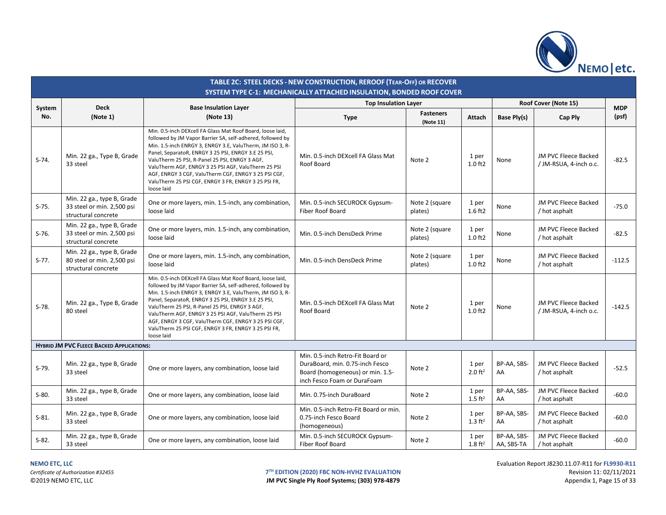

|               |                                                                                 |                                                                                                                                                                                                                                                                                                                                                                                                                                                                                     | TABLE 2C: STEEL DECKS - NEW CONSTRUCTION, REROOF (TEAR-OFF) OR RECOVER<br>SYSTEM TYPE C-1: MECHANICALLY ATTACHED INSULATION, BONDED ROOF COVER |                               |                             |                           |                                                |                     |
|---------------|---------------------------------------------------------------------------------|-------------------------------------------------------------------------------------------------------------------------------------------------------------------------------------------------------------------------------------------------------------------------------------------------------------------------------------------------------------------------------------------------------------------------------------------------------------------------------------|------------------------------------------------------------------------------------------------------------------------------------------------|-------------------------------|-----------------------------|---------------------------|------------------------------------------------|---------------------|
|               | <b>Deck</b>                                                                     |                                                                                                                                                                                                                                                                                                                                                                                                                                                                                     | <b>Top Insulation Layer</b>                                                                                                                    |                               |                             |                           | Roof Cover (Note 15)                           |                     |
| System<br>No. | (Note 1)                                                                        | <b>Base Insulation Layer</b><br>(Note 13)                                                                                                                                                                                                                                                                                                                                                                                                                                           | <b>Type</b>                                                                                                                                    | <b>Fasteners</b><br>(Note 11) | Attach                      | Base Ply(s)               | Cap Ply                                        | <b>MDP</b><br>(psf) |
| $S-74.$       | Min. 22 ga., Type B, Grade<br>33 steel                                          | Min. 0.5-inch DEXcell FA Glass Mat Roof Board, loose laid,<br>followed by JM Vapor Barrier SA, self-adhered, followed by<br>Min. 1.5-inch ENRGY 3, ENRGY 3.E, ValuTherm, JM ISO 3, R-<br>Panel, SeparatoR, ENRGY 3 25 PSI, ENRGY 3.E 25 PSI,<br>ValuTherm 25 PSI, R-Panel 25 PSI, ENRGY 3 AGF,<br>ValuTherm AGF, ENRGY 3 25 PSI AGF, ValuTherm 25 PSI<br>AGF, ENRGY 3 CGF, ValuTherm CGF, ENRGY 3 25 PSI CGF,<br>ValuTherm 25 PSI CGF, ENRGY 3 FR, ENRGY 3 25 PSI FR,<br>loose laid | Min. 0.5-inch DEXcell FA Glass Mat<br>Roof Board                                                                                               | Note 2                        | 1 per<br>$1.0$ ft $2$       | None                      | JM PVC Fleece Backed<br>/ JM-RSUA, 4-inch o.c. | $-82.5$             |
| $S-75.$       | Min. 22 ga., type B, Grade<br>33 steel or min. 2,500 psi<br>structural concrete | One or more layers, min. 1.5-inch, any combination,<br>loose laid                                                                                                                                                                                                                                                                                                                                                                                                                   | Min. 0.5-inch SECUROCK Gypsum-<br>Fiber Roof Board                                                                                             | Note 2 (square<br>plates)     | 1 per<br>$1.6$ ft2          | None                      | JM PVC Fleece Backed<br>/ hot asphalt          | $-75.0$             |
| $S-76.$       | Min. 22 ga., type B, Grade<br>33 steel or min. 2,500 psi<br>structural concrete | One or more layers, min. 1.5-inch, any combination,<br>loose laid                                                                                                                                                                                                                                                                                                                                                                                                                   | Min. 0.5-inch DensDeck Prime                                                                                                                   | Note 2 (square<br>plates)     | 1 per<br>$1.0$ ft $2$       | None                      | JM PVC Fleece Backed<br>/ hot asphalt          | $-82.5$             |
| $S-77.$       | Min. 22 ga., type B, Grade<br>80 steel or min. 2,500 psi<br>structural concrete | One or more layers, min. 1.5-inch, any combination,<br>loose laid                                                                                                                                                                                                                                                                                                                                                                                                                   | Min. 0.5-inch DensDeck Prime                                                                                                                   | Note 2 (square<br>plates)     | 1 per<br>$1.0$ ft $2$       | None                      | JM PVC Fleece Backed<br>/ hot asphalt          | $-112.5$            |
| $S-78.$       | Min. 22 ga., Type B, Grade<br>80 steel                                          | Min. 0.5-inch DEXcell FA Glass Mat Roof Board, loose laid,<br>followed by JM Vapor Barrier SA, self-adhered, followed by<br>Min. 1.5-inch ENRGY 3, ENRGY 3.E, ValuTherm, JM ISO 3, R-<br>Panel, SeparatoR, ENRGY 3 25 PSI, ENRGY 3.E 25 PSI,<br>ValuTherm 25 PSI, R-Panel 25 PSI, ENRGY 3 AGF,<br>ValuTherm AGF, ENRGY 3 25 PSI AGF, ValuTherm 25 PSI<br>AGF, ENRGY 3 CGF, ValuTherm CGF, ENRGY 3 25 PSI CGF,<br>ValuTherm 25 PSI CGF, ENRGY 3 FR, ENRGY 3 25 PSI FR,<br>loose laid | Min. 0.5-inch DEXcell FA Glass Mat<br>Roof Board                                                                                               | Note 2                        | 1 per<br>$1.0$ ft2          | None                      | JM PVC Fleece Backed<br>/ JM-RSUA, 4-inch o.c. | $-142.5$            |
|               | <b>HYBRID JM PVC FLEECE BACKED APPLICATIONS:</b>                                |                                                                                                                                                                                                                                                                                                                                                                                                                                                                                     |                                                                                                                                                |                               |                             |                           |                                                |                     |
| $S-79.$       | Min. 22 ga., type B, Grade<br>33 steel                                          | One or more layers, any combination, loose laid                                                                                                                                                                                                                                                                                                                                                                                                                                     | Min. 0.5-inch Retro-Fit Board or<br>DuraBoard, min. 0.75-inch Fesco<br>Board (homogeneous) or min. 1.5-<br>inch Fesco Foam or DuraFoam         | Note 2                        | 1 per<br>$2.0 \text{ ft}^2$ | BP-AA, SBS-<br>AA         | JM PVC Fleece Backed<br>/ hot asphalt          | $-52.5$             |
| $S-80.$       | Min. 22 ga., type B, Grade<br>33 steel                                          | One or more layers, any combination, loose laid                                                                                                                                                                                                                                                                                                                                                                                                                                     | Min. 0.75-inch DuraBoard                                                                                                                       | Note 2                        | 1 per<br>$1.5 \text{ ft}^2$ | BP-AA, SBS-<br>AA         | JM PVC Fleece Backed<br>/ hot asphalt          | $-60.0$             |
| $S-81.$       | Min. 22 ga., type B, Grade<br>33 steel                                          | One or more layers, any combination, loose laid                                                                                                                                                                                                                                                                                                                                                                                                                                     | Min. 0.5-inch Retro-Fit Board or min.<br>0.75-inch Fesco Board<br>(homogeneous)                                                                | Note 2                        | 1 per<br>$1.3 \text{ ft}^2$ | BP-AA, SBS-<br>AA         | JM PVC Fleece Backed<br>/ hot asphalt          | $-60.0$             |
| $S-82.$       | Min. 22 ga., type B, Grade<br>33 steel                                          | One or more layers, any combination, loose laid                                                                                                                                                                                                                                                                                                                                                                                                                                     | Min. 0.5-inch SECUROCK Gypsum-<br>Fiber Roof Board                                                                                             | Note 2                        | 1 per<br>$1.8 \text{ ft}^2$ | BP-AA, SBS-<br>AA, SBS-TA | JM PVC Fleece Backed<br>/ hot asphalt          | $-60.0$             |

JM PVC Single Ply Roof Systems; (303) 978-4879

**NEMO ETC, LLC** Evaluation Report J8230.11.07-R11 for **FL9930-R11 T<sup>TH</sup> EDITION (2020) FBC NON-HVHZ EVALUATION**<br> **IM PVC Single Ply Roof Systems; (303) 978-4879 Revision 11: 02/11/2021**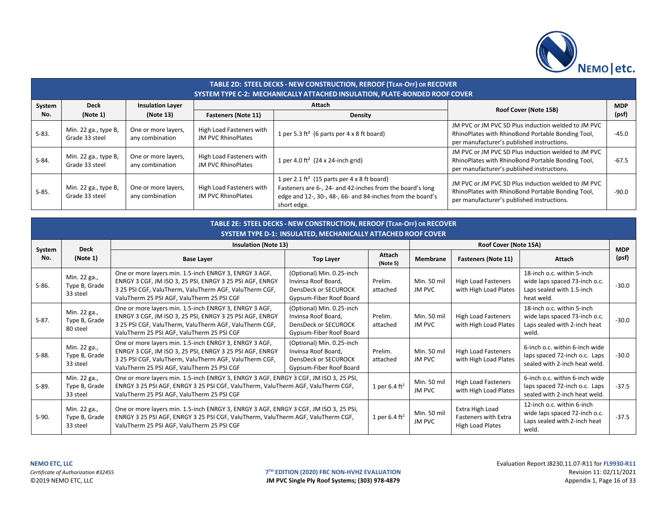

|         | TABLE 2D: STEEL DECKS - NEW CONSTRUCTION, REROOF (TEAR-OFF) OR RECOVER<br>SYSTEM TYPE C-2: MECHANICALLY ATTACHED INSULATION, PLATE-BONDED ROOF COVER |                                        |                                                       |                                                                                                                                                                                                   |                                                                                                                                                        |            |  |  |  |  |  |  |
|---------|------------------------------------------------------------------------------------------------------------------------------------------------------|----------------------------------------|-------------------------------------------------------|---------------------------------------------------------------------------------------------------------------------------------------------------------------------------------------------------|--------------------------------------------------------------------------------------------------------------------------------------------------------|------------|--|--|--|--|--|--|
| System  | <b>Deck</b>                                                                                                                                          | <b>Insulation Layer</b>                |                                                       | Attach                                                                                                                                                                                            | Roof Cover (Note 15B)                                                                                                                                  | <b>MDP</b> |  |  |  |  |  |  |
| No.     | (Note 1)                                                                                                                                             | (Note 13)                              | <b>Fasteners (Note 11)</b>                            | <b>Density</b>                                                                                                                                                                                    |                                                                                                                                                        | (psf)      |  |  |  |  |  |  |
| $S-83.$ | Min. 22 ga., type B,<br>Grade 33 steel                                                                                                               | One or more layers,<br>any combination | High Load Fasteners with<br>JM PVC RhinoPlates        | 1 per 5.3 ft <sup>2</sup> (6 parts per $4 \times 8$ ft board)                                                                                                                                     | JM PVC or JM PVC SD Plus induction welded to JM PVC<br>RhinoPlates with RhinoBond Portable Bonding Tool,<br>per manufacturer's published instructions. | $-45.0$    |  |  |  |  |  |  |
| $S-84.$ | Min. 22 ga., type B,<br>Grade 33 steel                                                                                                               | One or more layers,<br>any combination | High Load Fasteners with<br><b>JM PVC RhinoPlates</b> | 1 per 4.0 ft <sup>2</sup> (24 x 24-inch grid)                                                                                                                                                     | JM PVC or JM PVC SD Plus induction welded to JM PVC<br>RhinoPlates with RhinoBond Portable Bonding Tool,<br>per manufacturer's published instructions. | $-67.5$    |  |  |  |  |  |  |
| $S-85.$ | Min. 22 ga., type B,<br>Grade 33 steel                                                                                                               | One or more layers,<br>any combination | High Load Fasteners with<br>JM PVC RhinoPlates        | 1 per 2.1 ft <sup>2</sup> (15 parts per 4 x 8 ft board)<br>Fasteners are 6-, 24- and 42-inches from the board's long<br>edge and 12-, 30-, 48-, 66- and 84-inches from the board's<br>short edge. | JM PVC or JM PVC SD Plus induction welded to JM PVC<br>RhinoPlates with RhinoBond Portable Bonding Tool,<br>per manufacturer's published instructions. | $-90.0$    |  |  |  |  |  |  |

|         | TABLE 2E: STEEL DECKS - NEW CONSTRUCTION, REROOF (TEAR-OFF) OR RECOVER<br><b>SYSTEM TYPE D-1: INSULATED, MECHANICALLY ATTACHED ROOF COVER</b> |                                                                                                                                                                                                                            |                                                                                                                                                     |                           |                                                     |                                                                                                  |                                                                                                        |            |  |  |  |  |
|---------|-----------------------------------------------------------------------------------------------------------------------------------------------|----------------------------------------------------------------------------------------------------------------------------------------------------------------------------------------------------------------------------|-----------------------------------------------------------------------------------------------------------------------------------------------------|---------------------------|-----------------------------------------------------|--------------------------------------------------------------------------------------------------|--------------------------------------------------------------------------------------------------------|------------|--|--|--|--|
| System  | <b>Deck</b>                                                                                                                                   | <b>Insulation (Note 13)</b>                                                                                                                                                                                                |                                                                                                                                                     |                           |                                                     | Roof Cover (Note 15A)                                                                            |                                                                                                        | <b>MDP</b> |  |  |  |  |
| No.     | (Note 1)                                                                                                                                      | <b>Base Layer</b>                                                                                                                                                                                                          | <b>Top Layer</b>                                                                                                                                    | <b>Attach</b><br>(Note 5) | <b>Membrane</b>                                     | <b>Fasteners (Note 11)</b>                                                                       | Attach                                                                                                 | (psf)      |  |  |  |  |
| $S-86.$ | Min. 22 ga.,<br>Type B, Grade<br>33 steel                                                                                                     | One or more layers min. 1.5-inch ENRGY 3, ENRGY 3 AGF,<br>ENRGY 3 CGF, JM ISO 3, 25 PSI, ENRGY 3 25 PSI AGF, ENRGY<br>3 25 PSI CGF, ValuTherm, ValuTherm AGF, ValuTherm CGF,<br>ValuTherm 25 PSI AGF, ValuTherm 25 PSI CGF | (Optional) Min. 0.25-inch<br>Invinsa Roof Board,<br><b>DensDeck or SECUROCK</b><br>Gypsum-Fiber Roof Board                                          | Prelim.<br>attached       | Min. 50 mil<br><b>JM PVC</b>                        | High Load Fasteners<br>with High Load Plates                                                     | 18-inch o.c. within 5-inch<br>wide laps spaced 73-inch o.c.<br>Laps sealed with 1.5-inch<br>heat weld. | $-30.0$    |  |  |  |  |
| $S-87.$ | Min. 22 ga.,<br>Type B, Grade<br>80 steel                                                                                                     | One or more layers min. 1.5-inch ENRGY 3, ENRGY 3 AGF,<br>ENRGY 3 CGF, JM ISO 3, 25 PSI, ENRGY 3 25 PSI AGF, ENRGY<br>3 25 PSI CGF, ValuTherm, ValuTherm AGF, ValuTherm CGF,<br>ValuTherm 25 PSI AGF, ValuTherm 25 PSI CGF | (Optional) Min. 0.25-inch<br>Invinsa Roof Board,<br>DensDeck or SECUROCK<br>Gypsum-Fiber Roof Board                                                 | Prelim.<br>attached       | Min. 50 mil<br>JM PVC                               | High Load Fasteners<br>with High Load Plates                                                     | 18-inch o.c. within 5-inch<br>wide laps spaced 73-inch o.c.<br>Laps sealed with 2-inch heat<br>weld.   | $-30.0$    |  |  |  |  |
| $S-88.$ | Min. 22 ga.,<br>Type B, Grade<br>33 steel                                                                                                     | One or more layers min. 1.5-inch ENRGY 3, ENRGY 3 AGF,<br>ENRGY 3 CGF, JM ISO 3, 25 PSI, ENRGY 3 25 PSI AGF, ENRGY<br>3 25 PSI CGF, ValuTherm, ValuTherm AGF, ValuTherm CGF,<br>ValuTherm 25 PSI AGF, ValuTherm 25 PSI CGF | (Optional) Min. 0.25-inch<br>Invinsa Roof Board,<br>Prelim.<br>Min. 50 mil<br>DensDeck or SECUROCK<br>attached<br>JM PVC<br>Gypsum-Fiber Roof Board |                           | <b>High Load Fasteners</b><br>with High Load Plates | 6-inch o.c. within 6-inch wide<br>laps spaced 72-inch o.c. Laps<br>sealed with 2-inch heat weld. | $-30.0$                                                                                                |            |  |  |  |  |
| $S-89.$ | Min. 22 ga.,<br>Type B, Grade<br>33 steel                                                                                                     | One or more layers min. 1.5-inch ENRGY 3, ENRGY 3 AGF, ENRGY 3 CGF, JM ISO 3, 25 PSI,<br>ENRGY 3 25 PSI AGF, ENRGY 3 25 PSI CGF, ValuTherm, ValuTherm AGF, ValuTherm CGF,<br>ValuTherm 25 PSI AGF, ValuTherm 25 PSI CGF    |                                                                                                                                                     |                           | Min. 50 mil<br><b>JM PVC</b>                        | <b>High Load Fasteners</b><br>with High Load Plates                                              | 6-inch o.c. within 6-inch wide<br>laps spaced 72-inch o.c. Laps<br>sealed with 2-inch heat weld.       | $-37.5$    |  |  |  |  |
| $S-90.$ | Min. 22 ga.,<br>Type B, Grade<br>33 steel                                                                                                     | One or more layers min. 1.5-inch ENRGY 3, ENRGY 3 AGF, ENRGY 3 CGF, JM ISO 3, 25 PSI,<br>ENRGY 3 25 PSI AGF, ENRGY 3 25 PSI CGF, ValuTherm, ValuTherm AGF, ValuTherm CGF,<br>ValuTherm 25 PSI AGF, ValuTherm 25 PSI CGF    |                                                                                                                                                     | 1 per 6.4 $ft^2$          | Min. 50 mil<br>JM PVC                               | Extra High Load<br><b>Fasteners with Extra</b><br><b>High Load Plates</b>                        | 12-inch o.c. within 6-inch<br>wide laps spaced 72-inch o.c.<br>Laps sealed with 2-inch heat<br>weld.   | $-37.5$    |  |  |  |  |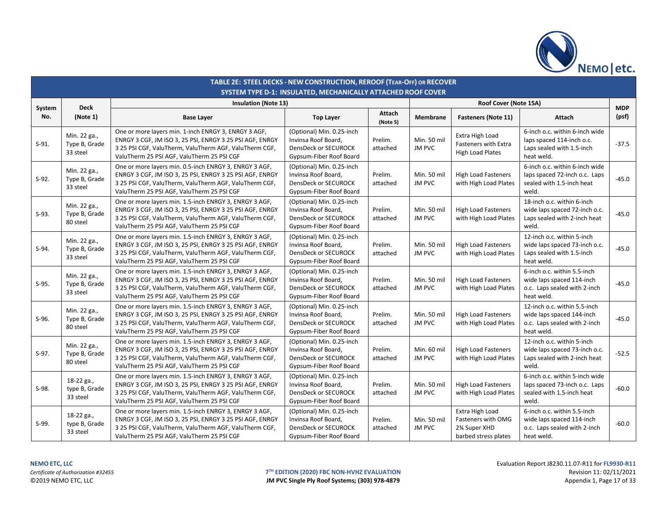

|               | TABLE 2E: STEEL DECKS - NEW CONSTRUCTION, REROOF (TEAR-OFF) OR RECOVER<br><b>SYSTEM TYPE D-1: INSULATED, MECHANICALLY ATTACHED ROOF COVER</b> |                                                                                                                                                                                                                            |                                                                                                            |                     |                              |                                                                               |                                                                                                         |                     |  |  |  |  |
|---------------|-----------------------------------------------------------------------------------------------------------------------------------------------|----------------------------------------------------------------------------------------------------------------------------------------------------------------------------------------------------------------------------|------------------------------------------------------------------------------------------------------------|---------------------|------------------------------|-------------------------------------------------------------------------------|---------------------------------------------------------------------------------------------------------|---------------------|--|--|--|--|
|               |                                                                                                                                               | <b>Insulation (Note 13)</b>                                                                                                                                                                                                |                                                                                                            |                     |                              | Roof Cover (Note 15A)                                                         |                                                                                                         |                     |  |  |  |  |
| System<br>No. | <b>Deck</b><br>(Note 1)                                                                                                                       | <b>Base Layer</b>                                                                                                                                                                                                          | <b>Top Layer</b>                                                                                           | Attach<br>(Note 5)  | Membrane                     | <b>Fasteners (Note 11)</b>                                                    | Attach                                                                                                  | <b>MDP</b><br>(psf) |  |  |  |  |
| $S-91.$       | Min. 22 ga.,<br>Type B, Grade<br>33 steel                                                                                                     | One or more layers min. 1-inch ENRGY 3, ENRGY 3 AGF,<br>ENRGY 3 CGF, JM ISO 3, 25 PSI, ENRGY 3 25 PSI AGF, ENRGY<br>3 25 PSI CGF, ValuTherm, ValuTherm AGF, ValuTherm CGF,<br>ValuTherm 25 PSI AGF, ValuTherm 25 PSI CGF   | (Optional) Min. 0.25-inch<br>Invinsa Roof Board,<br>DensDeck or SECUROCK<br>Gypsum-Fiber Roof Board        | Prelim.<br>attached | Min. 50 mil<br>JM PVC        | Extra High Load<br>Fasteners with Extra<br><b>High Load Plates</b>            | 6-inch o.c. within 6-inch wide<br>laps spaced 114-inch o.c.<br>Laps sealed with 1.5-inch<br>heat weld.  | $-37.5$             |  |  |  |  |
| $S-92.$       | Min. 22 ga.,<br>Type B, Grade<br>33 steel                                                                                                     | One or more layers min. 0.5-inch ENRGY 3, ENRGY 3 AGF,<br>ENRGY 3 CGF, JM ISO 3, 25 PSI, ENRGY 3 25 PSI AGF, ENRGY<br>3 25 PSI CGF, ValuTherm, ValuTherm AGF, ValuTherm CGF,<br>ValuTherm 25 PSI AGF, ValuTherm 25 PSI CGF | (Optional) Min. 0.25-inch<br>Invinsa Roof Board,<br>DensDeck or SECUROCK<br>Gypsum-Fiber Roof Board        | Prelim.<br>attached | Min. 50 mil<br>JM PVC        | <b>High Load Fasteners</b><br>with High Load Plates                           | 6-inch o.c. within 6-inch wide<br>laps spaced 72-inch o.c. Laps<br>sealed with 1.5-inch heat<br>weld.   | $-45.0$             |  |  |  |  |
| $S-93.$       | Min. 22 ga.,<br>Type B, Grade<br>80 steel                                                                                                     | One or more layers min. 1.5-inch ENRGY 3, ENRGY 3 AGF,<br>ENRGY 3 CGF, JM ISO 3, 25 PSI, ENRGY 3 25 PSI AGF, ENRGY<br>3 25 PSI CGF, ValuTherm, ValuTherm AGF, ValuTherm CGF,<br>ValuTherm 25 PSI AGF, ValuTherm 25 PSI CGF | (Optional) Min. 0.25-inch<br>Invinsa Roof Board,<br><b>DensDeck or SECUROCK</b><br>Gypsum-Fiber Roof Board | Prelim.<br>attached | Min. 50 mil<br><b>JM PVC</b> | <b>High Load Fasteners</b><br>with High Load Plates                           | 18-inch o.c. within 6-inch<br>wide laps spaced 72-inch o.c.<br>Laps sealed with 2-inch heat<br>weld.    | $-45.0$             |  |  |  |  |
| $S-94.$       | Min. 22 ga.,<br>Type B, Grade<br>33 steel                                                                                                     | One or more layers min. 1.5-inch ENRGY 3, ENRGY 3 AGF,<br>ENRGY 3 CGF, JM ISO 3, 25 PSI, ENRGY 3 25 PSI AGF, ENRGY<br>3 25 PSI CGF, ValuTherm, ValuTherm AGF, ValuTherm CGF,<br>ValuTherm 25 PSI AGF, ValuTherm 25 PSI CGF | (Optional) Min. 0.25-inch<br>Invinsa Roof Board,<br>DensDeck or SECUROCK<br>Gypsum-Fiber Roof Board        | Prelim.<br>attached | Min. 50 mil<br>JM PVC        | <b>High Load Fasteners</b><br>with High Load Plates                           | 12-inch o.c. within 5-inch<br>wide laps spaced 73-inch o.c.<br>Laps sealed with 1.5-inch<br>heat weld.  | $-45.0$             |  |  |  |  |
| $S-95.$       | Min. 22 ga.,<br>Type B, Grade<br>33 steel                                                                                                     | One or more layers min. 1.5-inch ENRGY 3, ENRGY 3 AGF,<br>ENRGY 3 CGF, JM ISO 3, 25 PSI, ENRGY 3 25 PSI AGF, ENRGY<br>3 25 PSI CGF, ValuTherm, ValuTherm AGF, ValuTherm CGF,<br>ValuTherm 25 PSI AGF, ValuTherm 25 PSI CGF | (Optional) Min. 0.25-inch<br>Invinsa Roof Board,<br>DensDeck or SECUROCK<br>Gypsum-Fiber Roof Board        | Prelim.<br>attached | Min. 50 mil<br>JM PVC        | <b>High Load Fasteners</b><br>with High Load Plates                           | 6-inch o.c. within 5.5-inch<br>wide laps spaced 114-inch<br>o.c. Laps sealed with 2-inch<br>heat weld.  | $-45.0$             |  |  |  |  |
| $S-96.$       | Min. 22 ga.,<br>Type B, Grade<br>80 steel                                                                                                     | One or more layers min. 1.5-inch ENRGY 3, ENRGY 3 AGF,<br>ENRGY 3 CGF, JM ISO 3, 25 PSI, ENRGY 3 25 PSI AGF, ENRGY<br>3 25 PSI CGF, ValuTherm, ValuTherm AGF, ValuTherm CGF,<br>ValuTherm 25 PSI AGF, ValuTherm 25 PSI CGF | (Optional) Min. 0.25-inch<br>Invinsa Roof Board,<br><b>DensDeck or SECUROCK</b><br>Gypsum-Fiber Roof Board | Prelim.<br>attached | Min. 50 mil<br>JM PVC        | <b>High Load Fasteners</b><br>with High Load Plates                           | 12-inch o.c. within 5.5-inch<br>wide laps spaced 144-inch<br>o.c. Laps sealed with 2-inch<br>heat weld. | $-45.0$             |  |  |  |  |
| $S-97.$       | Min. 22 ga.,<br>Type B, Grade<br>80 steel                                                                                                     | One or more layers min. 1.5-inch ENRGY 3, ENRGY 3 AGF,<br>ENRGY 3 CGF, JM ISO 3, 25 PSI, ENRGY 3 25 PSI AGF, ENRGY<br>3 25 PSI CGF, ValuTherm, ValuTherm AGF, ValuTherm CGF,<br>ValuTherm 25 PSI AGF, ValuTherm 25 PSI CGF | (Optional) Min. 0.25-inch<br>Invinsa Roof Board,<br>DensDeck or SECUROCK<br>Gypsum-Fiber Roof Board        | Prelim.<br>attached | Min. 60 mil<br>JM PVC        | <b>High Load Fasteners</b><br>with High Load Plates                           | 12-inch o.c. within 5-inch<br>wide laps spaced 73-inch o.c.<br>Laps sealed with 2-inch heat<br>weld.    | $-52.5$             |  |  |  |  |
| $S-98.$       | 18-22 ga.,<br>type B, Grade<br>33 steel                                                                                                       | One or more layers min. 1.5-inch ENRGY 3, ENRGY 3 AGF,<br>ENRGY 3 CGF, JM ISO 3, 25 PSI, ENRGY 3 25 PSI AGF, ENRGY<br>3 25 PSI CGF, ValuTherm, ValuTherm AGF, ValuTherm CGF,<br>ValuTherm 25 PSI AGF, ValuTherm 25 PSI CGF | (Optional) Min. 0.25-inch<br>Invinsa Roof Board,<br><b>DensDeck or SECUROCK</b><br>Gypsum-Fiber Roof Board | Prelim.<br>attached | Min. 50 mil<br>JM PVC        | <b>High Load Fasteners</b><br>with High Load Plates                           | 6-inch o.c. within 5-inch wide<br>laps spaced 73-inch o.c. Laps<br>sealed with 1.5-inch heat<br>weld.   | $-60.0$             |  |  |  |  |
| S-99.         | 18-22 ga.,<br>type B, Grade<br>33 steel                                                                                                       | One or more layers min. 1.5-inch ENRGY 3, ENRGY 3 AGF,<br>ENRGY 3 CGF, JM ISO 3, 25 PSI, ENRGY 3 25 PSI AGF, ENRGY<br>3 25 PSI CGF, ValuTherm, ValuTherm AGF, ValuTherm CGF,<br>ValuTherm 25 PSI AGF, ValuTherm 25 PSI CGF | (Optional) Min. 0.25-inch<br>Invinsa Roof Board,<br>DensDeck or SECUROCK<br>Gypsum-Fiber Roof Board        | Prelim.<br>attached | Min. 50 mil<br>JM PVC        | Extra High Load<br>Fasteners with OMG<br>2% Super XHD<br>barbed stress plates | 6-inch o.c. within 5.5-inch<br>wide laps spaced 114-inch<br>o.c. Laps sealed with 2-inch<br>heat weld.  | $-60.0$             |  |  |  |  |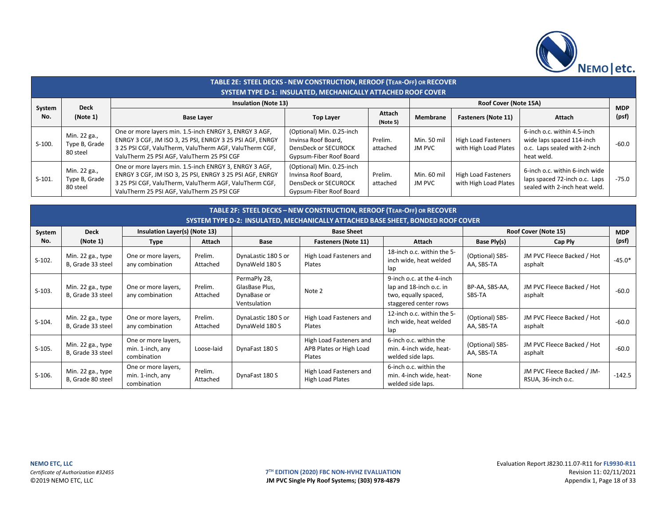

|        | TABLE 2E: STEEL DECKS - NEW CONSTRUCTION, REROOF (TEAR-OFF) OR RECOVER<br><b>SYSTEM TYPE D-1: INSULATED, MECHANICALLY ATTACHED ROOF COVER</b> |                                                                                                                                                                                                                            |                                                                                                     |                       |                       |                                                     |                                                                                                        |         |  |  |  |  |
|--------|-----------------------------------------------------------------------------------------------------------------------------------------------|----------------------------------------------------------------------------------------------------------------------------------------------------------------------------------------------------------------------------|-----------------------------------------------------------------------------------------------------|-----------------------|-----------------------|-----------------------------------------------------|--------------------------------------------------------------------------------------------------------|---------|--|--|--|--|
| System | <b>Deck</b>                                                                                                                                   | <b>Insulation (Note 13)</b>                                                                                                                                                                                                |                                                                                                     | Roof Cover (Note 15A) |                       | <b>MDP</b>                                          |                                                                                                        |         |  |  |  |  |
| No.    | (Note 1)                                                                                                                                      | <b>Base Layer</b>                                                                                                                                                                                                          | <b>Top Layer</b>                                                                                    | Attach<br>(Note 5)    | Membrane              | <b>Fasteners (Note 11)</b>                          | Attach                                                                                                 | (psf)   |  |  |  |  |
| S-100. | Min. 22 ga.,<br>Type B, Grade<br>80 steel                                                                                                     | One or more layers min. 1.5-inch ENRGY 3, ENRGY 3 AGF,<br>ENRGY 3 CGF, JM ISO 3, 25 PSI, ENRGY 3 25 PSI AGF, ENRGY<br>3 25 PSI CGF, ValuTherm, ValuTherm AGF, ValuTherm CGF,<br>ValuTherm 25 PSI AGF, ValuTherm 25 PSI CGF | (Optional) Min. 0.25-inch<br>Invinsa Roof Board.<br>DensDeck or SECUROCK<br>Gypsum-Fiber Roof Board | Prelim.<br>attached   | Min. 50 mil<br>JM PVC | <b>High Load Fasteners</b><br>with High Load Plates | 6-inch o.c. within 4.5-inch<br>wide laps spaced 114-inch<br>o.c. Laps sealed with 2-inch<br>heat weld. | $-60.0$ |  |  |  |  |
| S-101. | Min. 22 ga.,<br>Type B, Grade<br>80 steel                                                                                                     | One or more layers min. 1.5-inch ENRGY 3, ENRGY 3 AGF,<br>ENRGY 3 CGF, JM ISO 3, 25 PSI, ENRGY 3 25 PSI AGF, ENRGY<br>3 25 PSI CGF, ValuTherm, ValuTherm AGF, ValuTherm CGF,<br>ValuTherm 25 PSI AGF, ValuTherm 25 PSI CGF | (Optional) Min. 0.25-inch<br>Invinsa Roof Board.<br>DensDeck or SECUROCK<br>Gypsum-Fiber Roof Board | Prelim.<br>attached   | Min. 60 mil<br>JM PVC | <b>High Load Fasteners</b><br>with High Load Plates | 6-inch o.c. within 6-inch wide<br>laps spaced 72-inch o.c. Laps<br>sealed with 2-inch heat weld.       | $-75.0$ |  |  |  |  |

|          | TABLE 2F: STEEL DECKS - NEW CONSTRUCTION, REROOF (TEAR-OFF) OR RECOVER<br>SYSTEM TYPE D-2: INSULATED, MECHANICALLY ATTACHED BASE SHEET, BONDED ROOF COVER |                                                        |                     |                                                               |                                                              |                                                                                                       |                               |                                                  |            |  |  |  |
|----------|-----------------------------------------------------------------------------------------------------------------------------------------------------------|--------------------------------------------------------|---------------------|---------------------------------------------------------------|--------------------------------------------------------------|-------------------------------------------------------------------------------------------------------|-------------------------------|--------------------------------------------------|------------|--|--|--|
| System   | <b>Deck</b>                                                                                                                                               | Insulation Layer(s) (Note 13)                          |                     |                                                               | <b>Base Sheet</b>                                            |                                                                                                       |                               | Roof Cover (Note 15)                             | <b>MDP</b> |  |  |  |
| No.      | (Note 1)                                                                                                                                                  | <b>Type</b>                                            | Attach              | Base                                                          | <b>Fasteners (Note 11)</b>                                   | Attach                                                                                                | Base Ply(s)                   | Cap Ply                                          | (psf)      |  |  |  |
| $S-102.$ | Min. 22 ga., type<br>B, Grade 33 steel                                                                                                                    | One or more layers,<br>any combination                 | Prelim.<br>Attached | DynaLastic 180 S or<br>DynaWeld 180 S                         | High Load Fasteners and<br>Plates                            | 18-inch o.c. within the 5-<br>inch wide, heat welded<br>lap                                           | (Optional) SBS-<br>AA, SBS-TA | JM PVC Fleece Backed / Hot<br>asphalt            | $-45.0*$   |  |  |  |
| $S-103.$ | Min. 22 ga., type<br>B, Grade 33 steel                                                                                                                    | One or more layers,<br>any combination                 | Prelim.<br>Attached | PermaPly 28,<br>GlasBase Plus,<br>DynaBase or<br>Ventsulation | Note 2                                                       | 9-inch o.c. at the 4-inch<br>lap and 18-inch o.c. in<br>two, equally spaced,<br>staggered center rows | BP-AA, SBS-AA,<br>SBS-TA      | JM PVC Fleece Backed / Hot<br>asphalt            | $-60.0$    |  |  |  |
| $S-104.$ | Min. 22 ga., type<br>B, Grade 33 steel                                                                                                                    | One or more layers,<br>any combination                 | Prelim.<br>Attached | DynaLastic 180 S or<br>DynaWeld 180 S                         | High Load Fasteners and<br>Plates                            | 12-inch o.c. within the 5-<br>inch wide, heat welded<br>lap                                           | (Optional) SBS-<br>AA, SBS-TA | JM PVC Fleece Backed / Hot<br>asphalt            | $-60.0$    |  |  |  |
| $S-105.$ | Min. 22 ga., type<br>B, Grade 33 steel                                                                                                                    | One or more layers,<br>min. 1-inch, any<br>combination | Loose-laid          | DynaFast 180 S                                                | High Load Fasteners and<br>APB Plates or High Load<br>Plates | 6-inch o.c. within the<br>min. 4-inch wide, heat-<br>welded side laps.                                | (Optional) SBS-<br>AA, SBS-TA | JM PVC Fleece Backed / Hot<br>asphalt            | $-60.0$    |  |  |  |
| $S-106.$ | Min. 22 ga., type<br>B, Grade 80 steel                                                                                                                    | One or more layers,<br>min. 1-inch, any<br>combination | Prelim.<br>Attached | DynaFast 180 S                                                | High Load Fasteners and<br>High Load Plates                  | 6-inch o.c. within the<br>min. 4-inch wide, heat-<br>welded side laps.                                | None                          | JM PVC Fleece Backed / JM-<br>RSUA, 36-inch o.c. | $-142.5$   |  |  |  |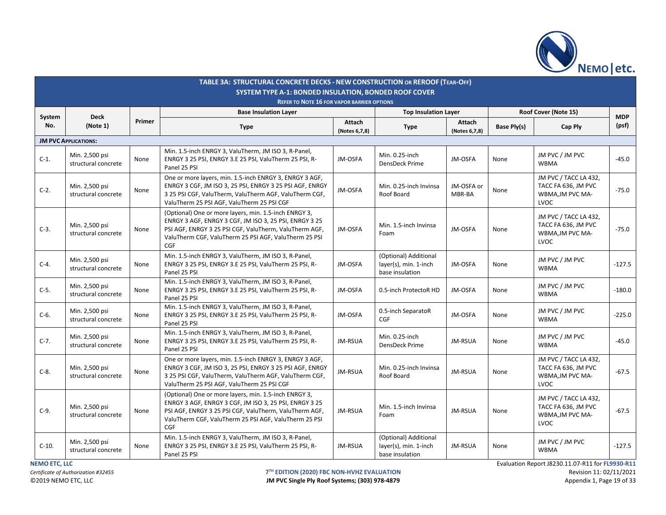

|         |                                       |        | TABLE 3A: STRUCTURAL CONCRETE DECKS - NEW CONSTRUCTION OR REROOF (TEAR-OFF)<br>SYSTEM TYPE A-1: BONDED INSULATION, BONDED ROOF COVER                                                                                                      |                         |                                                                   |                         |             |                                                                                 |            |
|---------|---------------------------------------|--------|-------------------------------------------------------------------------------------------------------------------------------------------------------------------------------------------------------------------------------------------|-------------------------|-------------------------------------------------------------------|-------------------------|-------------|---------------------------------------------------------------------------------|------------|
|         |                                       |        | <b>REFER TO NOTE 16 FOR VAPOR BARRIER OPTIONS</b>                                                                                                                                                                                         |                         |                                                                   |                         |             |                                                                                 |            |
| System  | <b>Deck</b>                           |        | <b>Base Insulation Layer</b>                                                                                                                                                                                                              |                         | <b>Top Insulation Layer</b>                                       |                         |             | Roof Cover (Note 15)                                                            | <b>MDP</b> |
| No.     | (Note 1)                              | Primer | <b>Type</b>                                                                                                                                                                                                                               | Attach<br>(Notes 6,7,8) | <b>Type</b>                                                       | Attach<br>(Notes 6,7,8) | Base Ply(s) | Cap Ply                                                                         | (psf)      |
|         | <b>JM PVC APPLICATIONS:</b>           |        |                                                                                                                                                                                                                                           |                         |                                                                   |                         |             |                                                                                 |            |
| $C-1$ . | Min. 2,500 psi<br>structural concrete | None   | Min. 1.5-inch ENRGY 3, ValuTherm, JM ISO 3, R-Panel,<br>ENRGY 3 25 PSI, ENRGY 3.E 25 PSI, ValuTherm 25 PSI, R-<br>Panel 25 PSI                                                                                                            | JM-OSFA                 | Min. 0.25-inch<br>DensDeck Prime                                  | JM-OSFA                 | None        | JM PVC / JM PVC<br><b>WBMA</b>                                                  | $-45.0$    |
| $C-2$ . | Min. 2,500 psi<br>structural concrete | None   | One or more layers, min. 1.5-inch ENRGY 3, ENRGY 3 AGF,<br>ENRGY 3 CGF, JM ISO 3, 25 PSI, ENRGY 3 25 PSI AGF, ENRGY<br>3 25 PSI CGF, ValuTherm, ValuTherm AGF, ValuTherm CGF,<br>ValuTherm 25 PSI AGF, ValuTherm 25 PSI CGF               | JM-OSFA                 | Min. 0.25-inch Invinsa<br>Roof Board                              | JM-OSFA or<br>MBR-BA    | None        | JM PVC / TACC LA 432,<br>TACC FA 636, JM PVC<br>WBMA, JM PVC MA-<br><b>LVOC</b> | $-75.0$    |
| $C-3$ . | Min. 2,500 psi<br>structural concrete | None   | (Optional) One or more layers, min. 1.5-inch ENRGY 3,<br>ENRGY 3 AGF, ENRGY 3 CGF, JM ISO 3, 25 PSI, ENRGY 3 25<br>PSI AGF, ENRGY 3 25 PSI CGF, ValuTherm, ValuTherm AGF,<br>ValuTherm CGF, ValuTherm 25 PSI AGF, ValuTherm 25 PSI<br>CGF | JM-OSFA                 | Min. 1.5-inch Invinsa<br>Foam                                     | JM-OSFA                 | None        | JM PVC / TACC LA 432,<br>TACC FA 636, JM PVC<br>WBMA, JM PVC MA-<br><b>LVOC</b> | $-75.0$    |
| $C-4.$  | Min. 2,500 psi<br>structural concrete | None   | Min. 1.5-inch ENRGY 3, ValuTherm, JM ISO 3, R-Panel,<br>ENRGY 3 25 PSI, ENRGY 3.E 25 PSI, ValuTherm 25 PSI, R-<br>Panel 25 PSI                                                                                                            | JM-OSFA                 | (Optional) Additional<br>layer(s), min. 1-inch<br>base insulation | JM-OSFA                 | None        | JM PVC / JM PVC<br><b>WBMA</b>                                                  | $-127.5$   |
| $C-5.$  | Min. 2,500 psi<br>structural concrete | None   | Min. 1.5-inch ENRGY 3, ValuTherm, JM ISO 3, R-Panel,<br>ENRGY 3 25 PSI, ENRGY 3.E 25 PSI, ValuTherm 25 PSI, R-<br>Panel 25 PSI                                                                                                            | JM-OSFA                 | 0.5-inch ProtectoR HD                                             | JM-OSFA                 | None        | JM PVC / JM PVC<br><b>WBMA</b>                                                  | $-180.0$   |
| $C-6.$  | Min. 2,500 psi<br>structural concrete | None   | Min. 1.5-inch ENRGY 3, ValuTherm, JM ISO 3, R-Panel,<br>ENRGY 3 25 PSI, ENRGY 3.E 25 PSI, ValuTherm 25 PSI, R-<br>Panel 25 PSI                                                                                                            | JM-OSFA                 | 0.5-inch SeparatoR<br><b>CGF</b>                                  | JM-OSFA                 | None        | JM PVC / JM PVC<br><b>WBMA</b>                                                  | $-225.0$   |
| $C-7.$  | Min. 2,500 psi<br>structural concrete | None   | Min. 1.5-inch ENRGY 3, ValuTherm, JM ISO 3, R-Panel,<br>ENRGY 3 25 PSI, ENRGY 3.E 25 PSI, ValuTherm 25 PSI, R-<br>Panel 25 PSI                                                                                                            | JM-RSUA                 | Min. 0.25-inch<br>DensDeck Prime                                  | JM-RSUA                 | None        | JM PVC / JM PVC<br><b>WBMA</b>                                                  | $-45.0$    |
| $C-8.$  | Min. 2,500 psi<br>structural concrete | None   | One or more layers, min. 1.5-inch ENRGY 3, ENRGY 3 AGF,<br>ENRGY 3 CGF, JM ISO 3, 25 PSI, ENRGY 3 25 PSI AGF, ENRGY<br>3 25 PSI CGF, ValuTherm, ValuTherm AGF, ValuTherm CGF,<br>ValuTherm 25 PSI AGF, ValuTherm 25 PSI CGF               | JM-RSUA                 | Min. 0.25-inch Invinsa<br>Roof Board                              | JM-RSUA                 | None        | JM PVC / TACC LA 432,<br>TACC FA 636, JM PVC<br>WBMA, JM PVC MA-<br><b>LVOC</b> | $-67.5$    |
| $C-9.$  | Min. 2,500 psi<br>structural concrete | None   | (Optional) One or more layers, min. 1.5-inch ENRGY 3,<br>ENRGY 3 AGF, ENRGY 3 CGF, JM ISO 3, 25 PSI, ENRGY 3 25<br>PSI AGF, ENRGY 3 25 PSI CGF, ValuTherm, ValuTherm AGF,<br>ValuTherm CGF, ValuTherm 25 PSI AGF, ValuTherm 25 PSI<br>CGF | JM-RSUA                 | Min. 1.5-inch Invinsa<br>Foam                                     | JM-RSUA                 | None        | JM PVC / TACC LA 432,<br>TACC FA 636, JM PVC<br>WBMA, JM PVC MA-<br>LVOC        | $-67.5$    |
| $C-10.$ | Min. 2,500 psi<br>structural concrete | None   | Min. 1.5-inch ENRGY 3, ValuTherm, JM ISO 3, R-Panel,<br>ENRGY 3 25 PSI, ENRGY 3.E 25 PSI, ValuTherm 25 PSI, R-<br>Panel 25 PSI                                                                                                            | JM-RSUA                 | (Optional) Additional<br>layer(s), min. 1-inch<br>base insulation | JM-RSUA                 | None        | JM PVC / JM PVC<br><b>WBMA</b>                                                  | $-127.5$   |

**T<sup>TH</sup> EDITION (2020) FBC NON-HVHZ EVALUATION**<br> **IM PVC Single Ply Roof Systems; (303) 978-4879 Revision 11: 02/11/2021** JM PVC Single Ply Roof Systems; (303) 978-4879

**NEMO ETC, LLC**<br> **NEMO ETC, LLC** Evaluation Report J8230.11.07-R11 for **FL9930-R11**<br>
T<sup>TH</sup> EDITION (2020) FBC NON-HVHZ EVALUATION **EVALUATION**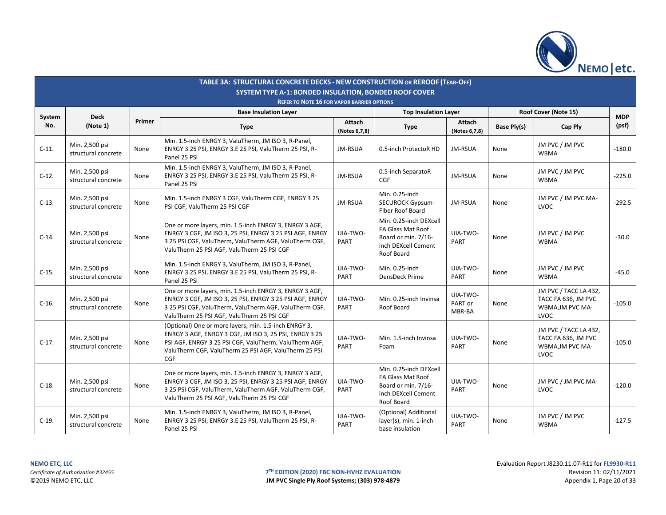

|               |                                       |        | TABLE 3A: STRUCTURAL CONCRETE DECKS - NEW CONSTRUCTION OR REROOF (TEAR-OFF)<br><b>SYSTEM TYPE A-1: BONDED INSULATION, BONDED ROOF COVER</b>                                                                                                      |                         |                                                                                                         |                               |             |                                                                          |                     |
|---------------|---------------------------------------|--------|--------------------------------------------------------------------------------------------------------------------------------------------------------------------------------------------------------------------------------------------------|-------------------------|---------------------------------------------------------------------------------------------------------|-------------------------------|-------------|--------------------------------------------------------------------------|---------------------|
|               |                                       |        | <b>REFER TO NOTE 16 FOR VAPOR BARRIER OPTIONS</b><br><b>Base Insulation Layer</b>                                                                                                                                                                |                         | <b>Top Insulation Layer</b>                                                                             |                               |             | Roof Cover (Note 15)                                                     |                     |
| System<br>No. | <b>Deck</b><br>(Note 1)               | Primer | <b>Type</b>                                                                                                                                                                                                                                      | Attach<br>(Notes 6,7,8) | Type                                                                                                    | Attach<br>(Notes 6,7,8)       | Base Ply(s) | Cap Ply                                                                  | <b>MDP</b><br>(psf) |
| $C-11.$       | Min. 2,500 psi<br>structural concrete | None   | Min. 1.5-inch ENRGY 3, ValuTherm, JM ISO 3, R-Panel,<br>ENRGY 3 25 PSI, ENRGY 3.E 25 PSI, ValuTherm 25 PSI, R-<br>Panel 25 PSI                                                                                                                   | JM-RSUA                 | 0.5-inch ProtectoR HD                                                                                   | JM-RSUA                       | None        | JM PVC / JM PVC<br><b>WBMA</b>                                           | $-180.0$            |
| $C-12.$       | Min. 2,500 psi<br>structural concrete | None   | Min. 1.5-inch ENRGY 3, ValuTherm, JM ISO 3, R-Panel,<br>ENRGY 3 25 PSI, ENRGY 3.E 25 PSI, ValuTherm 25 PSI, R-<br>Panel 25 PSI                                                                                                                   | JM-RSUA                 | 0.5-inch SeparatoR<br>CGF                                                                               | JM-RSUA                       | None        | JM PVC / JM PVC<br><b>WBMA</b>                                           | $-225.0$            |
| $C-13.$       | Min. 2,500 psi<br>structural concrete | None   | Min. 1.5-inch ENRGY 3 CGF, ValuTherm CGF, ENRGY 3 25<br>PSI CGF, ValuTherm 25 PSI CGF                                                                                                                                                            | JM-RSUA                 | Min. 0.25-inch<br><b>SECUROCK Gypsum-</b><br>Fiber Roof Board                                           | JM-RSUA                       | None        | JM PVC / JM PVC MA-<br>LVOC                                              | $-292.5$            |
| $C-14.$       | Min. 2,500 psi<br>structural concrete | None   | One or more layers, min. 1.5-inch ENRGY 3, ENRGY 3 AGF,<br>ENRGY 3 CGF, JM ISO 3, 25 PSI, ENRGY 3 25 PSI AGF, ENRGY<br>3 25 PSI CGF, ValuTherm, ValuTherm AGF, ValuTherm CGF,<br>ValuTherm 25 PSI AGF, ValuTherm 25 PSI CGF                      | UIA-TWO-<br>PART        | Min. 0.25-inch DEXcell<br>FA Glass Mat Roof<br>Board or min. 7/16-<br>inch DEXcell Cement<br>Roof Board | UIA-TWO-<br>PART              | None        | JM PVC / JM PVC<br><b>WBMA</b>                                           | $-30.0$             |
| $C-15.$       | Min. 2,500 psi<br>structural concrete | None   | Min. 1.5-inch ENRGY 3, ValuTherm, JM ISO 3, R-Panel,<br>ENRGY 3 25 PSI, ENRGY 3.E 25 PSI, ValuTherm 25 PSI, R-<br>Panel 25 PSI                                                                                                                   | UIA-TWO-<br>PART        | Min. 0.25-inch<br>DensDeck Prime                                                                        | UIA-TWO-<br>PART              | None        | JM PVC / JM PVC<br><b>WBMA</b>                                           | $-45.0$             |
| $C-16$ .      | Min. 2,500 psi<br>structural concrete | None   | One or more layers, min. 1.5-inch ENRGY 3, ENRGY 3 AGF,<br>ENRGY 3 CGF, JM ISO 3, 25 PSI, ENRGY 3 25 PSI AGF, ENRGY<br>3 25 PSI CGF, ValuTherm, ValuTherm AGF, ValuTherm CGF,<br>ValuTherm 25 PSI AGF, ValuTherm 25 PSI CGF                      | UIA-TWO-<br>PART        | Min. 0.25-inch Invinsa<br>Roof Board                                                                    | UIA-TWO-<br>PART or<br>MBR-BA | None        | JM PVC / TACC LA 432,<br>TACC FA 636, JM PVC<br>WBMA, JM PVC MA-<br>LVOC | $-105.0$            |
| $C-17.$       | Min. 2,500 psi<br>structural concrete | None   | (Optional) One or more layers, min. 1.5-inch ENRGY 3,<br>ENRGY 3 AGF, ENRGY 3 CGF, JM ISO 3, 25 PSI, ENRGY 3 25<br>PSI AGF, ENRGY 3 25 PSI CGF, ValuTherm, ValuTherm AGF,<br>ValuTherm CGF, ValuTherm 25 PSI AGF, ValuTherm 25 PSI<br><b>CGF</b> | UIA-TWO-<br>PART        | Min. 1.5-inch Invinsa<br>Foam                                                                           | UIA-TWO-<br><b>PART</b>       | None        | JM PVC / TACC LA 432,<br>TACC FA 636, JM PVC<br>WBMA, JM PVC MA-<br>LVOC | $-105.0$            |
| $C-18.$       | Min. 2,500 psi<br>structural concrete | None   | One or more layers, min. 1.5-inch ENRGY 3, ENRGY 3 AGF,<br>ENRGY 3 CGF, JM ISO 3, 25 PSI, ENRGY 3 25 PSI AGF, ENRGY<br>3 25 PSI CGF, ValuTherm, ValuTherm AGF, ValuTherm CGF,<br>ValuTherm 25 PSI AGF, ValuTherm 25 PSI CGF                      | UIA-TWO-<br>PART        | Min. 0.25-inch DEXcell<br>FA Glass Mat Roof<br>Board or min. 7/16-<br>inch DEXcell Cement<br>Roof Board | UIA-TWO-<br>PART              | None        | JM PVC / JM PVC MA-<br>LVOC                                              | $-120.0$            |
| $C-19.$       | Min. 2,500 psi<br>structural concrete | None   | Min. 1.5-inch ENRGY 3, ValuTherm, JM ISO 3, R-Panel,<br>ENRGY 3 25 PSI, ENRGY 3.E 25 PSI, ValuTherm 25 PSI, R-<br>Panel 25 PSI                                                                                                                   | UIA-TWO-<br>PART        | (Optional) Additional<br>layer(s), min. 1-inch<br>base insulation                                       | UIA-TWO-<br>PART              | None        | JM PVC / JM PVC<br>WBMA                                                  | $-127.5$            |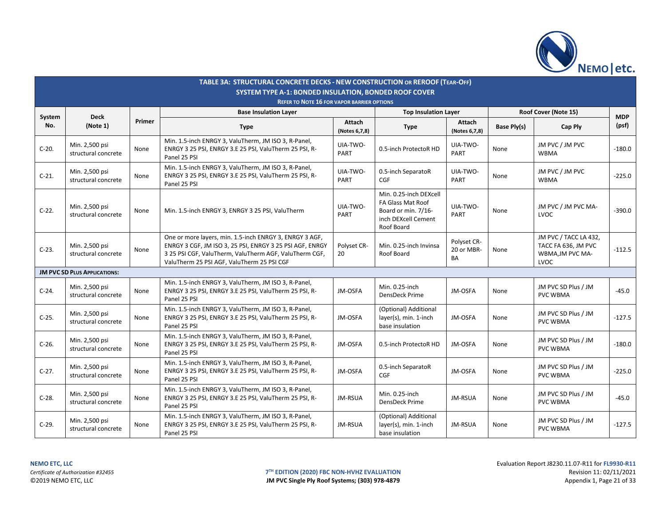

|               |                                       |        | TABLE 3A: STRUCTURAL CONCRETE DECKS - NEW CONSTRUCTION OR REROOF (TEAR-OFF)<br><b>SYSTEM TYPE A-1: BONDED INSULATION, BONDED ROOF COVER</b>                                                                                 |                                |                                                                                                         |                                 |                      |                                                                                 |                     |
|---------------|---------------------------------------|--------|-----------------------------------------------------------------------------------------------------------------------------------------------------------------------------------------------------------------------------|--------------------------------|---------------------------------------------------------------------------------------------------------|---------------------------------|----------------------|---------------------------------------------------------------------------------|---------------------|
|               |                                       |        | <b>REFER TO NOTE 16 FOR VAPOR BARRIER OPTIONS</b>                                                                                                                                                                           |                                |                                                                                                         |                                 |                      |                                                                                 |                     |
|               |                                       |        | <b>Base Insulation Layer</b>                                                                                                                                                                                                |                                | <b>Top Insulation Layer</b>                                                                             |                                 | Roof Cover (Note 15) |                                                                                 |                     |
| System<br>No. | <b>Deck</b><br>(Note 1)               | Primer | <b>Type</b>                                                                                                                                                                                                                 | <b>Attach</b><br>(Notes 6,7,8) | <b>Type</b>                                                                                             | Attach<br>(Notes 6,7,8)         | Base Ply(s)          | Cap Ply                                                                         | <b>MDP</b><br>(psf) |
| $C-20.$       | Min. 2,500 psi<br>structural concrete | None   | Min. 1.5-inch ENRGY 3, ValuTherm, JM ISO 3, R-Panel,<br>ENRGY 3 25 PSI, ENRGY 3.E 25 PSI, ValuTherm 25 PSI, R-<br>Panel 25 PSI                                                                                              | UIA-TWO-<br>PART               | 0.5-inch ProtectoR HD                                                                                   | UIA-TWO-<br>PART                | None                 | JM PVC / JM PVC<br><b>WBMA</b>                                                  | $-180.0$            |
| $C-21.$       | Min. 2,500 psi<br>structural concrete | None   | Min. 1.5-inch ENRGY 3, ValuTherm, JM ISO 3, R-Panel,<br>ENRGY 3 25 PSI, ENRGY 3.E 25 PSI, ValuTherm 25 PSI, R-<br>Panel 25 PSI                                                                                              | UIA-TWO-<br>PART               | 0.5-inch SeparatoR<br>CGF                                                                               | UIA-TWO-<br><b>PART</b>         | None                 | JM PVC / JM PVC<br><b>WBMA</b>                                                  | $-225.0$            |
| $C-22.$       | Min. 2,500 psi<br>structural concrete | None   | Min. 1.5-inch ENRGY 3, ENRGY 3 25 PSI, ValuTherm                                                                                                                                                                            | UIA-TWO-<br>PART               | Min. 0.25-inch DEXcell<br>FA Glass Mat Roof<br>Board or min. 7/16-<br>inch DEXcell Cement<br>Roof Board | UIA-TWO-<br>PART                | None                 | JM PVC / JM PVC MA-<br>LVOC                                                     | $-390.0$            |
| $C-23.$       | Min. 2,500 psi<br>structural concrete | None   | One or more layers, min. 1.5-inch ENRGY 3, ENRGY 3 AGF,<br>ENRGY 3 CGF, JM ISO 3, 25 PSI, ENRGY 3 25 PSI AGF, ENRGY<br>3 25 PSI CGF, ValuTherm, ValuTherm AGF, ValuTherm CGF,<br>ValuTherm 25 PSI AGF, ValuTherm 25 PSI CGF | Polyset CR-<br>20              | Min. 0.25-inch Invinsa<br>Roof Board                                                                    | Polyset CR-<br>20 or MBR-<br>BA | None                 | JM PVC / TACC LA 432,<br>TACC FA 636, JM PVC<br>WBMA, JM PVC MA-<br><b>LVOC</b> | $-112.5$            |
|               | JM PVC SD PLUS APPLICATIONS:          |        |                                                                                                                                                                                                                             |                                |                                                                                                         |                                 |                      |                                                                                 |                     |
| $C-24.$       | Min. 2,500 psi<br>structural concrete | None   | Min. 1.5-inch ENRGY 3, ValuTherm, JM ISO 3, R-Panel,<br>ENRGY 3 25 PSI, ENRGY 3.E 25 PSI, ValuTherm 25 PSI, R-<br>Panel 25 PSI                                                                                              | JM-OSFA                        | Min. 0.25-inch<br>DensDeck Prime                                                                        | JM-OSFA                         | None                 | JM PVC SD Plus / JM<br><b>PVC WBMA</b>                                          | $-45.0$             |
| $C-25.$       | Min. 2,500 psi<br>structural concrete | None   | Min. 1.5-inch ENRGY 3, ValuTherm, JM ISO 3, R-Panel,<br>ENRGY 3 25 PSI, ENRGY 3.E 25 PSI, ValuTherm 25 PSI, R-<br>Panel 25 PSI                                                                                              | JM-OSFA                        | (Optional) Additional<br>layer(s), min. 1-inch<br>base insulation                                       | JM-OSFA                         | None                 | JM PVC SD Plus / JM<br><b>PVC WBMA</b>                                          | $-127.5$            |
| $C-26.$       | Min. 2,500 psi<br>structural concrete | None   | Min. 1.5-inch ENRGY 3, ValuTherm, JM ISO 3, R-Panel,<br>ENRGY 3 25 PSI, ENRGY 3.E 25 PSI, ValuTherm 25 PSI, R-<br>Panel 25 PSI                                                                                              | JM-OSFA                        | 0.5-inch ProtectoR HD                                                                                   | JM-OSFA                         | None                 | JM PVC SD Plus / JM<br><b>PVC WBMA</b>                                          | $-180.0$            |
| $C-27.$       | Min. 2,500 psi<br>structural concrete | None   | Min. 1.5-inch ENRGY 3, ValuTherm, JM ISO 3, R-Panel,<br>ENRGY 3 25 PSI, ENRGY 3.E 25 PSI, ValuTherm 25 PSI, R-<br>Panel 25 PSI                                                                                              | JM-OSFA                        | 0.5-inch SeparatoR<br><b>CGF</b>                                                                        | JM-OSFA                         | None                 | JM PVC SD Plus / JM<br><b>PVC WBMA</b>                                          | $-225.0$            |
| $C-28.$       | Min. 2,500 psi<br>structural concrete | None   | Min. 1.5-inch ENRGY 3, ValuTherm, JM ISO 3, R-Panel,<br>ENRGY 3 25 PSI, ENRGY 3.E 25 PSI, ValuTherm 25 PSI, R-<br>Panel 25 PSI                                                                                              | JM-RSUA                        | Min. 0.25-inch<br>DensDeck Prime                                                                        | JM-RSUA                         | None                 | JM PVC SD Plus / JM<br><b>PVC WBMA</b>                                          | $-45.0$             |
| $C-29.$       | Min. 2,500 psi<br>structural concrete | None   | Min. 1.5-inch ENRGY 3, ValuTherm, JM ISO 3, R-Panel,<br>ENRGY 3 25 PSI, ENRGY 3.E 25 PSI, ValuTherm 25 PSI, R-<br>Panel 25 PSI                                                                                              | JM-RSUA                        | (Optional) Additional<br>layer(s), min. 1-inch<br>base insulation                                       | JM-RSUA                         | None                 | JM PVC SD Plus / JM<br><b>PVC WBMA</b>                                          | $-127.5$            |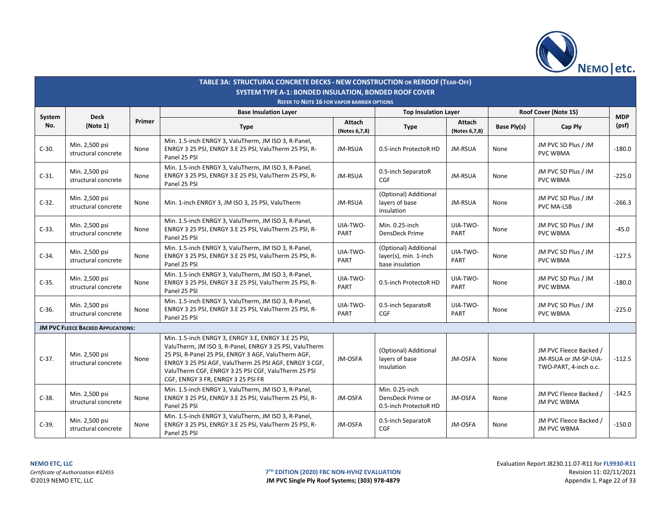

|               |                                           |        | TABLE 3A: STRUCTURAL CONCRETE DECKS - NEW CONSTRUCTION OR REROOF (TEAR-OFF)<br><b>SYSTEM TYPE A-1: BONDED INSULATION, BONDED ROOF COVER</b>                                                                                                                                                                                  |                                |                                                                   |                         |             |                                                                          |                     |
|---------------|-------------------------------------------|--------|------------------------------------------------------------------------------------------------------------------------------------------------------------------------------------------------------------------------------------------------------------------------------------------------------------------------------|--------------------------------|-------------------------------------------------------------------|-------------------------|-------------|--------------------------------------------------------------------------|---------------------|
|               |                                           |        | <b>REFER TO NOTE 16 FOR VAPOR BARRIER OPTIONS</b>                                                                                                                                                                                                                                                                            |                                |                                                                   |                         |             |                                                                          |                     |
|               |                                           |        | <b>Base Insulation Layer</b>                                                                                                                                                                                                                                                                                                 |                                |                                                                   |                         |             | Roof Cover (Note 15)                                                     |                     |
| System<br>No. | <b>Deck</b><br>(Note 1)                   | Primer | <b>Type</b>                                                                                                                                                                                                                                                                                                                  | <b>Attach</b><br>(Notes 6,7,8) | <b>Type</b>                                                       | Attach<br>(Notes 6,7,8) | Base Ply(s) | Cap Ply                                                                  | <b>MDP</b><br>(psf) |
| $C-30.$       | Min. 2,500 psi<br>structural concrete     | None   | Min. 1.5-inch ENRGY 3, ValuTherm, JM ISO 3, R-Panel,<br>ENRGY 3 25 PSI, ENRGY 3.E 25 PSI, ValuTherm 25 PSI, R-<br>Panel 25 PSI                                                                                                                                                                                               | JM-RSUA                        | 0.5-inch ProtectoR HD                                             | JM-RSUA                 | None        | JM PVC SD Plus / JM<br><b>PVC WBMA</b>                                   | $-180.0$            |
| $C-31.$       | Min. 2,500 psi<br>structural concrete     | None   | Min. 1.5-inch ENRGY 3, ValuTherm, JM ISO 3, R-Panel,<br>ENRGY 3 25 PSI, ENRGY 3.E 25 PSI, ValuTherm 25 PSI, R-<br>Panel 25 PSI                                                                                                                                                                                               | <b>JM-RSUA</b>                 | 0.5-inch SeparatoR<br>CGF                                         | JM-RSUA                 | None        | JM PVC SD Plus / JM<br>PVC WBMA                                          | $-225.0$            |
| $C-32.$       | Min. 2,500 psi<br>structural concrete     | None   | Min. 1-inch ENRGY 3, JM ISO 3, 25 PSI, ValuTherm                                                                                                                                                                                                                                                                             | JM-RSUA                        | (Optional) Additional<br>layers of base<br>insulation             | JM-RSUA                 | None        | JM PVC SD Plus / JM<br><b>PVC MA-LSB</b>                                 | $-266.3$            |
| $C-33.$       | Min. 2,500 psi<br>structural concrete     | None   | Min. 1.5-inch ENRGY 3, ValuTherm, JM ISO 3, R-Panel,<br>ENRGY 3 25 PSI, ENRGY 3.E 25 PSI, ValuTherm 25 PSI, R-<br>Panel 25 PSI                                                                                                                                                                                               | UIA-TWO-<br>PART               | Min. 0.25-inch<br>DensDeck Prime                                  | UIA-TWO-<br>PART        | None        | JM PVC SD Plus / JM<br><b>PVC WBMA</b>                                   | $-45.0$             |
| $C-34.$       | Min. 2,500 psi<br>structural concrete     | None   | Min. 1.5-inch ENRGY 3, ValuTherm, JM ISO 3, R-Panel,<br>ENRGY 3 25 PSI, ENRGY 3.E 25 PSI, ValuTherm 25 PSI, R-<br>Panel 25 PSI                                                                                                                                                                                               | UIA-TWO-<br>PART               | (Optional) Additional<br>layer(s), min. 1-inch<br>base insulation | UIA-TWO-<br>PART        | None        | JM PVC SD Plus / JM<br><b>PVC WBMA</b>                                   | $-127.5$            |
| $C-35.$       | Min. 2,500 psi<br>structural concrete     | None   | Min. 1.5-inch ENRGY 3, ValuTherm, JM ISO 3, R-Panel,<br>ENRGY 3 25 PSI, ENRGY 3.E 25 PSI, ValuTherm 25 PSI, R-<br>Panel 25 PSI                                                                                                                                                                                               | UIA-TWO-<br>PART               | 0.5-inch ProtectoR HD                                             | UIA-TWO-<br>PART        | None        | JM PVC SD Plus / JM<br><b>PVC WBMA</b>                                   | $-180.0$            |
| $C-36.$       | Min. 2,500 psi<br>structural concrete     | None   | Min. 1.5-inch ENRGY 3, ValuTherm, JM ISO 3, R-Panel,<br>ENRGY 3 25 PSI, ENRGY 3.E 25 PSI, ValuTherm 25 PSI, R-<br>Panel 25 PSI                                                                                                                                                                                               | UIA-TWO-<br>PART               | 0.5-inch SeparatoR<br><b>CGF</b>                                  | UIA-TWO-<br>PART        | None        | JM PVC SD Plus / JM<br><b>PVC WBMA</b>                                   | $-225.0$            |
|               | <b>JM PVC FLEECE BACKED APPLICATIONS:</b> |        |                                                                                                                                                                                                                                                                                                                              |                                |                                                                   |                         |             |                                                                          |                     |
| $C-37.$       | Min. 2,500 psi<br>structural concrete     | None   | Min. 1.5-inch ENRGY 3, ENRGY 3.E, ENRGY 3.E 25 PSI,<br>ValuTherm, JM ISO 3, R-Panel, ENRGY 3 25 PSI, ValuTherm<br>25 PSI, R-Panel 25 PSI, ENRGY 3 AGF, ValuTherm AGF,<br>ENRGY 3 25 PSI AGF, ValuTherm 25 PSI AGF, ENRGY 3 CGF,<br>ValuTherm CGF, ENRGY 3 25 PSI CGF, ValuTherm 25 PSI<br>CGF, ENRGY 3 FR, ENRGY 3 25 PSI FR | JM-OSFA                        | (Optional) Additional<br>layers of base<br>insulation             | JM-OSFA                 | None        | JM PVC Fleece Backed /<br>JM-RSUA or JM-SP-UIA-<br>TWO-PART, 4-inch o.c. | $-112.5$            |
| $C-38.$       | Min. 2,500 psi<br>structural concrete     | None   | Min. 1.5-inch ENRGY 3, ValuTherm, JM ISO 3, R-Panel,<br>ENRGY 3 25 PSI, ENRGY 3.E 25 PSI, ValuTherm 25 PSI, R-<br>Panel 25 PSI                                                                                                                                                                                               | JM-OSFA                        | Min. 0.25-inch<br>DensDeck Prime or<br>0.5-inch ProtectoR HD      | JM-OSFA                 | None        | JM PVC Fleece Backed /<br><b>JM PVC WBMA</b>                             | $-142.5$            |
| $C-39.$       | Min. 2,500 psi<br>structural concrete     | None   | Min. 1.5-inch ENRGY 3, ValuTherm, JM ISO 3, R-Panel,<br>ENRGY 3 25 PSI, ENRGY 3.E 25 PSI, ValuTherm 25 PSI, R-<br>Panel 25 PSI                                                                                                                                                                                               | JM-OSFA                        | 0.5-inch SeparatoR<br><b>CGF</b>                                  | JM-OSFA                 | None        | JM PVC Fleece Backed /<br><b>JM PVC WBMA</b>                             | $-150.0$            |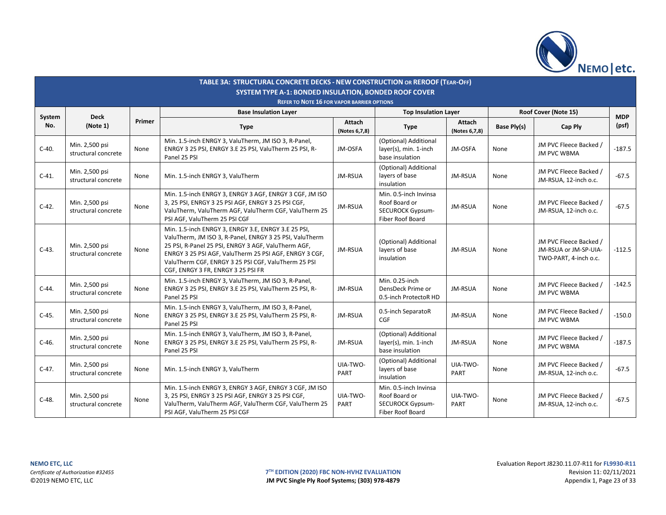

|               |                                       |        | TABLE 3A: STRUCTURAL CONCRETE DECKS - NEW CONSTRUCTION OR REROOF (TEAR-OFF)<br><b>SYSTEM TYPE A-1: BONDED INSULATION, BONDED ROOF COVER</b><br><b>REFER TO NOTE 16 FOR VAPOR BARRIER OPTIONS</b>                                                                                                                             |                         |                                                                                       |                         |                    |                                                                          |                     |
|---------------|---------------------------------------|--------|------------------------------------------------------------------------------------------------------------------------------------------------------------------------------------------------------------------------------------------------------------------------------------------------------------------------------|-------------------------|---------------------------------------------------------------------------------------|-------------------------|--------------------|--------------------------------------------------------------------------|---------------------|
|               |                                       |        | <b>Base Insulation Layer</b>                                                                                                                                                                                                                                                                                                 |                         | <b>Top Insulation Layer</b>                                                           |                         |                    | Roof Cover (Note 15)                                                     |                     |
| System<br>No. | <b>Deck</b><br>(Note 1)               | Primer | <b>Type</b>                                                                                                                                                                                                                                                                                                                  | Attach<br>(Notes 6,7,8) | <b>Type</b>                                                                           | Attach<br>(Notes 6,7,8) | <b>Base Ply(s)</b> | Cap Ply                                                                  | <b>MDP</b><br>(psf) |
| $C-40.$       | Min. 2,500 psi<br>structural concrete | None   | Min. 1.5-inch ENRGY 3, ValuTherm, JM ISO 3, R-Panel,<br>ENRGY 3 25 PSI, ENRGY 3.E 25 PSI, ValuTherm 25 PSI, R-<br>Panel 25 PSI                                                                                                                                                                                               | JM-OSFA                 | (Optional) Additional<br>layer(s), min. 1-inch<br>base insulation                     | JM-OSFA                 | None               | JM PVC Fleece Backed /<br><b>JM PVC WBMA</b>                             | $-187.5$            |
| $C-41.$       | Min. 2,500 psi<br>structural concrete | None   | Min. 1.5-inch ENRGY 3, ValuTherm                                                                                                                                                                                                                                                                                             | JM-RSUA                 | (Optional) Additional<br>layers of base<br>insulation                                 | JM-RSUA                 | None               | JM PVC Fleece Backed /<br>JM-RSUA, 12-inch o.c.                          | $-67.5$             |
| $C-42.$       | Min. 2,500 psi<br>structural concrete | None   | Min. 1.5-inch ENRGY 3, ENRGY 3 AGF, ENRGY 3 CGF, JM ISO<br>3, 25 PSI, ENRGY 3 25 PSI AGF, ENRGY 3 25 PSI CGF,<br>ValuTherm, ValuTherm AGF, ValuTherm CGF, ValuTherm 25<br>PSI AGF, ValuTherm 25 PSI CGF                                                                                                                      | JM-RSUA                 | Min. 0.5-inch Invinsa<br>Roof Board or<br><b>SECUROCK Gypsum-</b><br>Fiber Roof Board | JM-RSUA                 | None               | JM PVC Fleece Backed /<br>JM-RSUA, 12-inch o.c.                          | $-67.5$             |
| $C-43.$       | Min. 2,500 psi<br>structural concrete | None   | Min. 1.5-inch ENRGY 3. ENRGY 3.E. ENRGY 3.E 25 PSI.<br>ValuTherm, JM ISO 3, R-Panel, ENRGY 3 25 PSI, ValuTherm<br>25 PSI, R-Panel 25 PSI, ENRGY 3 AGF, ValuTherm AGF,<br>ENRGY 3 25 PSI AGF, ValuTherm 25 PSI AGF, ENRGY 3 CGF,<br>ValuTherm CGF, ENRGY 3 25 PSI CGF, ValuTherm 25 PSI<br>CGF, ENRGY 3 FR, ENRGY 3 25 PSI FR | JM-RSUA                 | (Optional) Additional<br>layers of base<br>insulation                                 | JM-RSUA                 | None               | JM PVC Fleece Backed /<br>JM-RSUA or JM-SP-UIA-<br>TWO-PART, 4-inch o.c. | $-112.5$            |
| $C-44.$       | Min. 2,500 psi<br>structural concrete | None   | Min. 1.5-inch ENRGY 3, ValuTherm, JM ISO 3, R-Panel,<br>ENRGY 3 25 PSI, ENRGY 3.E 25 PSI, ValuTherm 25 PSI, R-<br>Panel 25 PSI                                                                                                                                                                                               | JM-RSUA                 | Min. 0.25-inch<br>DensDeck Prime or<br>0.5-inch ProtectoR HD                          | JM-RSUA                 | None               | JM PVC Fleece Backed /<br><b>JM PVC WBMA</b>                             | $-142.5$            |
| $C-45.$       | Min. 2,500 psi<br>structural concrete | None   | Min. 1.5-inch ENRGY 3, ValuTherm, JM ISO 3, R-Panel,<br>ENRGY 3 25 PSI, ENRGY 3.E 25 PSI, ValuTherm 25 PSI, R-<br>Panel 25 PSI                                                                                                                                                                                               | JM-RSUA                 | 0.5-inch SeparatoR<br>CGF                                                             | JM-RSUA                 | None               | JM PVC Fleece Backed /<br><b>JM PVC WBMA</b>                             | $-150.0$            |
| $C-46.$       | Min. 2,500 psi<br>structural concrete | None   | Min. 1.5-inch ENRGY 3, ValuTherm, JM ISO 3, R-Panel,<br>ENRGY 3 25 PSI, ENRGY 3.E 25 PSI, ValuTherm 25 PSI, R-<br>Panel 25 PSI                                                                                                                                                                                               | JM-RSUA                 | (Optional) Additional<br>layer(s), min. 1-inch<br>base insulation                     | JM-RSUA                 | None               | JM PVC Fleece Backed /<br><b>JM PVC WBMA</b>                             | $-187.5$            |
| $C-47.$       | Min. 2,500 psi<br>structural concrete | None   | Min. 1.5-inch ENRGY 3, ValuTherm                                                                                                                                                                                                                                                                                             | UIA-TWO-<br>PART        | (Optional) Additional<br>layers of base<br>insulation                                 | UIA-TWO-<br>PART        | None               | JM PVC Fleece Backed /<br>JM-RSUA, 12-inch o.c.                          | $-67.5$             |
| $C-48.$       | Min. 2,500 psi<br>structural concrete | None   | Min. 1.5-inch ENRGY 3, ENRGY 3 AGF, ENRGY 3 CGF, JM ISO<br>3, 25 PSI, ENRGY 3 25 PSI AGF, ENRGY 3 25 PSI CGF,<br>ValuTherm, ValuTherm AGF, ValuTherm CGF, ValuTherm 25<br>PSI AGF, ValuTherm 25 PSI CGF                                                                                                                      | UIA-TWO-<br>PART        | Min. 0.5-inch Invinsa<br>Roof Board or<br><b>SECUROCK Gypsum-</b><br>Fiber Roof Board | UIA-TWO-<br>PART        | None               | JM PVC Fleece Backed /<br>JM-RSUA, 12-inch o.c.                          | $-67.5$             |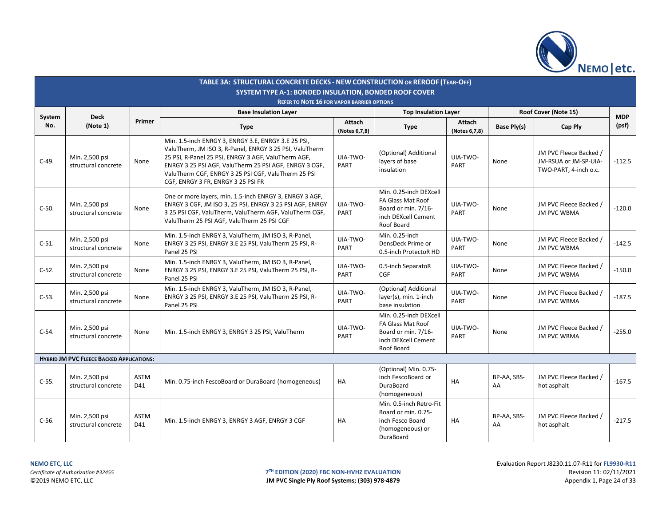

|          |                                                  |                    | TABLE 3A: STRUCTURAL CONCRETE DECKS - NEW CONSTRUCTION OR REROOF (TEAR-OFF)<br><b>SYSTEM TYPE A-1: BONDED INSULATION, BONDED ROOF COVER</b>                                                                                                                                                                                  |                         |                                                                                                         |                         |                   |                                                                          |            |
|----------|--------------------------------------------------|--------------------|------------------------------------------------------------------------------------------------------------------------------------------------------------------------------------------------------------------------------------------------------------------------------------------------------------------------------|-------------------------|---------------------------------------------------------------------------------------------------------|-------------------------|-------------------|--------------------------------------------------------------------------|------------|
|          |                                                  |                    | <b>REFER TO NOTE 16 FOR VAPOR BARRIER OPTIONS</b>                                                                                                                                                                                                                                                                            |                         |                                                                                                         |                         |                   |                                                                          |            |
| System   | <b>Deck</b>                                      |                    | <b>Base Insulation Layer</b>                                                                                                                                                                                                                                                                                                 |                         | <b>Top Insulation Layer</b>                                                                             |                         |                   | Roof Cover (Note 15)                                                     | <b>MDP</b> |
| No.      | (Note 1)                                         | Primer             | <b>Type</b>                                                                                                                                                                                                                                                                                                                  | Attach<br>(Notes 6,7,8) | <b>Type</b>                                                                                             | Attach<br>(Notes 6,7,8) | Base Ply(s)       | Cap Ply                                                                  | (psf)      |
| $C-49.$  | Min. 2,500 psi<br>structural concrete            | None               | Min. 1.5-inch ENRGY 3, ENRGY 3.E, ENRGY 3.E 25 PSI,<br>ValuTherm, JM ISO 3, R-Panel, ENRGY 3 25 PSI, ValuTherm<br>25 PSI, R-Panel 25 PSI, ENRGY 3 AGF, ValuTherm AGF,<br>ENRGY 3 25 PSI AGF, ValuTherm 25 PSI AGF, ENRGY 3 CGF,<br>ValuTherm CGF, ENRGY 3 25 PSI CGF, ValuTherm 25 PSI<br>CGF, ENRGY 3 FR, ENRGY 3 25 PSI FR | UIA-TWO-<br>PART        | (Optional) Additional<br>layers of base<br>insulation                                                   | UIA-TWO-<br>PART        | None              | JM PVC Fleece Backed /<br>JM-RSUA or JM-SP-UIA-<br>TWO-PART, 4-inch o.c. | $-112.5$   |
| $C-50.$  | Min. 2,500 psi<br>structural concrete            | None               | One or more layers, min. 1.5-inch ENRGY 3, ENRGY 3 AGF,<br>ENRGY 3 CGF, JM ISO 3, 25 PSI, ENRGY 3 25 PSI AGF, ENRGY<br>3 25 PSI CGF, ValuTherm, ValuTherm AGF, ValuTherm CGF,<br>ValuTherm 25 PSI AGF, ValuTherm 25 PSI CGF                                                                                                  | UIA-TWO-<br>PART        | Min. 0.25-inch DEXcell<br>FA Glass Mat Roof<br>Board or min. 7/16-<br>inch DEXcell Cement<br>Roof Board | UIA-TWO-<br>PART        | None              | JM PVC Fleece Backed /<br><b>JM PVC WBMA</b>                             | $-120.0$   |
| $C-51.$  | Min. 2,500 psi<br>structural concrete            | None               | Min. 1.5-inch ENRGY 3, ValuTherm, JM ISO 3, R-Panel,<br>ENRGY 3 25 PSI, ENRGY 3.E 25 PSI, ValuTherm 25 PSI, R-<br>Panel 25 PSI                                                                                                                                                                                               | UIA-TWO-<br>PART        | Min. 0.25-inch<br>DensDeck Prime or<br>0.5-inch ProtectoR HD                                            | UIA-TWO-<br>PART        | None              | JM PVC Fleece Backed /<br><b>JM PVC WBMA</b>                             | $-142.5$   |
| $C-52$ . | Min. 2,500 psi<br>structural concrete            | None               | Min. 1.5-inch ENRGY 3, ValuTherm, JM ISO 3, R-Panel,<br>ENRGY 3 25 PSI, ENRGY 3.E 25 PSI, ValuTherm 25 PSI, R-<br>Panel 25 PSI                                                                                                                                                                                               | UIA-TWO-<br>PART        | 0.5-inch SeparatoR<br><b>CGF</b>                                                                        | UIA-TWO-<br>PART        | None              | JM PVC Fleece Backed /<br><b>JM PVC WBMA</b>                             | $-150.0$   |
| $C-53.$  | Min. 2,500 psi<br>structural concrete            | None               | Min. 1.5-inch ENRGY 3, ValuTherm, JM ISO 3, R-Panel,<br>ENRGY 3 25 PSI, ENRGY 3.E 25 PSI, ValuTherm 25 PSI, R-<br>Panel 25 PSI                                                                                                                                                                                               | UIA-TWO-<br>PART        | (Optional) Additional<br>layer(s), min. 1-inch<br>base insulation                                       | UIA-TWO-<br>PART        | None              | JM PVC Fleece Backed /<br><b>JM PVC WBMA</b>                             | $-187.5$   |
| $C-54.$  | Min. 2,500 psi<br>structural concrete            | None               | Min. 1.5-inch ENRGY 3, ENRGY 3 25 PSI, ValuTherm                                                                                                                                                                                                                                                                             | UIA-TWO-<br>PART        | Min. 0.25-inch DEXcell<br>FA Glass Mat Roof<br>Board or min. 7/16-<br>inch DEXcell Cement<br>Roof Board | UIA-TWO-<br>PART        | None              | JM PVC Fleece Backed /<br><b>JM PVC WBMA</b>                             | $-255.0$   |
|          | <b>HYBRID JM PVC FLEECE BACKED APPLICATIONS:</b> |                    |                                                                                                                                                                                                                                                                                                                              |                         |                                                                                                         |                         |                   |                                                                          |            |
| $C-55.$  | Min. 2,500 psi<br>structural concrete            | <b>ASTM</b><br>D41 | Min. 0.75-inch FescoBoard or DuraBoard (homogeneous)                                                                                                                                                                                                                                                                         | <b>HA</b>               | (Optional) Min. 0.75-<br>inch FescoBoard or<br>DuraBoard<br>(homogeneous)                               | HA                      | BP-AA, SBS-<br>AA | JM PVC Fleece Backed /<br>hot asphalt                                    | $-167.5$   |
| $C-56.$  | Min. 2,500 psi<br>structural concrete            | <b>ASTM</b><br>D41 | Min. 1.5-inch ENRGY 3, ENRGY 3 AGF, ENRGY 3 CGF                                                                                                                                                                                                                                                                              | HA                      | Min. 0.5-inch Retro-Fit<br>Board or min. 0.75-<br>inch Fesco Board<br>(homogeneous) or<br>DuraBoard     | HA                      | BP-AA, SBS-<br>AA | JM PVC Fleece Backed /<br>hot asphalt                                    | $-217.5$   |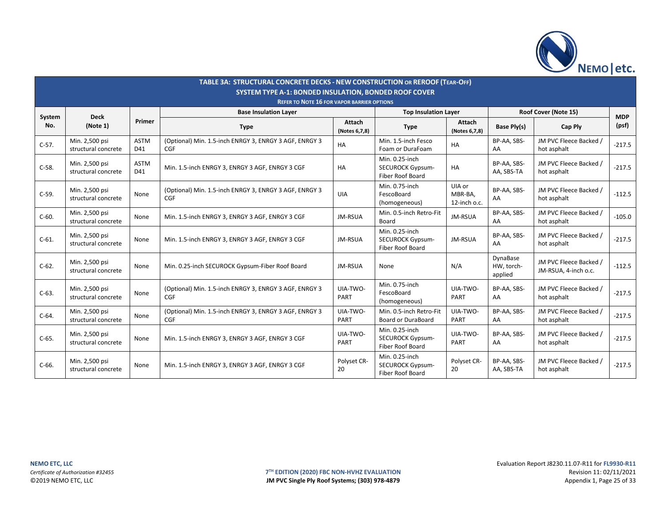

|         |                                       |                    | <b>TABLE 3A: STRUCTURAL CONCRETE DECKS - NEW CONSTRUCTION OR REROOF (TEAR-OFF)</b><br><b>SYSTEM TYPE A-1: BONDED INSULATION, BONDED ROOF COVER</b> |                                |                                                                      |                                   |                                   |                                                |            |
|---------|---------------------------------------|--------------------|----------------------------------------------------------------------------------------------------------------------------------------------------|--------------------------------|----------------------------------------------------------------------|-----------------------------------|-----------------------------------|------------------------------------------------|------------|
|         |                                       |                    | <b>REFER TO NOTE 16 FOR VAPOR BARRIER OPTIONS</b>                                                                                                  |                                |                                                                      |                                   |                                   |                                                |            |
| System  | <b>Deck</b>                           |                    | <b>Base Insulation Layer</b>                                                                                                                       |                                | <b>Top Insulation Layer</b>                                          |                                   |                                   | Roof Cover (Note 15)                           | <b>MDP</b> |
| No.     | (Note 1)                              | Primer             | <b>Type</b>                                                                                                                                        | <b>Attach</b><br>(Notes 6,7,8) | <b>Type</b>                                                          | <b>Attach</b><br>(Notes 6,7,8)    | Base Ply(s)                       | Cap Ply                                        | (psf)      |
| $C-57.$ | Min. 2,500 psi<br>structural concrete | <b>ASTM</b><br>D41 | (Optional) Min. 1.5-inch ENRGY 3, ENRGY 3 AGF, ENRGY 3<br>CGF                                                                                      | <b>HA</b>                      | Min. 1.5-inch Fesco<br>Foam or DuraFoam                              | HA                                | BP-AA, SBS-<br>AA                 | JM PVC Fleece Backed /<br>hot asphalt          | $-217.5$   |
| $C-58.$ | Min. 2,500 psi<br>structural concrete | <b>ASTM</b><br>D41 | Min. 1.5-inch ENRGY 3, ENRGY 3 AGF, ENRGY 3 CGF                                                                                                    | HA                             | Min. 0.25-inch<br><b>SECUROCK Gypsum-</b><br>Fiber Roof Board        | HA                                | BP-AA, SBS-<br>AA, SBS-TA         | JM PVC Fleece Backed /<br>hot asphalt          | $-217.5$   |
| $C-59.$ | Min. 2,500 psi<br>structural concrete | None               | (Optional) Min. 1.5-inch ENRGY 3, ENRGY 3 AGF, ENRGY 3<br><b>CGF</b>                                                                               | <b>UIA</b>                     | Min. 0.75-inch<br>FescoBoard<br>(homogeneous)                        | UIA or<br>MBR-BA,<br>12-inch o.c. | BP-AA. SBS-<br>AA                 | JM PVC Fleece Backed /<br>hot asphalt          | $-112.5$   |
| $C-60.$ | Min. 2,500 psi<br>structural concrete | None               | Min. 1.5-inch ENRGY 3, ENRGY 3 AGF, ENRGY 3 CGF                                                                                                    | JM-RSUA                        | Min. 0.5-inch Retro-Fit<br>Board                                     | JM-RSUA                           | BP-AA, SBS-<br>AA                 | JM PVC Fleece Backed /<br>hot asphalt          | $-105.0$   |
| $C-61.$ | Min. 2,500 psi<br>structural concrete | None               | Min. 1.5-inch ENRGY 3, ENRGY 3 AGF, ENRGY 3 CGF                                                                                                    | JM-RSUA                        | Min. 0.25-inch<br><b>SECUROCK Gypsum-</b><br><b>Fiber Roof Board</b> | JM-RSUA                           | BP-AA, SBS-<br>AA                 | JM PVC Fleece Backed /<br>hot asphalt          | $-217.5$   |
| $C-62.$ | Min. 2,500 psi<br>structural concrete | None               | Min. 0.25-inch SECUROCK Gypsum-Fiber Roof Board                                                                                                    | JM-RSUA                        | None                                                                 | N/A                               | DynaBase<br>HW, torch-<br>applied | JM PVC Fleece Backed /<br>JM-RSUA, 4-inch o.c. | $-112.5$   |
| $C-63.$ | Min. 2,500 psi<br>structural concrete | None               | (Optional) Min. 1.5-inch ENRGY 3, ENRGY 3 AGF, ENRGY 3<br>CGF                                                                                      | UIA-TWO-<br>PART               | Min. 0.75-inch<br>FescoBoard<br>(homogeneous)                        | UIA-TWO-<br>PART                  | BP-AA, SBS-<br>AA                 | JM PVC Fleece Backed /<br>hot asphalt          | $-217.5$   |
| $C-64.$ | Min. 2,500 psi<br>structural concrete | None               | (Optional) Min. 1.5-inch ENRGY 3, ENRGY 3 AGF, ENRGY 3<br>CGF                                                                                      | UIA-TWO-<br>PART               | Min. 0.5-inch Retro-Fit<br>Board or DuraBoard                        | UIA-TWO-<br>PART                  | BP-AA, SBS-<br>AA                 | JM PVC Fleece Backed /<br>hot asphalt          | $-217.5$   |
| $C-65.$ | Min. 2,500 psi<br>structural concrete | None               | Min. 1.5-inch ENRGY 3, ENRGY 3 AGF, ENRGY 3 CGF                                                                                                    | UIA-TWO-<br><b>PART</b>        | Min. 0.25-inch<br>SECUROCK Gypsum-<br>Fiber Roof Board               | UIA-TWO-<br>PART                  | BP-AA, SBS-<br>AA                 | JM PVC Fleece Backed /<br>hot asphalt          | $-217.5$   |
| $C-66.$ | Min. 2,500 psi<br>structural concrete | None               | Min. 1.5-inch ENRGY 3, ENRGY 3 AGF, ENRGY 3 CGF                                                                                                    | Polyset CR-<br>20              | Min. 0.25-inch<br><b>SECUROCK Gypsum-</b><br>Fiber Roof Board        | Polyset CR-<br>20                 | BP-AA, SBS-<br>AA, SBS-TA         | JM PVC Fleece Backed /<br>hot asphalt          | $-217.5$   |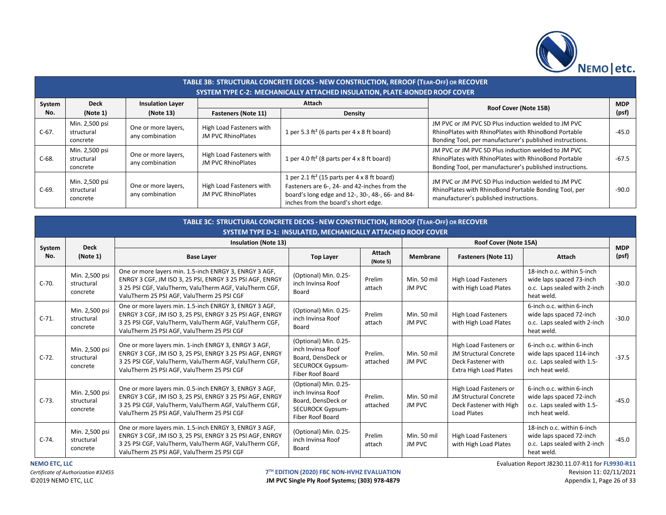

|         | TABLE 3B: STRUCTURAL CONCRETE DECKS - NEW CONSTRUCTION, REROOF (TEAR-OFF) OR RECOVER<br>SYSTEM TYPE C-2: MECHANICALLY ATTACHED INSULATION, PLATE-BONDED ROOF COVER |                                        |                                                |                                                                                                                                                                                                    |                                                                                                                                                                         |         |  |  |  |  |  |  |
|---------|--------------------------------------------------------------------------------------------------------------------------------------------------------------------|----------------------------------------|------------------------------------------------|----------------------------------------------------------------------------------------------------------------------------------------------------------------------------------------------------|-------------------------------------------------------------------------------------------------------------------------------------------------------------------------|---------|--|--|--|--|--|--|
| System  | <b>Deck</b>                                                                                                                                                        | <b>Insulation Layer</b>                |                                                | Attach                                                                                                                                                                                             | Roof Cover (Note 15B)                                                                                                                                                   |         |  |  |  |  |  |  |
| No.     | (Note 1)                                                                                                                                                           | (Note 13)                              | <b>Fasteners (Note 11)</b>                     | <b>Density</b>                                                                                                                                                                                     |                                                                                                                                                                         |         |  |  |  |  |  |  |
| $C-67.$ | Min. 2,500 psi<br>structural<br>concrete                                                                                                                           | One or more layers,<br>any combination | High Load Fasteners with<br>JM PVC RhinoPlates | 1 per 5.3 ft <sup>2</sup> (6 parts per 4 x 8 ft board)                                                                                                                                             | JM PVC or JM PVC SD Plus induction welded to JM PVC<br>RhinoPlates with RhinoPlates with RhinoBond Portable<br>Bonding Tool, per manufacturer's published instructions. | $-45.0$ |  |  |  |  |  |  |
| $C-68.$ | Min. 2,500 psi<br>structural<br>concrete                                                                                                                           | One or more layers,<br>any combination | High Load Fasteners with<br>JM PVC RhinoPlates | 1 per 4.0 ft <sup>2</sup> (8 parts per $4 \times 8$ ft board)                                                                                                                                      | JM PVC or JM PVC SD Plus induction welded to JM PVC<br>RhinoPlates with RhinoPlates with RhinoBond Portable<br>Bonding Tool, per manufacturer's published instructions. | $-67.5$ |  |  |  |  |  |  |
| $C-69.$ | Min. 2,500 psi<br>structural<br>concrete                                                                                                                           | One or more layers,<br>any combination | High Load Fasteners with<br>JM PVC RhinoPlates | 1 per 2.1 ft <sup>2</sup> (15 parts per 4 x 8 ft board)<br>Fasteners are 6-, 24- and 42-inches from the<br>board's long edge and 12-, 30-, 48-, 66- and 84-<br>inches from the board's short edge. | JM PVC or JM PVC SD Plus induction welded to JM PVC<br>RhinoPlates with RhinoBond Portable Bonding Tool, per<br>manufacturer's published instructions.                  | $-90.0$ |  |  |  |  |  |  |

|               | TABLE 3C: STRUCTURAL CONCRETE DECKS - NEW CONSTRUCTION, REROOF (TEAR-OFF) OR RECOVER<br><b>SYSTEM TYPE D-1: INSULATED, MECHANICALLY ATTACHED ROOF COVER</b> |                                                                                                                                                                                                                            |                                                                                                                 |                     |                              |                                                                                                                |                                                                                                         |                     |  |  |  |  |
|---------------|-------------------------------------------------------------------------------------------------------------------------------------------------------------|----------------------------------------------------------------------------------------------------------------------------------------------------------------------------------------------------------------------------|-----------------------------------------------------------------------------------------------------------------|---------------------|------------------------------|----------------------------------------------------------------------------------------------------------------|---------------------------------------------------------------------------------------------------------|---------------------|--|--|--|--|
|               | <b>Deck</b>                                                                                                                                                 | <b>Insulation (Note 13)</b>                                                                                                                                                                                                |                                                                                                                 |                     |                              | Roof Cover (Note 15A)                                                                                          |                                                                                                         |                     |  |  |  |  |
| System<br>No. | (Note 1)                                                                                                                                                    | <b>Base Layer</b>                                                                                                                                                                                                          | <b>Top Layer</b>                                                                                                | Attach<br>(Note 5)  | Membrane                     | <b>Fasteners (Note 11)</b>                                                                                     | <b>Attach</b>                                                                                           | <b>MDP</b><br>(psf) |  |  |  |  |
| $C-70.$       | Min. 2,500 psi<br>structural<br>concrete                                                                                                                    | One or more layers min. 1.5-inch ENRGY 3, ENRGY 3 AGF,<br>ENRGY 3 CGF, JM ISO 3, 25 PSI, ENRGY 3 25 PSI AGF, ENRGY<br>3 25 PSI CGF, ValuTherm, ValuTherm AGF, ValuTherm CGF,<br>ValuTherm 25 PSI AGF, ValuTherm 25 PSI CGF | (Optional) Min. 0.25-<br>inch Invinsa Roof<br>Board                                                             | Prelim<br>attach    | Min. 50 mil<br>JM PVC        | <b>High Load Fasteners</b><br>with High Load Plates                                                            | 18-inch o.c. within 5-inch<br>wide laps spaced 73-inch<br>o.c. Laps sealed with 2-inch<br>heat weld.    | $-30.0$             |  |  |  |  |
| $C-71.$       | Min. 2,500 psi<br>structural<br>concrete                                                                                                                    | One or more layers min. 1.5-inch ENRGY 3, ENRGY 3 AGF,<br>ENRGY 3 CGF, JM ISO 3, 25 PSI, ENRGY 3 25 PSI AGF, ENRGY<br>3 25 PSI CGF, ValuTherm, ValuTherm AGF, ValuTherm CGF,<br>ValuTherm 25 PSI AGF, ValuTherm 25 PSI CGF | (Optional) Min. 0.25-<br>inch Invinsa Roof<br>Board                                                             | Prelim<br>attach    | Min. 50 mil<br><b>JM PVC</b> | <b>High Load Fasteners</b><br>with High Load Plates                                                            | 6-inch o.c. within 6-inch<br>wide laps spaced 72-inch<br>o.c. Laps sealed with 2-inch<br>heat weld.     | $-30.0$             |  |  |  |  |
| $C-72.$       | Min. 2,500 psi<br>structural<br>concrete                                                                                                                    | One or more layers min. 1-inch ENRGY 3, ENRGY 3 AGF,<br>ENRGY 3 CGF, JM ISO 3, 25 PSI, ENRGY 3 25 PSI AGF, ENRGY<br>3 25 PSI CGF, ValuTherm, ValuTherm AGF, ValuTherm CGF,<br>ValuTherm 25 PSI AGF, ValuTherm 25 PSI CGF   | (Optional) Min. 0.25-<br>inch Invinsa Roof<br>Board, DensDeck or<br><b>SECUROCK Gypsum-</b><br>Fiber Roof Board | Prelim.<br>attached | Min. 50 mil<br>JM PVC        | High Load Fasteners or<br><b>JM Structural Concrete</b><br>Deck Fastener with<br><b>Extra High Load Plates</b> | 6-inch o.c. within 6-inch<br>wide laps spaced 114-inch<br>o.c. Laps sealed with 1.5-<br>inch heat weld. | $-37.5$             |  |  |  |  |
| $C-73.$       | Min. 2,500 psi<br>structural<br>concrete                                                                                                                    | One or more layers min. 0.5-inch ENRGY 3, ENRGY 3 AGF,<br>ENRGY 3 CGF, JM ISO 3, 25 PSI, ENRGY 3 25 PSI AGF, ENRGY<br>3 25 PSI CGF, ValuTherm, ValuTherm AGF, ValuTherm CGF,<br>ValuTherm 25 PSI AGF, ValuTherm 25 PSI CGF | (Optional) Min. 0.25-<br>inch Invinsa Roof<br>Board, DensDeck or<br><b>SECUROCK Gypsum-</b><br>Fiber Roof Board | Prelim.<br>attached | Min. 50 mil<br>JM PVC        | High Load Fasteners or<br><b>JM Structural Concrete</b><br>Deck Fastener with High<br>Load Plates              | 6-inch o.c. within 6-inch<br>wide laps spaced 72-inch<br>o.c. Laps sealed with 1.5-<br>inch heat weld.  | $-45.0$             |  |  |  |  |
| $C-74.$       | Min. 2,500 psi<br>structural<br>concrete                                                                                                                    | One or more layers min. 1.5-inch ENRGY 3, ENRGY 3 AGF,<br>ENRGY 3 CGF, JM ISO 3, 25 PSI, ENRGY 3 25 PSI AGF, ENRGY<br>3 25 PSI CGF, ValuTherm, ValuTherm AGF, ValuTherm CGF,<br>ValuTherm 25 PSI AGF, ValuTherm 25 PSI CGF | (Optional) Min. 0.25-<br>inch Invinsa Roof<br>Board                                                             | Prelim<br>attach    | Min. 50 mil<br>JM PVC        | <b>High Load Fasteners</b><br>with High Load Plates                                                            | 18-inch o.c. within 6-inch<br>wide laps spaced 72-inch<br>o.c. Laps sealed with 2-inch<br>heat weld.    | $-45.0$             |  |  |  |  |

JM PVC Single Ply Roof Systems; (303) 978-4879

**NEMO ETC, LLC** Evaluation Report J8230.11.07-R11 for **FL9930-R11 T<sup>TH</sup> EDITION (2020) FBC NON-HVHZ EVALUATION**<br> **IM PVC Single Ply Roof Systems; (303) 978-4879 Revision 11: 02/11/2021** Appendix 1, Page 26 of 33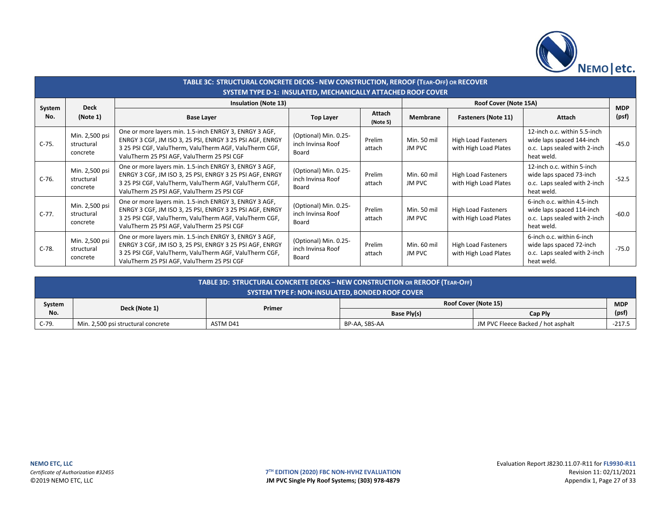

|               | TABLE 3C: STRUCTURAL CONCRETE DECKS - NEW CONSTRUCTION, REROOF (TEAR-OFF) OR RECOVER<br><b>SYSTEM TYPE D-1: INSULATED, MECHANICALLY ATTACHED ROOF COVER</b> |                                                                                                                                                                                                                            |                                                     |                  |                       |                                                     |                                                                                                         |            |  |  |  |
|---------------|-------------------------------------------------------------------------------------------------------------------------------------------------------------|----------------------------------------------------------------------------------------------------------------------------------------------------------------------------------------------------------------------------|-----------------------------------------------------|------------------|-----------------------|-----------------------------------------------------|---------------------------------------------------------------------------------------------------------|------------|--|--|--|
|               | <b>Deck</b>                                                                                                                                                 | <b>Insulation (Note 13)</b>                                                                                                                                                                                                |                                                     |                  |                       | Roof Cover (Note 15A)                               |                                                                                                         | <b>MDP</b> |  |  |  |
| System<br>No. | (Note 1)                                                                                                                                                    | <b>Base Layer</b>                                                                                                                                                                                                          | Attach<br><b>Top Layer</b><br>(Note 5)              |                  | <b>Membrane</b>       | <b>Fasteners (Note 11)</b><br>Attach                |                                                                                                         | (psf)      |  |  |  |
| $C-75.$       | Min. 2,500 psi<br>structural<br>concrete                                                                                                                    | One or more layers min. 1.5-inch ENRGY 3, ENRGY 3 AGF,<br>ENRGY 3 CGF, JM ISO 3, 25 PSI, ENRGY 3 25 PSI AGF, ENRGY<br>3 25 PSI CGF, ValuTherm, ValuTherm AGF, ValuTherm CGF,<br>ValuTherm 25 PSI AGF, ValuTherm 25 PSI CGF | (Optional) Min. 0.25-<br>inch Invinsa Roof<br>Board | Prelim<br>attach | Min. 50 mil<br>JM PVC | <b>High Load Fasteners</b><br>with High Load Plates | 12-inch o.c. within 5.5-inch<br>wide laps spaced 144-inch<br>o.c. Laps sealed with 2-inch<br>heat weld. | $-45.0$    |  |  |  |
| C-76.         | Min. 2,500 psi<br>structural<br>concrete                                                                                                                    | One or more layers min. 1.5-inch ENRGY 3, ENRGY 3 AGF,<br>ENRGY 3 CGF, JM ISO 3, 25 PSI, ENRGY 3 25 PSI AGF, ENRGY<br>3 25 PSI CGF, ValuTherm, ValuTherm AGF, ValuTherm CGF,<br>ValuTherm 25 PSI AGF, ValuTherm 25 PSI CGF | (Optional) Min. 0.25-<br>inch Invinsa Roof<br>Board | Prelim<br>attach | Min. 60 mil<br>JM PVC | <b>High Load Fasteners</b><br>with High Load Plates | 12-inch o.c. within 5-inch<br>wide laps spaced 73-inch<br>o.c. Laps sealed with 2-inch<br>heat weld.    | $-52.5$    |  |  |  |
| C-77.         | Min. 2,500 psi<br>structural<br>concrete                                                                                                                    | One or more layers min. 1.5-inch ENRGY 3, ENRGY 3 AGF,<br>ENRGY 3 CGF, JM ISO 3, 25 PSI, ENRGY 3 25 PSI AGF, ENRGY<br>3 25 PSI CGF, ValuTherm, ValuTherm AGF, ValuTherm CGF,<br>ValuTherm 25 PSI AGF, ValuTherm 25 PSI CGF | (Optional) Min. 0.25-<br>inch Invinsa Roof<br>Board | Prelim<br>attach | Min. 50 mil<br>JM PVC | <b>High Load Fasteners</b><br>with High Load Plates | 6-inch o.c. within 4.5-inch<br>wide laps spaced 114-inch<br>o.c. Laps sealed with 2-inch<br>heat weld.  | $-60.0$    |  |  |  |
| $C-78.$       | Min. 2,500 psi<br>structural<br>concrete                                                                                                                    | One or more layers min. 1.5-inch ENRGY 3, ENRGY 3 AGF,<br>ENRGY 3 CGF, JM ISO 3, 25 PSI, ENRGY 3 25 PSI AGF, ENRGY<br>3 25 PSI CGF, ValuTherm, ValuTherm AGF, ValuTherm CGF,<br>ValuTherm 25 PSI AGF, ValuTherm 25 PSI CGF | (Optional) Min. 0.25-<br>inch Invinsa Roof<br>Board | Prelim<br>attach | Min. 60 mil<br>JM PVC | <b>High Load Fasteners</b><br>with High Load Plates | 6-inch o.c. within 6-inch<br>wide laps spaced 72-inch<br>o.c. Laps sealed with 2-inch<br>heat weld.     | $-75.0$    |  |  |  |

|         | TABLE 3D: STRUCTURAL CONCRETE DECKS - NEW CONSTRUCTION OR REROOF (TEAR-OFF)<br>SYSTEM TYPE F: NON-INSULATED, BONDED ROOF COVER |          |                                           |                                    |        |  |  |  |  |  |
|---------|--------------------------------------------------------------------------------------------------------------------------------|----------|-------------------------------------------|------------------------------------|--------|--|--|--|--|--|
| System  |                                                                                                                                | Primer   | <b>Roof Cover (Note 15)</b><br><b>MDP</b> |                                    |        |  |  |  |  |  |
| No.     | Deck (Note 1)                                                                                                                  |          | Base Ply(s)                               | Cap Ply                            | (psf)  |  |  |  |  |  |
| $C-79.$ | Min. 2,500 psi structural concrete                                                                                             | ASTM D41 | BP-AA, SBS-AA                             | JM PVC Fleece Backed / hot asphalt | -217.5 |  |  |  |  |  |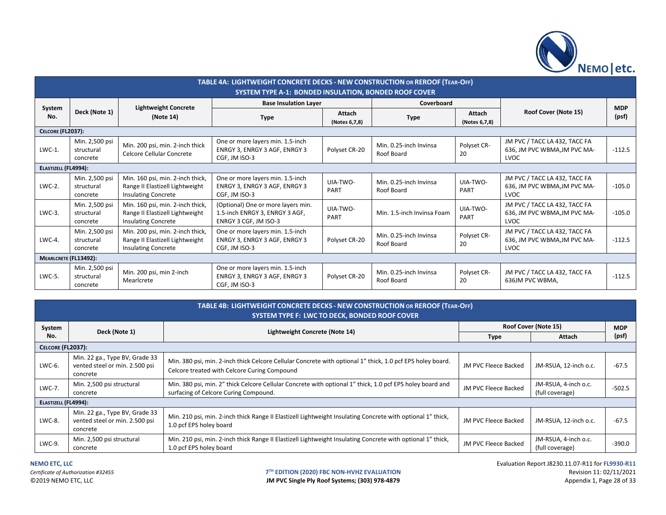

|                          | TABLE 4A: LIGHTWEIGHT CONCRETE DECKS - NEW CONSTRUCTION OR REROOF (TEAR-OFF)<br><b>SYSTEM TYPE A-1: BONDED INSULATION, BONDED ROOF COVER</b> |                                                                                                   |                                                                                               |                         |                                               |                   |                                                                              |            |  |  |
|--------------------------|----------------------------------------------------------------------------------------------------------------------------------------------|---------------------------------------------------------------------------------------------------|-----------------------------------------------------------------------------------------------|-------------------------|-----------------------------------------------|-------------------|------------------------------------------------------------------------------|------------|--|--|
|                          |                                                                                                                                              | <b>Lightweight Concrete</b>                                                                       | <b>Base Insulation Layer</b>                                                                  |                         | Coverboard                                    |                   |                                                                              | <b>MDP</b> |  |  |
| System<br>No.            | Deck (Note 1)                                                                                                                                | (Note 14)                                                                                         | Attach<br><b>Type</b><br>(Notes 6,7,8)                                                        |                         | <b>Attach</b><br><b>Type</b><br>(Notes 6,7,8) |                   | Roof Cover (Note 15)                                                         | (psf)      |  |  |
| <b>CELCORE (FL2037):</b> |                                                                                                                                              |                                                                                                   |                                                                                               |                         |                                               |                   |                                                                              |            |  |  |
| LWC-1.                   | Min. 2,500 psi<br>structural<br>concrete                                                                                                     | Min. 200 psi, min. 2-inch thick<br>Celcore Cellular Concrete                                      | One or more layers min. 1.5-inch<br>ENRGY 3, ENRGY 3 AGF, ENRGY 3<br>CGF, JM ISO-3            | Polyset CR-20           | Min. 0.25-inch Invinsa<br>Roof Board          | Polyset CR-<br>20 | JM PVC / TACC LA 432, TACC FA<br>636, JM PVC WBMA, JM PVC MA-<br>LVOC        | $-112.5$   |  |  |
| ELASTIZELL (FL4994):     |                                                                                                                                              |                                                                                                   |                                                                                               |                         |                                               |                   |                                                                              |            |  |  |
| $LWC-2$ .                | Min. 2,500 psi<br>structural<br>concrete                                                                                                     | Min. 160 psi, min. 2-inch thick,<br>Range II Elastizell Lightweight<br><b>Insulating Concrete</b> | One or more layers min. 1.5-inch<br>ENRGY 3, ENRGY 3 AGF, ENRGY 3<br>CGF, JM ISO-3            | UIA-TWO-<br><b>PART</b> | Min. 0.25-inch Invinsa<br>Roof Board          | UIA-TWO-<br>PART  | JM PVC / TACC LA 432, TACC FA<br>636, JM PVC WBMA, JM PVC MA-<br>LVOC        | $-105.0$   |  |  |
| $LWC-3$ .                | Min. 2,500 psi<br>structural<br>concrete                                                                                                     | Min. 160 psi, min. 2-inch thick,<br>Range II Elastizell Lightweight<br><b>Insulating Concrete</b> | (Optional) One or more layers min.<br>1.5-inch ENRGY 3, ENRGY 3 AGF,<br>ENRGY 3 CGF, JM ISO-3 | UIA-TWO-<br><b>PART</b> | Min. 1.5-inch Invinsa Foam                    | UIA-TWO-<br>PART  | JM PVC / TACC LA 432, TACC FA<br>636, JM PVC WBMA, JM PVC MA-<br>LVOC        | $-105.0$   |  |  |
| $LWC-4$ .                | Min. 2,500 psi<br>structural<br>concrete                                                                                                     | Min. 200 psi, min. 2-inch thick,<br>Range II Elastizell Lightweight<br><b>Insulating Concrete</b> | One or more layers min. 1.5-inch<br>ENRGY 3, ENRGY 3 AGF, ENRGY 3<br>CGF, JM ISO-3            | Polyset CR-20           | Min. 0.25-inch Invinsa<br>Roof Board          | Polyset CR-<br>20 | JM PVC / TACC LA 432, TACC FA<br>636, JM PVC WBMA, JM PVC MA-<br><b>LVOC</b> | $-112.5$   |  |  |
| MEARLCRETE (FL13492):    |                                                                                                                                              |                                                                                                   |                                                                                               |                         |                                               |                   |                                                                              |            |  |  |
| LWC-5.                   | Min. 2,500 psi<br>structural<br>concrete                                                                                                     | Min. 200 psi, min 2-inch<br>Mearlcrete                                                            | One or more layers min. 1.5-inch<br>ENRGY 3, ENRGY 3 AGF, ENRGY 3<br>CGF, JM ISO-3            | Polyset CR-20           | Min. 0.25-inch Invinsa<br>Roof Board          | Polyset CR-<br>20 | JM PVC / TACC LA 432, TACC FA<br>636JM PVC WBMA,                             | $-112.5$   |  |  |

|                      | <b>TABLE 4B: LIGHTWEIGHT CONCRETE DECKS - NEW CONSTRUCTION OR REROOF (TEAR-OFF)</b><br>SYSTEM TYPE F: LWC TO DECK, BONDED ROOF COVER |                                                                                                                                                            |                             |                                         |          |  |  |  |  |
|----------------------|--------------------------------------------------------------------------------------------------------------------------------------|------------------------------------------------------------------------------------------------------------------------------------------------------------|-----------------------------|-----------------------------------------|----------|--|--|--|--|
| System               | Deck (Note 1)                                                                                                                        | Lightweight Concrete (Note 14)                                                                                                                             |                             | Roof Cover (Note 15)                    |          |  |  |  |  |
| No.                  |                                                                                                                                      |                                                                                                                                                            | <b>Type</b>                 | Attach                                  | (psf)    |  |  |  |  |
|                      | CELCORE (FL2037):                                                                                                                    |                                                                                                                                                            |                             |                                         |          |  |  |  |  |
| LWC-6.               | Min. 22 ga., Type BV, Grade 33<br>vented steel or min. 2.500 psi<br>concrete                                                         | Min. 380 psi, min. 2-inch thick Celcore Cellular Concrete with optional 1" thick, 1.0 pcf EPS holey board.<br>Celcore treated with Celcore Curing Compound | JM PVC Fleece Backed        | JM-RSUA, 12-inch o.c.                   | $-67.5$  |  |  |  |  |
| LWC-7.               | Min. 2,500 psi structural<br>concrete                                                                                                | Min. 380 psi, min. 2" thick Celcore Cellular Concrete with optional 1" thick, 1.0 pcf EPS holey board and<br>surfacing of Celcore Curing Compound.         | JM PVC Fleece Backed        | JM-RSUA, 4-inch o.c.<br>(full coverage) | $-502.5$ |  |  |  |  |
| ELASTIZELL (FL4994): |                                                                                                                                      |                                                                                                                                                            |                             |                                         |          |  |  |  |  |
| LWC-8.               | Min. 22 ga., Type BV, Grade 33<br>vented steel or min. 2.500 psi<br>concrete                                                         | Min. 210 psi, min. 2-inch thick Range II Elastizell Lightweight Insulating Concrete with optional 1" thick,<br>1.0 pcf EPS holey board                     | JM PVC Fleece Backed        | JM-RSUA, 12-inch o.c.                   | $-67.5$  |  |  |  |  |
| LWC-9.               | Min. 2,500 psi structural<br>concrete                                                                                                | Min. 210 psi, min. 2-inch thick Range II Elastizell Lightweight Insulating Concrete with optional 1" thick,<br>1.0 pcf EPS holey board                     | <b>JM PVC Fleece Backed</b> | JM-RSUA, 4-inch o.c.<br>(full coverage) | $-390.0$ |  |  |  |  |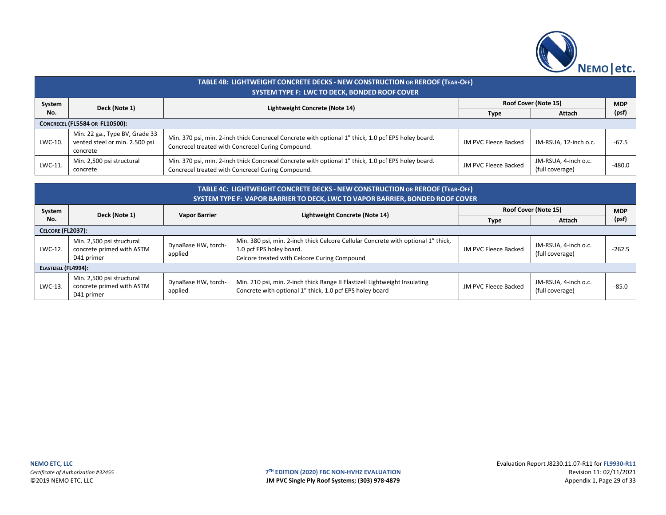

|         | TABLE 4B: LIGHTWEIGHT CONCRETE DECKS - NEW CONSTRUCTION OR REROOF (TEAR-OFF)<br>SYSTEM TYPE F: LWC TO DECK, BONDED ROOF COVER |                                                                                                                                                          |                      |                                         |            |  |  |  |  |
|---------|-------------------------------------------------------------------------------------------------------------------------------|----------------------------------------------------------------------------------------------------------------------------------------------------------|----------------------|-----------------------------------------|------------|--|--|--|--|
| System  | Deck (Note 1)                                                                                                                 | Lightweight Concrete (Note 14)                                                                                                                           |                      | Roof Cover (Note 15)                    | <b>MDP</b> |  |  |  |  |
| No.     |                                                                                                                               |                                                                                                                                                          | Type                 | Attach                                  | (psf)      |  |  |  |  |
|         | <b>CONCRECEL (FL5584 OR FL10500):</b>                                                                                         |                                                                                                                                                          |                      |                                         |            |  |  |  |  |
| LWC-10. | Min. 22 ga., Type BV, Grade 33<br>vented steel or min. 2.500 psi<br>concrete                                                  | Min. 370 psi, min. 2-inch thick Concrecel Concrete with optional 1" thick, 1.0 pcf EPS holey board.<br>Concrecel treated with Concrecel Curing Compound. | JM PVC Fleece Backed | JM-RSUA, 12-inch o.c.                   | $-67.5$    |  |  |  |  |
| LWC-11. | Min. 2,500 psi structural<br>concrete                                                                                         | Min. 370 psi, min. 2-inch thick Concrecel Concrete with optional 1" thick, 1.0 pcf EPS holey board.<br>Concrecel treated with Concrecel Curing Compound. | JM PVC Fleece Backed | JM-RSUA, 4-inch o.c.<br>(full coverage) | $-480.0$   |  |  |  |  |

| TABLE 4C: LIGHTWEIGHT CONCRETE DECKS - NEW CONSTRUCTION OR REROOF (TEAR-OFF)<br><b>SYSTEM TYPE F: VAPOR BARRIER TO DECK, LWC TO VAPOR BARRIER, BONDED ROOF COVER</b> |                                                                                                        |                                |                                                                                                                                        |                      |                                         |            |  |  |
|----------------------------------------------------------------------------------------------------------------------------------------------------------------------|--------------------------------------------------------------------------------------------------------|--------------------------------|----------------------------------------------------------------------------------------------------------------------------------------|----------------------|-----------------------------------------|------------|--|--|
| System                                                                                                                                                               | Deck (Note 1)                                                                                          | <b>Vapor Barrier</b>           | Lightweight Concrete (Note 14)                                                                                                         |                      | Roof Cover (Note 15)                    | <b>MDP</b> |  |  |
| No.                                                                                                                                                                  |                                                                                                        |                                |                                                                                                                                        | <b>Type</b>          | Attach                                  | (psf)      |  |  |
|                                                                                                                                                                      | <b>CELCORE (FL2037):</b>                                                                               |                                |                                                                                                                                        |                      |                                         |            |  |  |
| LWC-12.                                                                                                                                                              | Min. 2,500 psi structural<br>DynaBase HW, torch-<br>concrete primed with ASTM<br>applied<br>D41 primer |                                | Min. 380 psi, min. 2-inch thick Celcore Cellular Concrete with optional 1" thick,<br>1.0 pcf EPS holey board.                          | JM PVC Fleece Backed | JM-RSUA, 4-inch o.c.<br>(full coverage) | $-262.5$   |  |  |
| ELASTIZELL (FL4994):                                                                                                                                                 |                                                                                                        |                                | Celcore treated with Celcore Curing Compound                                                                                           |                      |                                         |            |  |  |
|                                                                                                                                                                      |                                                                                                        |                                |                                                                                                                                        |                      |                                         |            |  |  |
| LWC-13.                                                                                                                                                              | Min. 2,500 psi structural<br>concrete primed with ASTM<br>D41 primer                                   | DynaBase HW, torch-<br>applied | Min. 210 psi, min. 2-inch thick Range II Elastizell Lightweight Insulating<br>Concrete with optional 1" thick, 1.0 pcf EPS holey board | JM PVC Fleece Backed | JM-RSUA, 4-inch o.c.<br>(full coverage) | $-85.0$    |  |  |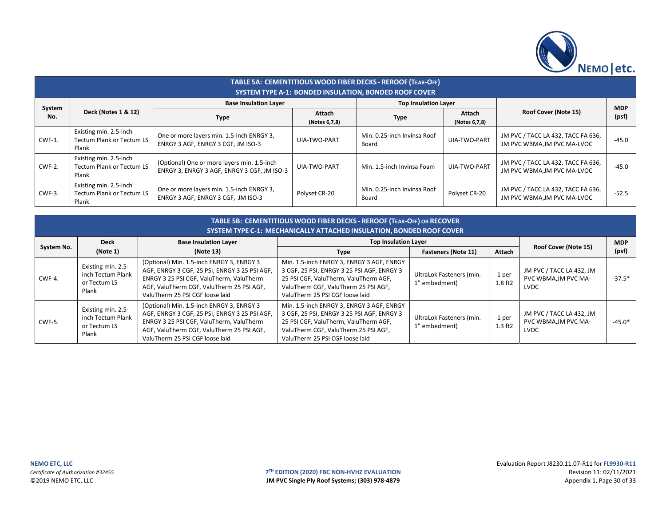

|               | TABLE 5A: CEMENTITIOUS WOOD FIBER DECKS - REROOF (TEAR-OFF)<br><b>SYSTEM TYPE A-1: BONDED INSULATION, BONDED ROOF COVER</b> |                                                                                            |                         |                                      |                         |                                                                   |                     |  |  |  |  |
|---------------|-----------------------------------------------------------------------------------------------------------------------------|--------------------------------------------------------------------------------------------|-------------------------|--------------------------------------|-------------------------|-------------------------------------------------------------------|---------------------|--|--|--|--|
|               |                                                                                                                             | <b>Base Insulation Layer</b>                                                               |                         | <b>Top Insulation Layer</b>          |                         |                                                                   |                     |  |  |  |  |
| System<br>No. | Deck (Notes 1 & 12)                                                                                                         | <b>Type</b>                                                                                | Attach<br>(Notes 6,7,8) | <b>Type</b>                          | Attach<br>(Notes 6,7,8) | Roof Cover (Note 15)                                              | <b>MDP</b><br>(psf) |  |  |  |  |
| CWF-1.        | Existing min. 2.5-inch<br><b>Tectum Plank or Tectum LS</b><br>Plank                                                         | One or more layers min. 1.5-inch ENRGY 3,<br>ENRGY 3 AGF, ENRGY 3 CGF, JM ISO-3            | UIA-TWO-PART            | Min. 0.25-inch Invinsa Roof<br>Board | <b>UIA-TWO-PART</b>     | JM PVC / TACC LA 432, TACC FA 636,<br>JM PVC WBMA, JM PVC MA-LVOC | $-45.0$             |  |  |  |  |
| CWF-2.        | Existing min. 2.5-inch<br><b>Tectum Plank or Tectum LS</b><br>Plank                                                         | (Optional) One or more layers min. 1.5-inch<br>ENRGY 3. ENRGY 3 AGF. ENRGY 3 CGF. JM ISO-3 | UIA-TWO-PART            | Min. 1.5-inch Invinsa Foam           | UIA-TWO-PART            | JM PVC / TACC LA 432, TACC FA 636,<br>JM PVC WBMA.JM PVC MA-LVOC  | $-45.0$             |  |  |  |  |
| CWF-3.        | Existing min. 2.5-inch<br><b>Tectum Plank or Tectum LS</b><br>Plank                                                         | One or more layers min. 1.5-inch ENRGY 3,<br>ENRGY 3 AGF, ENRGY 3 CGF, JM ISO-3            | Polyset CR-20           | Min. 0.25-inch Invinsa Roof<br>Board | Polyset CR-20           | JM PVC / TACC LA 432, TACC FA 636,<br>JM PVC WBMA, JM PVC MA-LVOC | $-52.5$             |  |  |  |  |

|            | TABLE 5B: CEMENTITIOUS WOOD FIBER DECKS - REROOF (TEAR-OFF) OR RECOVER<br>SYSTEM TYPE C-1: MECHANICALLY ATTACHED INSULATION, BONDED ROOF COVER |                                                                                                                                                                                                                        |                                                                                                                                                                                                                            |                                                                         |                            |                                                          |          |  |  |  |
|------------|------------------------------------------------------------------------------------------------------------------------------------------------|------------------------------------------------------------------------------------------------------------------------------------------------------------------------------------------------------------------------|----------------------------------------------------------------------------------------------------------------------------------------------------------------------------------------------------------------------------|-------------------------------------------------------------------------|----------------------------|----------------------------------------------------------|----------|--|--|--|
| System No. | <b>Deck</b><br>(Note 1)                                                                                                                        | <b>Base Insulation Layer</b><br>(Note 13)                                                                                                                                                                              | <b>Top Insulation Layer</b>                                                                                                                                                                                                | Roof Cover (Note 15)                                                    | <b>MDP</b><br>(psf)        |                                                          |          |  |  |  |
| CWF-4.     | Existing min. 2.5-<br>inch Tectum Plank<br>or Tectum LS<br>Plank                                                                               | (Optional) Min. 1.5-inch ENRGY 3, ENRGY 3<br>AGF, ENRGY 3 CGF, 25 PSI, ENRGY 3 25 PSI AGF,<br>ENRGY 3 25 PSI CGF, ValuTherm, ValuTherm<br>AGF, ValuTherm CGF, ValuTherm 25 PSI AGF,<br>ValuTherm 25 PSI CGF loose laid | <b>Type</b><br>Min. 1.5-inch ENRGY 3, ENRGY 3 AGF, ENRGY<br>3 CGF, 25 PSI, ENRGY 3 25 PSI AGF, ENRGY 3<br>25 PSI CGF, ValuTherm, ValuTherm AGF,<br>ValuTherm CGF, ValuTherm 25 PSI AGF,<br>ValuTherm 25 PSI CGF loose laid | <b>Fasteners (Note 11)</b><br>UltraLok Fasteners (min.<br>1" embedment) | Attach<br>1 per<br>1.8 ft2 | JM PVC / TACC LA 432, JM<br>PVC WBMA, JM PVC MA-<br>LVOC | $-37.5*$ |  |  |  |
| CWF-5.     | Existing min. 2.5-<br>inch Tectum Plank<br>or Tectum LS<br>Plank                                                                               | (Optional) Min. 1.5-inch ENRGY 3, ENRGY 3<br>AGF, ENRGY 3 CGF, 25 PSI, ENRGY 3 25 PSI AGF,<br>ENRGY 3 25 PSI CGF, ValuTherm, ValuTherm<br>AGF, ValuTherm CGF, ValuTherm 25 PSI AGF,<br>ValuTherm 25 PSI CGF loose laid | Min. 1.5-inch ENRGY 3, ENRGY 3 AGF, ENRGY<br>3 CGF, 25 PSI, ENRGY 3 25 PSI AGF, ENRGY 3<br>25 PSI CGF, ValuTherm, ValuTherm AGF,<br>ValuTherm CGF, ValuTherm 25 PSI AGF,<br>ValuTherm 25 PSI CGF loose laid                | UltraLok Fasteners (min.<br>1" embedment)                               | 1 per<br>$1.3$ ft2         | JM PVC / TACC LA 432, JM<br>PVC WBMA, JM PVC MA-<br>LVOC | $-45.0*$ |  |  |  |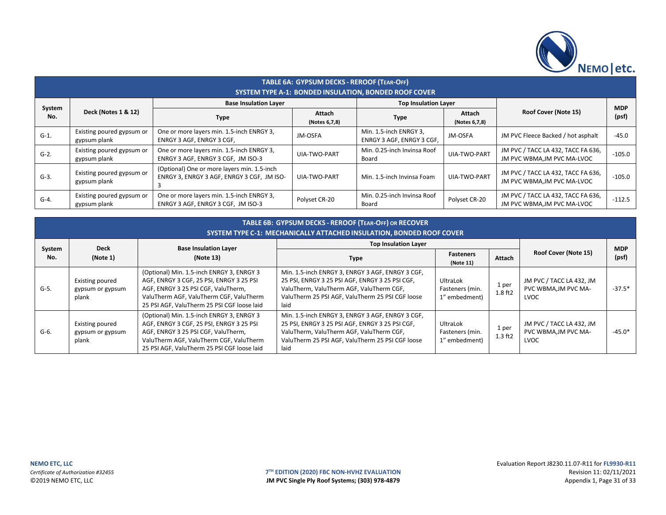

|               | TABLE 6A: GYPSUM DECKS - REROOF (TEAR-OFF) |                                                                                           |                         |                                                              |                                                 |                                                                   |            |  |  |  |  |
|---------------|--------------------------------------------|-------------------------------------------------------------------------------------------|-------------------------|--------------------------------------------------------------|-------------------------------------------------|-------------------------------------------------------------------|------------|--|--|--|--|
|               |                                            |                                                                                           |                         | <b>SYSTEM TYPE A-1: BONDED INSULATION. BONDED ROOF COVER</b> |                                                 |                                                                   |            |  |  |  |  |
|               |                                            | <b>Base Insulation Layer</b>                                                              |                         | <b>Top Insulation Layer</b>                                  |                                                 |                                                                   | <b>MDP</b> |  |  |  |  |
| System<br>No. | <b>Deck (Notes 1 &amp; 12)</b>             | <b>Type</b>                                                                               | Attach<br>(Notes 6,7,8) | <b>Type</b>                                                  | Roof Cover (Note 15)<br>Attach<br>(Notes 6,7,8) |                                                                   | (psf)      |  |  |  |  |
| $G-1$ .       | Existing poured gypsum or<br>gypsum plank  | One or more layers min. 1.5-inch ENRGY 3,<br>ENRGY 3 AGF, ENRGY 3 CGF,                    | JM-OSFA                 | Min. 1.5-inch ENRGY 3,<br>ENRGY 3 AGF, ENRGY 3 CGF,          | JM-OSFA                                         | JM PVC Fleece Backed / hot asphalt                                | $-45.0$    |  |  |  |  |
| $G-2$ .       | Existing poured gypsum or<br>gypsum plank  | One or more layers min. 1.5-inch ENRGY 3,<br>ENRGY 3 AGF, ENRGY 3 CGF, JM ISO-3           | UIA-TWO-PART            | Min. 0.25-inch Invinsa Roof<br>Board                         | UIA-TWO-PART                                    | JM PVC / TACC LA 432, TACC FA 636,<br>JM PVC WBMA, JM PVC MA-LVOC | $-105.0$   |  |  |  |  |
| $G-3$ .       | Existing poured gypsum or<br>gypsum plank  | (Optional) One or more layers min. 1.5-inch<br>ENRGY 3, ENRGY 3 AGF, ENRGY 3 CGF, JM ISO- | UIA-TWO-PART            | Min. 1.5-inch Invinsa Foam                                   | UIA-TWO-PART                                    | JM PVC / TACC LA 432, TACC FA 636,<br>JM PVC WBMA, JM PVC MA-LVOC | $-105.0$   |  |  |  |  |
| $G-4.$        | Existing poured gypsum or<br>gypsum plank  | One or more layers min. 1.5-inch ENRGY 3,<br>ENRGY 3 AGF, ENRGY 3 CGF, JM ISO-3           | Polyset CR-20           | Min. 0.25-inch Invinsa Roof<br>Board                         | Polyset CR-20                                   | JM PVC / TACC LA 432, TACC FA 636,<br>JM PVC WBMA, JM PVC MA-LVOC | $-112.5$   |  |  |  |  |

|         | TABLE 6B: GYPSUM DECKS - REROOF (TEAR-OFF) OR RECOVER<br>SYSTEM TYPE C-1: MECHANICALLY ATTACHED INSULATION, BONDED ROOF COVER |                                                                                                                                                                                                                        |                                                                                                                                                                                                             |                                              |                    |                                                          |            |  |  |  |
|---------|-------------------------------------------------------------------------------------------------------------------------------|------------------------------------------------------------------------------------------------------------------------------------------------------------------------------------------------------------------------|-------------------------------------------------------------------------------------------------------------------------------------------------------------------------------------------------------------|----------------------------------------------|--------------------|----------------------------------------------------------|------------|--|--|--|
| System  | <b>Deck</b>                                                                                                                   | <b>Base Insulation Layer</b>                                                                                                                                                                                           | <b>Top Insulation Layer</b>                                                                                                                                                                                 |                                              |                    |                                                          | <b>MDP</b> |  |  |  |
| No.     | (Note 1)                                                                                                                      | (Note 13)                                                                                                                                                                                                              | <b>Type</b>                                                                                                                                                                                                 | <b>Fasteners</b><br>(Note 11)                | Attach             | Roof Cover (Note 15)                                     | (psf)      |  |  |  |
| $G-5.$  | Existing poured<br>gypsum or gypsum<br>plank                                                                                  | (Optional) Min. 1.5-inch ENRGY 3, ENRGY 3<br>AGF, ENRGY 3 CGF, 25 PSI, ENRGY 3 25 PSI<br>AGF, ENRGY 3 25 PSI CGF, ValuTherm,<br>ValuTherm AGF, ValuTherm CGF, ValuTherm<br>25 PSI AGF, ValuTherm 25 PSI CGF loose laid | Min. 1.5-inch ENRGY 3, ENRGY 3 AGF, ENRGY 3 CGF,<br>25 PSI, ENRGY 3 25 PSI AGF, ENRGY 3 25 PSI CGF,<br>ValuTherm, ValuTherm AGF, ValuTherm CGF,<br>ValuTherm 25 PSI AGF, ValuTherm 25 PSI CGF loose<br>laid | UltraLok<br>Fasteners (min.<br>1" embedment) | 1 per<br>1.8 ft2   | JM PVC / TACC LA 432, JM<br>PVC WBMA, JM PVC MA-<br>LVOC | $-37.5*$   |  |  |  |
| $G-6$ . | Existing poured<br>gypsum or gypsum<br>plank                                                                                  | (Optional) Min. 1.5-inch ENRGY 3, ENRGY 3<br>AGF, ENRGY 3 CGF, 25 PSI, ENRGY 3 25 PSI<br>AGF, ENRGY 3 25 PSI CGF, ValuTherm,<br>ValuTherm AGF, ValuTherm CGF, ValuTherm<br>25 PSI AGF, ValuTherm 25 PSI CGF loose laid | Min. 1.5-inch ENRGY 3, ENRGY 3 AGF, ENRGY 3 CGF,<br>25 PSI, ENRGY 3 25 PSI AGF, ENRGY 3 25 PSI CGF,<br>ValuTherm, ValuTherm AGF, ValuTherm CGF,<br>ValuTherm 25 PSI AGF, ValuTherm 25 PSI CGF loose<br>laid | UltraLok<br>Fasteners (min.<br>1" embedment) | 1 per<br>$1.3$ ft2 | JM PVC / TACC LA 432, JM<br>PVC WBMA.JM PVC MA-<br>LVOC  | $-45.0*$   |  |  |  |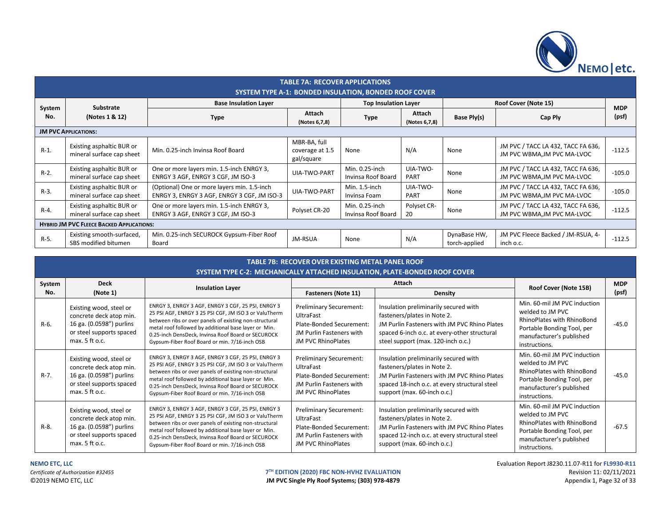

|                                                  | <b>TABLE 7A: RECOVER APPLICATIONS</b>                  |                                                                                            |                                               |                                      |                         |                               |                                                                   |                     |
|--------------------------------------------------|--------------------------------------------------------|--------------------------------------------------------------------------------------------|-----------------------------------------------|--------------------------------------|-------------------------|-------------------------------|-------------------------------------------------------------------|---------------------|
|                                                  | SYSTEM TYPE A-1: BONDED INSULATION, BONDED ROOF COVER  |                                                                                            |                                               |                                      |                         |                               |                                                                   |                     |
| System<br>No.                                    | Substrate<br>(Notes 1 & 12)                            | <b>Base Insulation Layer</b>                                                               |                                               | <b>Top Insulation Layer</b>          |                         | Roof Cover (Note 15)          |                                                                   |                     |
|                                                  |                                                        | <b>Type</b>                                                                                | Attach<br>(Notes 6,7,8)                       | <b>Type</b>                          | Attach<br>(Notes 6,7,8) | Base Ply(s)                   | Cap Ply                                                           | <b>MDP</b><br>(psf) |
|                                                  | <b>JM PVC APPLICATIONS:</b>                            |                                                                                            |                                               |                                      |                         |                               |                                                                   |                     |
| $R-1$ .                                          | Existing asphaltic BUR or<br>mineral surface cap sheet | Min. 0.25-inch Invinsa Roof Board                                                          | MBR-BA, full<br>coverage at 1.5<br>gal/square | None                                 | N/A                     | None                          | JM PVC / TACC LA 432, TACC FA 636,<br>JM PVC WBMA, JM PVC MA-LVOC | $-112.5$            |
| $R-2$ .                                          | Existing asphaltic BUR or<br>mineral surface cap sheet | One or more layers min. 1.5-inch ENRGY 3,<br>ENRGY 3 AGF, ENRGY 3 CGF, JM ISO-3            | UIA-TWO-PART                                  | Min. 0.25-inch<br>Invinsa Roof Board | UIA-TWO-<br>PART        | None                          | JM PVC / TACC LA 432, TACC FA 636,<br>JM PVC WBMA, JM PVC MA-LVOC | $-105.0$            |
| $R-3$ .                                          | Existing asphaltic BUR or<br>mineral surface cap sheet | (Optional) One or more layers min. 1.5-inch<br>ENRGY 3, ENRGY 3 AGF, ENRGY 3 CGF, JM ISO-3 | UIA-TWO-PART                                  | Min. 1.5-inch<br>Invinsa Foam        | UIA-TWO-<br>PART        | None                          | JM PVC / TACC LA 432, TACC FA 636,<br>JM PVC WBMA, JM PVC MA-LVOC | $-105.0$            |
| $R-4$ .                                          | Existing asphaltic BUR or<br>mineral surface cap sheet | One or more layers min. 1.5-inch ENRGY 3,<br>ENRGY 3 AGF, ENRGY 3 CGF, JM ISO-3            | Polyset CR-20                                 | Min. 0.25-inch<br>Invinsa Roof Board | Polyset CR-<br>20       | None                          | JM PVC / TACC LA 432, TACC FA 636,<br>JM PVC WBMA, JM PVC MA-LVOC | $-112.5$            |
| <b>HYBRID JM PVC FLEECE BACKED APPLICATIONS:</b> |                                                        |                                                                                            |                                               |                                      |                         |                               |                                                                   |                     |
| $R-5$ .                                          | Existing smooth-surfaced,<br>SBS modified bitumen      | Min. 0.25-inch SECUROCK Gypsum-Fiber Roof<br>Board                                         | JM-RSUA                                       | None                                 | N/A                     | DynaBase HW,<br>torch-applied | JM PVC Fleece Backed / JM-RSUA, 4-<br>inch o.c.                   | $-112.5$            |

|         | <b>TABLE 7B: RECOVER OVER EXISTING METAL PANEL ROOF</b><br>SYSTEM TYPE C-2: MECHANICALLY ATTACHED INSULATION, PLATE-BONDED ROOF COVER |                                                                                                                                                                                                                                                                                                                                      |                                                                                                                                  |                                                                                                                                                                                                            |                                                                                                                                                                  |         |  |  |  |
|---------|---------------------------------------------------------------------------------------------------------------------------------------|--------------------------------------------------------------------------------------------------------------------------------------------------------------------------------------------------------------------------------------------------------------------------------------------------------------------------------------|----------------------------------------------------------------------------------------------------------------------------------|------------------------------------------------------------------------------------------------------------------------------------------------------------------------------------------------------------|------------------------------------------------------------------------------------------------------------------------------------------------------------------|---------|--|--|--|
| System  | <b>Deck</b>                                                                                                                           | <b>Insulation Layer</b>                                                                                                                                                                                                                                                                                                              |                                                                                                                                  | Roof Cover (Note 15B)                                                                                                                                                                                      | <b>MDP</b>                                                                                                                                                       |         |  |  |  |
| No.     | (Note 1)                                                                                                                              |                                                                                                                                                                                                                                                                                                                                      | <b>Fasteners (Note 11)</b>                                                                                                       | Density                                                                                                                                                                                                    |                                                                                                                                                                  | (psf)   |  |  |  |
| R-6.    | Existing wood, steel or<br>concrete deck atop min.<br>16 ga. (0.0598") purlins<br>or steel supports spaced<br>max. 5 ft o.c.          | ENRGY 3, ENRGY 3 AGF, ENRGY 3 CGF, 25 PSI, ENRGY 3<br>25 PSI AGF, ENRGY 3 25 PSI CGF, JM ISO 3 or ValuTherm<br>between ribs or over panels of existing non-structural<br>metal roof followed by additional base layer or Min.<br>0.25-inch DensDeck, Invinsa Roof Board or SECUROCK<br>Gypsum-Fiber Roof Board or min. 7/16-inch OSB | <b>Preliminary Securement:</b><br>UltraFast<br>Plate-Bonded Securement:<br>JM Purlin Fasteners with<br><b>JM PVC RhinoPlates</b> | Insulation preliminarily secured with<br>fasteners/plates in Note 2.<br>JM Purlin Fasteners with JM PVC Rhino Plates<br>spaced 6-inch o.c. at every-other structural<br>steel support (max. 120-inch o.c.) | Min. 60-mil JM PVC induction<br>welded to JM PVC<br><b>RhinoPlates with RhinoBond</b><br>Portable Bonding Tool, per<br>manufacturer's published<br>instructions. | $-45.0$ |  |  |  |
| $R-7$ . | Existing wood, steel or<br>concrete deck atop min.<br>16 ga. (0.0598") purlins<br>or steel supports spaced<br>max. 5 ft o.c.          | ENRGY 3, ENRGY 3 AGF, ENRGY 3 CGF, 25 PSI, ENRGY 3<br>25 PSI AGF, ENRGY 3 25 PSI CGF, JM ISO 3 or ValuTherm<br>between ribs or over panels of existing non-structural<br>metal roof followed by additional base layer or Min.<br>0.25-inch DensDeck, Invinsa Roof Board or SECUROCK<br>Gypsum-Fiber Roof Board or min. 7/16-inch OSB | <b>Preliminary Securement:</b><br>UltraFast<br>Plate-Bonded Securement:<br>JM Purlin Fasteners with<br><b>JM PVC RhinoPlates</b> | Insulation preliminarily secured with<br>fasteners/plates in Note 2.<br>JM Purlin Fasteners with JM PVC Rhino Plates<br>spaced 18-inch o.c. at every structural steel<br>support (max. 60-inch o.c.)       | Min. 60-mil JM PVC induction<br>welded to JM PVC<br><b>RhinoPlates with RhinoBond</b><br>Portable Bonding Tool, per<br>manufacturer's published<br>instructions. | $-45.0$ |  |  |  |
| $R-8$ . | Existing wood, steel or<br>concrete deck atop min.<br>16 ga. (0.0598") purlins<br>or steel supports spaced<br>max. 5 ft o.c.          | ENRGY 3, ENRGY 3 AGF, ENRGY 3 CGF, 25 PSI, ENRGY 3<br>25 PSI AGF, ENRGY 3 25 PSI CGF, JM ISO 3 or ValuTherm<br>between ribs or over panels of existing non-structural<br>metal roof followed by additional base layer or Min.<br>0.25-inch DensDeck, Invinsa Roof Board or SECUROCK<br>Gypsum-Fiber Roof Board or min. 7/16-inch OSB | Preliminary Securement:<br>UltraFast<br>Plate-Bonded Securement:<br>JM Purlin Fasteners with<br>JM PVC RhinoPlates               | Insulation preliminarily secured with<br>fasteners/plates in Note 2.<br>JM Purlin Fasteners with JM PVC Rhino Plates<br>spaced 12-inch o.c. at every structural steel<br>support (max. 60-inch o.c.)       | Min. 60-mil JM PVC induction<br>welded to JM PVC<br>RhinoPlates with RhinoBond<br>Portable Bonding Tool, per<br>manufacturer's published<br>instructions.        | $-67.5$ |  |  |  |

**NEMO ETC, LLC** Evaluation Report J8230.11.07-R11 for **FL9930-R11**